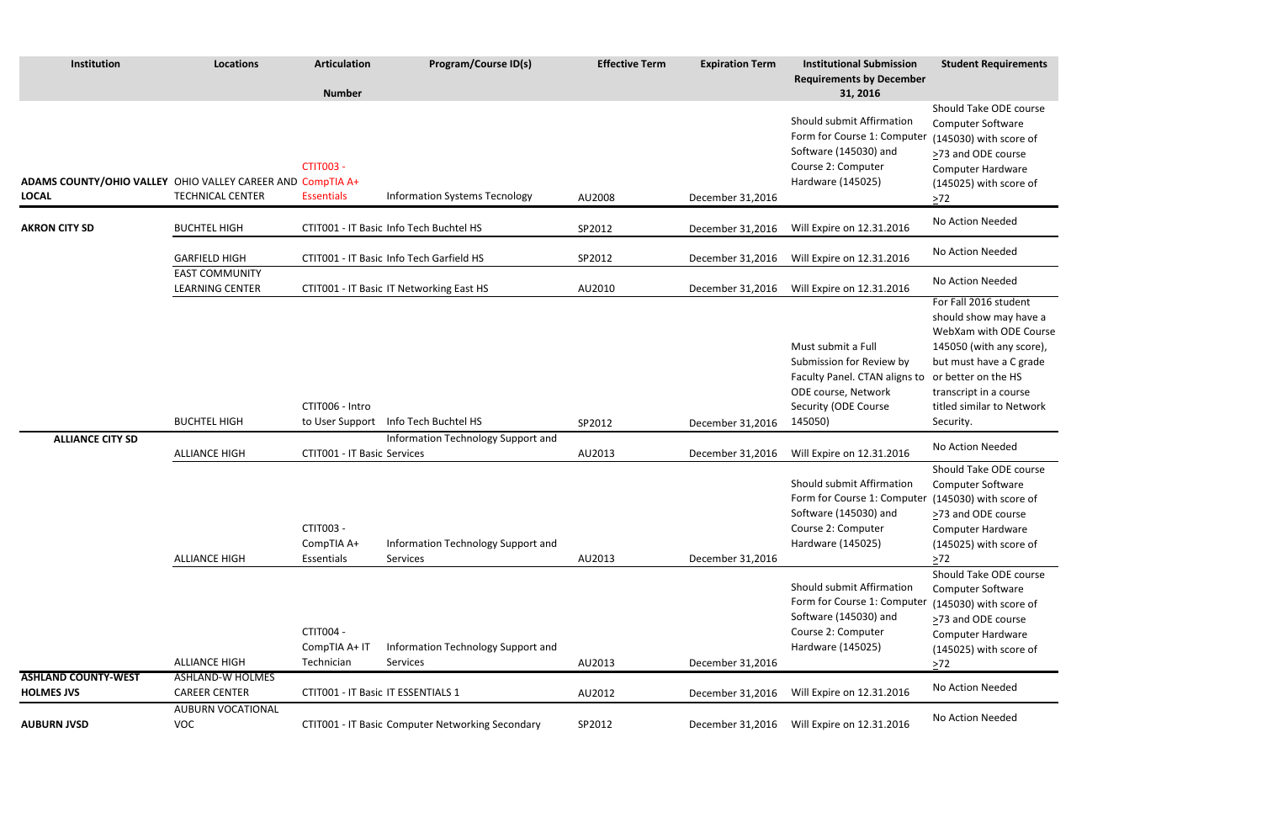### **Student Requirements**

Should Take ODE course Computer Software (145030) with score of >73 and ODE course Computer Hardware (145025) with score of  $\geq$ 72

Should Take ODE course Computer Software  $(145030)$  with score of ≥73 and ODE course Computer Hardware (145025) with score of  $\geq$ 72

Should Take ODE course Computer Software (145030) with score of >73 and ODE course Computer Hardware (145025) with score of  $\geq 72$ 

For Fall 2016 student should show may have a WebXam with ODE Course 145050 (with any score), but must have a C grade or better on the HS transcript in a course titled similar to Network Security.

| Institution                                                                | <b>Locations</b>                                | <b>Articulation</b><br><b>Number</b>            | <b>Program/Course ID(s)</b>                      | <b>Effective Term</b> | <b>Expiration Term</b> | <b>Institutional Submission</b><br><b>Requirements by December</b><br>31, 2016                                                            | <b>Student Require</b>                                                                                                                                                              |
|----------------------------------------------------------------------------|-------------------------------------------------|-------------------------------------------------|--------------------------------------------------|-----------------------|------------------------|-------------------------------------------------------------------------------------------------------------------------------------------|-------------------------------------------------------------------------------------------------------------------------------------------------------------------------------------|
| ADAMS COUNTY/OHIO VALLEY OHIO VALLEY CAREER AND CompTIA A+<br><b>LOCAL</b> | <b>TECHNICAL CENTER</b>                         | <b>CTIT003 -</b><br><b>Essentials</b>           | <b>Information Systems Tecnology</b>             | AU2008                | December 31,2016       | Should submit Affirmation<br>Form for Course 1: Computer<br>Software (145030) and<br>Course 2: Computer<br>Hardware (145025)              | Should Take ODE<br>Computer Softwar<br>(145030) with sco<br>>73 and ODE cour<br>Computer Hardwa<br>(145025) with sco<br>$>72$                                                       |
| <b>AKRON CITY SD</b>                                                       | <b>BUCHTEL HIGH</b>                             |                                                 | CTIT001 - IT Basic Info Tech Buchtel HS          | SP2012                | December 31,2016       | Will Expire on 12.31.2016                                                                                                                 | No Action Needed                                                                                                                                                                    |
|                                                                            | <b>GARFIELD HIGH</b>                            |                                                 | CTIT001 - IT Basic Info Tech Garfield HS         | SP2012                | December 31,2016       | Will Expire on 12.31.2016                                                                                                                 | No Action Needed                                                                                                                                                                    |
|                                                                            | <b>EAST COMMUNITY</b><br><b>LEARNING CENTER</b> |                                                 | CTIT001 - IT Basic IT Networking East HS         | AU2010                | December 31,2016       | Will Expire on 12.31.2016                                                                                                                 | No Action Needed                                                                                                                                                                    |
|                                                                            | <b>BUCHTEL HIGH</b>                             | CTIT006 - Intro                                 | to User Support Info Tech Buchtel HS             | SP2012                | December 31,2016       | Must submit a Full<br>Submission for Review by<br>Faculty Panel. CTAN aligns to<br>ODE course, Network<br>Security (ODE Course<br>145050) | For Fall 2016 stude<br>should show may<br>WebXam with OD<br>145050 (with any<br>but must have a C<br>or better on the H<br>transcript in a cou<br>titled similar to Ne<br>Security. |
| <b>ALLIANCE CITY SD</b>                                                    | <b>ALLIANCE HIGH</b>                            | <b>CTIT001 - IT Basic Services</b>              | Information Technology Support and               | AU2013                | December 31,2016       | Will Expire on 12.31.2016                                                                                                                 | No Action Needed                                                                                                                                                                    |
|                                                                            | <b>ALLIANCE HIGH</b>                            | CTIT003 -<br>CompTIA A+<br>Essentials           | Information Technology Support and<br>Services   | AU2013                | December 31,2016       | Should submit Affirmation<br>Form for Course 1: Computer<br>Software (145030) and<br>Course 2: Computer<br>Hardware (145025)              | Should Take ODE<br>Computer Softwar<br>(145030) with sco<br>$\geq$ 73 and ODE cour<br>Computer Hardwa<br>(145025) with sco<br>$>72$                                                 |
|                                                                            | <b>ALLIANCE HIGH</b>                            | <b>CTIT004 -</b><br>CompTIA A+ IT<br>Technician | Information Technology Support and<br>Services   | AU2013                | December 31,2016       | Should submit Affirmation<br>Form for Course 1: Computer<br>Software (145030) and<br>Course 2: Computer<br>Hardware (145025)              | Should Take ODE<br>Computer Softwar<br>(145030) with sco<br>>73 and ODE cour<br>Computer Hardwa<br>(145025) with sco<br>$>72$                                                       |
| <b>ASHLAND COUNTY-WEST</b><br><b>HOLMES JVS</b>                            | <b>ASHLAND-W HOLMES</b><br><b>CAREER CENTER</b> | CTIT001 - IT Basic IT ESSENTIALS 1              |                                                  | AU2012                | December 31,2016       | Will Expire on 12.31.2016                                                                                                                 | No Action Needed                                                                                                                                                                    |
| <b>AUBURN JVSD</b>                                                         | <b>AUBURN VOCATIONAL</b><br><b>VOC</b>          |                                                 | CTIT001 - IT Basic Computer Networking Secondary | SP2012                | December 31,2016       | Will Expire on 12.31.2016                                                                                                                 | No Action Needed                                                                                                                                                                    |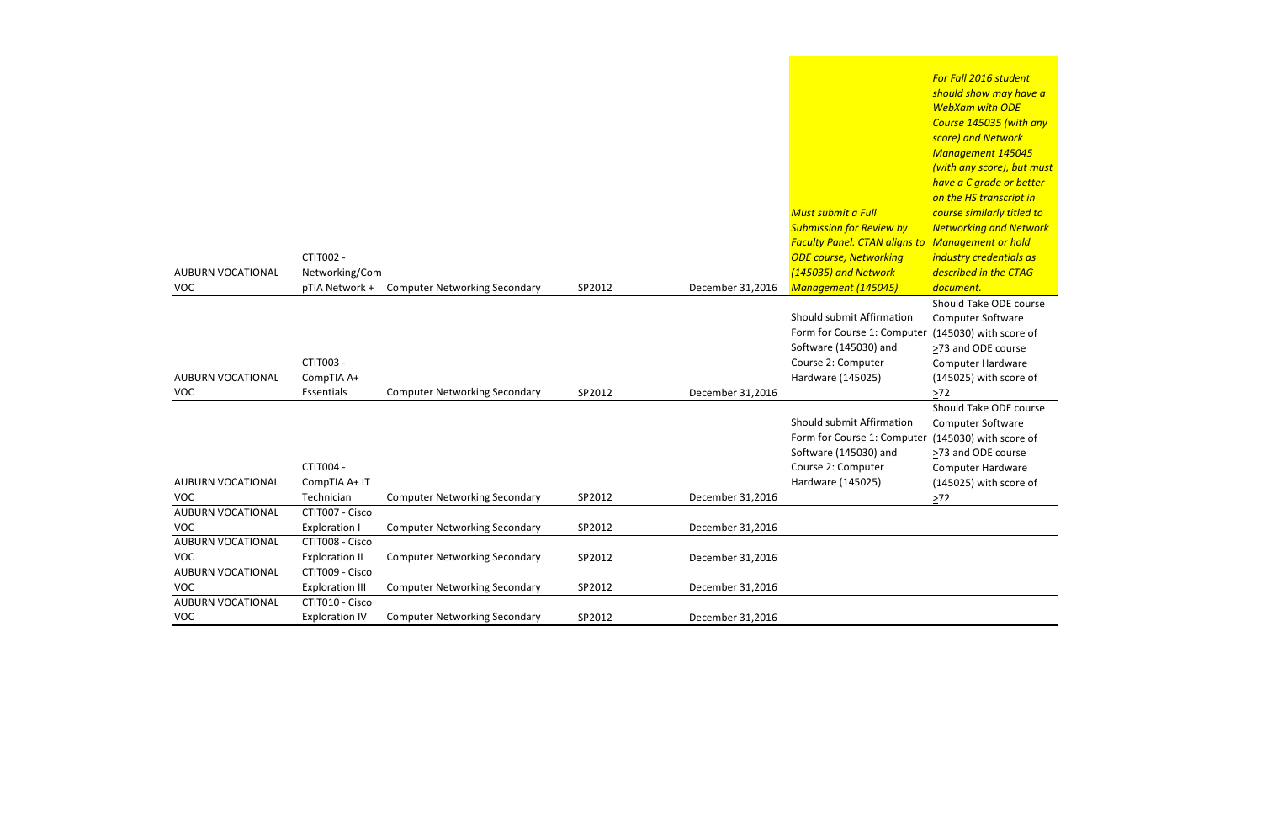*For Fall 2016 student should show may have a WebXam with ODE Course 145035 (with any score) and Network Management 145045 (with any score), but must have a C grade or better on the HS transcript in course similarly titled to Networking and Network Management or hold industry credentials as described in the CTAG document.* Should Take ODE course Computer Software (145030) with score of

≥73 and ODE course Computer Hardware (145025) with score of  $\geq 72$ 

|                                        |                                               |                                      |        |                  |                                                                                                                                                                                        | $\mathbf n$                                                                          |
|----------------------------------------|-----------------------------------------------|--------------------------------------|--------|------------------|----------------------------------------------------------------------------------------------------------------------------------------------------------------------------------------|--------------------------------------------------------------------------------------|
| <b>AUBURN VOCATIONAL</b><br><b>VOC</b> | CTIT002 -<br>Networking/Com<br>pTIA Network + | <b>Computer Networking Secondary</b> | SP2012 | December 31,2016 | <b>Must submit a Full</b><br><b>Submission for Review by</b><br><b>Faculty Panel. CTAN aligns to N</b><br><b>ODE course, Networking</b><br>(145035) and Network<br>Management (145045) | $\overline{c}$<br>$\epsilon$<br>$\sqrt{ }$<br>ĴІ<br>$\overline{a}$<br>$\overline{a}$ |
|                                        |                                               |                                      |        |                  |                                                                                                                                                                                        | S                                                                                    |
| <b>AUBURN VOCATIONAL</b>               | CTIT003 -<br>CompTIA A+                       |                                      |        |                  | Should submit Affirmation<br>Form for Course 1: Computer<br>Software (145030) and<br>Course 2: Computer<br>Hardware (145025)                                                           |                                                                                      |
| <b>VOC</b>                             | Essentials                                    | <b>Computer Networking Secondary</b> | SP2012 | December 31,2016 |                                                                                                                                                                                        |                                                                                      |
| <b>AUBURN VOCATIONAL</b>               | CTIT004 -<br>CompTIA A+ IT                    |                                      |        |                  | Should submit Affirmation<br>Form for Course 1: Computer<br>Software (145030) and<br>Course 2: Computer<br>Hardware (145025)                                                           | >                                                                                    |
| <b>VOC</b>                             | Technician                                    | <b>Computer Networking Secondary</b> | SP2012 | December 31,2016 |                                                                                                                                                                                        |                                                                                      |
| <b>AUBURN VOCATIONAL</b><br><b>VOC</b> | CTIT007 - Cisco<br><b>Exploration I</b>       | <b>Computer Networking Secondary</b> | SP2012 | December 31,2016 |                                                                                                                                                                                        |                                                                                      |
| <b>AUBURN VOCATIONAL</b>               | CTIT008 - Cisco                               |                                      |        |                  |                                                                                                                                                                                        |                                                                                      |
| <b>VOC</b>                             | <b>Exploration II</b>                         | <b>Computer Networking Secondary</b> | SP2012 | December 31,2016 |                                                                                                                                                                                        |                                                                                      |
| <b>AUBURN VOCATIONAL</b><br><b>VOC</b> | CTIT009 - Cisco<br><b>Exploration III</b>     | <b>Computer Networking Secondary</b> | SP2012 | December 31,2016 |                                                                                                                                                                                        |                                                                                      |
| <b>AUBURN VOCATIONAL</b><br><b>VOC</b> | CTIT010 - Cisco<br><b>Exploration IV</b>      | <b>Computer Networking Secondary</b> | SP2012 | December 31,2016 |                                                                                                                                                                                        |                                                                                      |

Should Take ODE course Computer Software  $(145030)$  with score of >73 and ODE course Computer Hardware (145025) with score of

 $\geq 72$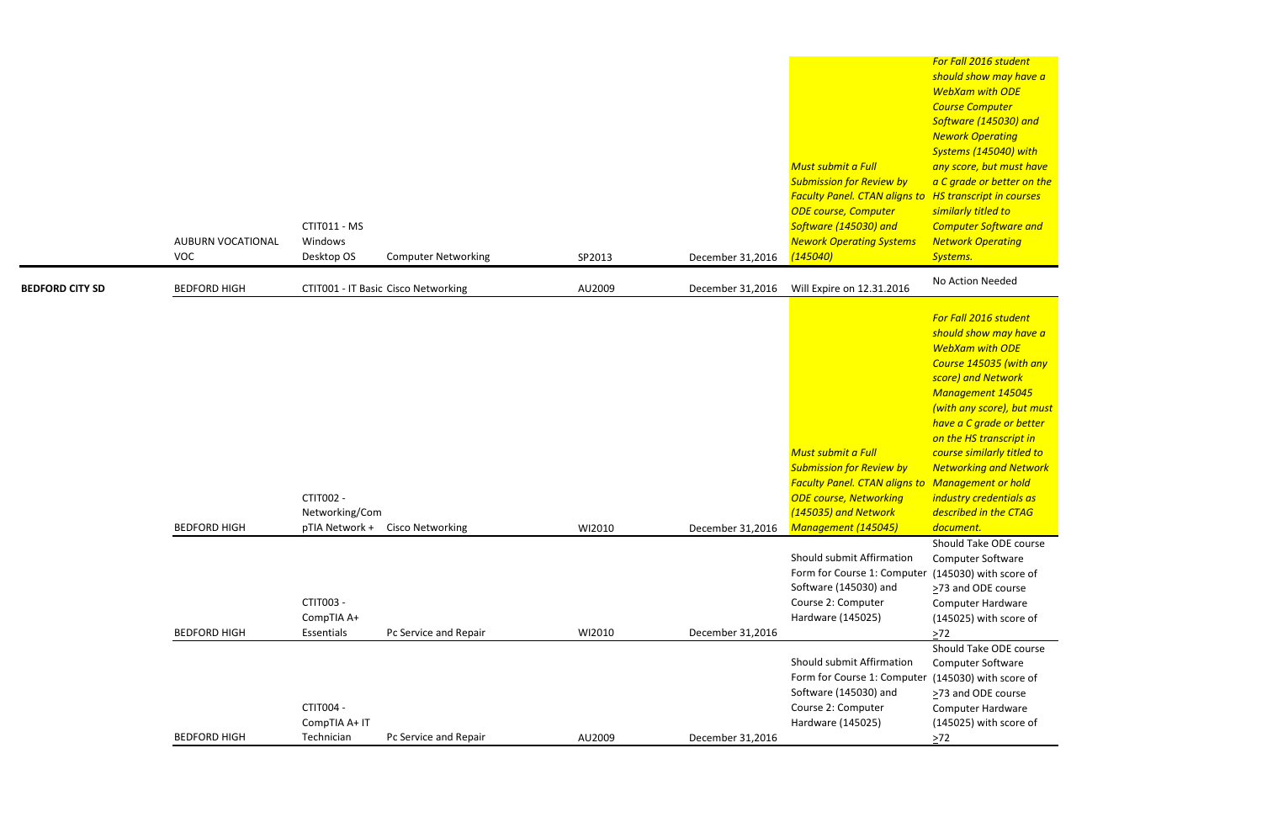*For Fall 2016 student should show may have a WebXam with ODE Course Computer Software (145030) and Nework Operating Systems (145040) with any score, but must have a C grade or better on the HS transcript in courses similarly titled to Computer Software and Network Operating Systems.*

|                        | AUBURN VOCATIONAL<br><b>VOC</b> | CTIT011 - MS<br>Windows<br>Desktop OS<br><b>Computer Networking</b>      | SP2013 | December 31,2016 | Must submit a Full<br><b>Submission for Review by</b><br><b>Faculty Panel. CTAN aligns to HS transcript in co</b><br><b>ODE course, Computer</b><br>Software (145030) and<br><b>Nework Operating Systems</b><br>(145040) | <b>Course Computer</b><br>Software (145030)<br><b>Nework Operating</b><br><b>Systems (145040)</b><br>any score, but mus<br>a C grade or bette<br>similarly titled to<br><b>Computer Softwar</b><br><b>Network Operatin</b><br>Systems.                                                                                                      |
|------------------------|---------------------------------|--------------------------------------------------------------------------|--------|------------------|--------------------------------------------------------------------------------------------------------------------------------------------------------------------------------------------------------------------------|---------------------------------------------------------------------------------------------------------------------------------------------------------------------------------------------------------------------------------------------------------------------------------------------------------------------------------------------|
| <b>BEDFORD CITY SD</b> | <b>BEDFORD HIGH</b>             | CTIT001 - IT Basic Cisco Networking                                      | AU2009 | December 31,2016 | Will Expire on 12.31.2016                                                                                                                                                                                                | No Action Needed                                                                                                                                                                                                                                                                                                                            |
|                        | <b>BEDFORD HIGH</b>             | CTIT002 -<br>Networking/Com<br>pTIA Network +<br><b>Cisco Networking</b> | WI2010 | December 31,2016 | Must submit a Full<br><b>Submission for Review by</b><br><b>Faculty Panel. CTAN aligns to</b><br><b>ODE course, Networking</b><br>(145035) and Network<br>Management (145045)                                            | For Fall 2016 stude<br>should show may<br><b>WebXam with OD</b><br><b>Course 145035 (w)</b><br>score) and Networ<br><b>Management 145</b><br>(with any score), b<br>have a C grade or<br>on the HS transcri<br>course similarly tit<br><b>Networking and N</b><br>Management or h<br>industry credentia<br>described in the C.<br>document. |
|                        | <b>BEDFORD HIGH</b>             | CTIT003 -<br>CompTIA A+<br>Essentials<br>Pc Service and Repair           | WI2010 | December 31,2016 | Should submit Affirmation<br>Form for Course 1: Computer (145030) with sco<br>Software (145030) and<br>Course 2: Computer<br>Hardware (145025)                                                                           | Should Take ODE<br>Computer Softwar<br>>73 and ODE cour<br>Computer Hardwa<br>(145025) with sco<br>$>72$                                                                                                                                                                                                                                    |
|                        |                                 | CTIT004 -<br>CompTIA A+ IT                                               |        |                  | Should submit Affirmation<br>Form for Course 1: Computer<br>Software (145030) and<br>Course 2: Computer<br>Hardware (145025)                                                                                             | Should Take ODE<br>Computer Softwar<br>(145030) with sco<br>>73 and ODE cour<br>Computer Hardwa<br>(145025) with sco                                                                                                                                                                                                                        |
|                        | <b>BEDFORD HIGH</b>             | Technician<br>Pc Service and Repair                                      | AU2009 | December 31,2016 |                                                                                                                                                                                                                          | $\geq 72$                                                                                                                                                                                                                                                                                                                                   |

*For Fall 2016 student should show may have a WebXam with ODE Course 145035 (with any score) and Network Management 145045 (with any score), but must have a C grade or better on the HS transcript in course similarly titled to Networking and Network Management or hold industry credentials as described in the CTAG document.* Should Take ODE course Computer Software er (145030) with score of ≥73 and ODE course Computer Hardware (145025) with score of  $\geq 72$ Should Take ODE course Computer Software (145030) with score of

>73 and ODE course Computer Hardware

(145025) with score of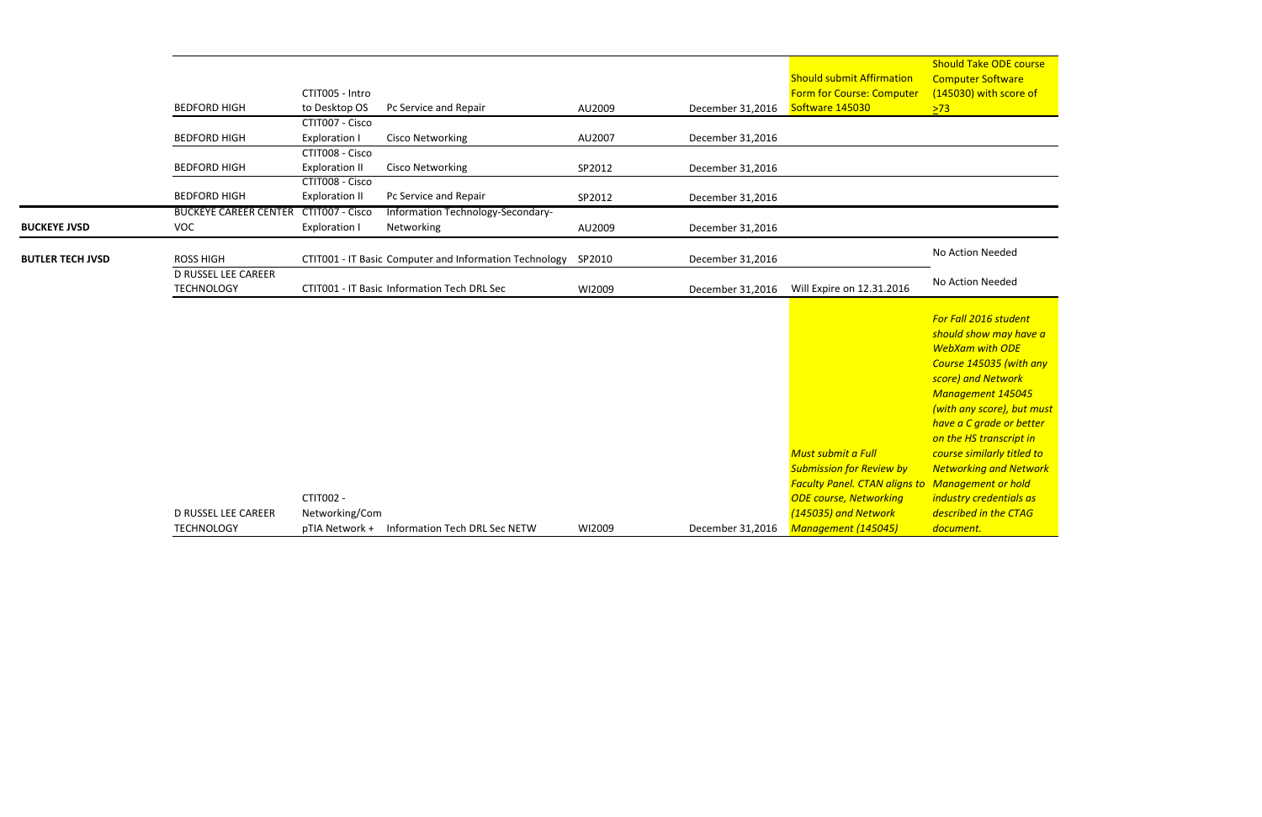|                         | <b>D RUSSEL LEE CAREER</b><br><b>TECHNOLOGY</b> |                                          | CTIT001 - IT Basic Information Tech DRL Sec                   | WI2009 | December 31,2016 | Will Expire on 12.31.2016        | No Action Needed        |
|-------------------------|-------------------------------------------------|------------------------------------------|---------------------------------------------------------------|--------|------------------|----------------------------------|-------------------------|
| <b>BUTLER TECH JVSD</b> | <b>ROSS HIGH</b>                                |                                          | CTIT001 - IT Basic Computer and Information Technology SP2010 |        | December 31,2016 |                                  | No Action Needed        |
| <b>BUCKEYE JVSD</b>     | <b>VOC</b>                                      | <b>Exploration I</b>                     | Networking                                                    | AU2009 | December 31,2016 |                                  |                         |
|                         | <b>BUCKEYE CAREER CENTER</b>                    | CTIT007 - Cisco                          | Information Technology-Secondary-                             |        |                  |                                  |                         |
|                         | <b>BEDFORD HIGH</b>                             | <b>Exploration II</b>                    | Pc Service and Repair                                         | SP2012 | December 31,2016 |                                  |                         |
|                         | <b>BEDFORD HIGH</b>                             | <b>Exploration II</b><br>CTIT008 - Cisco | Cisco Networking                                              | SP2012 | December 31,2016 |                                  |                         |
|                         |                                                 | CTIT008 - Cisco                          |                                                               |        |                  |                                  |                         |
|                         | <b>BEDFORD HIGH</b>                             | <b>Exploration I</b>                     | Cisco Networking                                              | AU2007 | December 31,2016 |                                  |                         |
|                         |                                                 | CTIT007 - Cisco                          |                                                               |        |                  |                                  |                         |
|                         | <b>BEDFORD HIGH</b>                             | to Desktop OS                            | Pc Service and Repair                                         | AU2009 | December 31,2016 | Software 145030                  | $\sqrt{273}$            |
|                         |                                                 | CTIT005 - Intro                          |                                                               |        |                  | <b>Form for Course: Computer</b> | (145030) with sco       |
|                         |                                                 |                                          |                                                               |        |                  | <b>Should submit Affirmation</b> | <b>Computer Softwar</b> |
|                         |                                                 |                                          |                                                               |        |                  |                                  | <b>Should Take ODE</b>  |

|                     |                |                               |        |                  | Must submit a Full                     |                          |
|---------------------|----------------|-------------------------------|--------|------------------|----------------------------------------|--------------------------|
|                     |                |                               |        |                  | <b>Submission for Review by</b>        | $\overline{\phantom{a}}$ |
|                     |                |                               |        |                  | <b>Faculty Panel. CTAN aligns to N</b> |                          |
|                     | CTIT002 -      |                               |        |                  | <b>ODE course, Networking</b>          | — il                     |
| D RUSSEL LEE CAREER | Networking/Com |                               |        |                  | (145035) and Network                   | - a                      |
| TECHNOLOGY          | pTIA Network + | Information Tech DRL Sec NETW | WI2009 | December 31,2016 | Management (145045)                    |                          |

**Should Take ODE course** Computer Software (145030) with score of  $\geq$ 73  $\geq$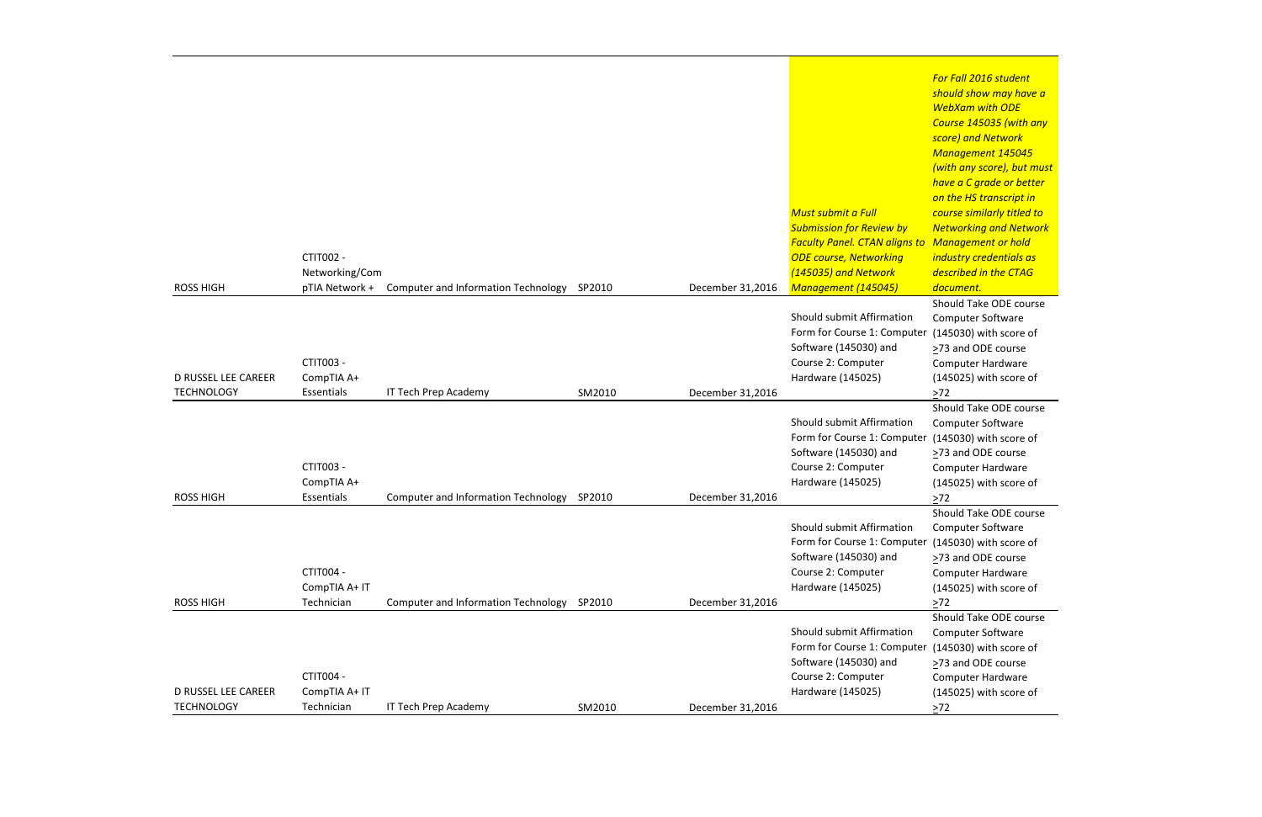*For Fall 2016 student should show may have a WebXam with ODE Course 145035 (with any score) and Network Management 145045 (with any score), but must have a C grade or better on the HS transcript in course similarly titled to Networking and Network Management or hold industry credentials as described in the CTAG document.* Should Take ODE course Computer Software (145030) with score of >73 and ODE course Computer Hardware (145025) with score of  $2^{72}$ Should Take ODE course Computer Software (145030) with score of >73 and ODE course Computer Hardware (145025) with score of  $\geq 72$ Should Take ODE course Computer Software (145030) with score of >73 and ODE course Computer Hardware (145025) with score of  $\geq 72$ Should Take ODE course Computer Software (145030) with score of >73 and ODE course Computer Hardware (145025) with score of  $\geq 72$ 

|                            |                |                                            |        |                  | $\mathsf{h}$                                         |
|----------------------------|----------------|--------------------------------------------|--------|------------------|------------------------------------------------------|
|                            |                |                                            |        |                  | O                                                    |
|                            |                |                                            |        |                  | <b>Must submit a Full</b><br>$\epsilon$              |
|                            |                |                                            |        |                  | <b>Submission for Review by</b><br>$\sqrt{ }$        |
|                            |                |                                            |        |                  | <b>Faculty Panel. CTAN aligns to</b><br>$\mathsf{N}$ |
|                            | CTIT002 -      |                                            |        |                  | <b>ODE course, Networking</b><br>İI                  |
|                            | Networking/Com |                                            |        |                  | (145035) and Network<br>$\overline{a}$               |
| <b>ROSS HIGH</b>           | pTIA Network + | Computer and Information Technology        | SP2010 | December 31,2016 | Management (145045)<br>$\overline{a}$                |
|                            |                |                                            |        |                  | S                                                    |
|                            |                |                                            |        |                  | Should submit Affirmation                            |
|                            |                |                                            |        |                  | Form for Course 1: Computer                          |
|                            |                |                                            |        |                  | Software (145030) and                                |
|                            | CTIT003 -      |                                            |        |                  | Course 2: Computer                                   |
| <b>D RUSSEL LEE CAREER</b> | CompTIA A+     |                                            |        |                  | Hardware (145025)                                    |
| <b>TECHNOLOGY</b>          | Essentials     | IT Tech Prep Academy                       | SM2010 | December 31,2016 |                                                      |
|                            |                |                                            |        |                  | Should submit Affirmation                            |
|                            |                |                                            |        |                  | Form for Course 1: Computer                          |
|                            |                |                                            |        |                  | Software (145030) and                                |
|                            | CTIT003 -      |                                            |        |                  | Course 2: Computer                                   |
|                            | CompTIA A+     |                                            |        |                  | Hardware (145025)                                    |
| <b>ROSS HIGH</b>           | Essentials     | <b>Computer and Information Technology</b> | SP2010 | December 31,2016 |                                                      |
|                            |                |                                            |        |                  |                                                      |
|                            |                |                                            |        |                  | Should submit Affirmation                            |
|                            |                |                                            |        |                  | Form for Course 1: Computer (                        |
|                            |                |                                            |        |                  | Software (145030) and                                |
|                            | CTIT004 -      |                                            |        |                  | Course 2: Computer                                   |
|                            | CompTIA A+ IT  |                                            |        |                  | Hardware (145025)                                    |
| <b>ROSS HIGH</b>           | Technician     | <b>Computer and Information Technology</b> | SP2010 | December 31,2016 |                                                      |
|                            |                |                                            |        |                  |                                                      |
|                            |                |                                            |        |                  | Should submit Affirmation                            |
|                            |                |                                            |        |                  | Form for Course 1: Computer (                        |
|                            |                |                                            |        |                  | Software (145030) and                                |
|                            | CTIT004 -      |                                            |        |                  | Course 2: Computer                                   |
| <b>D RUSSEL LEE CAREER</b> | CompTIA A+ IT  |                                            |        |                  | Hardware (145025)                                    |
| <b>TECHNOLOGY</b>          | Technician     | IT Tech Prep Academy                       | SM2010 | December 31,2016 | >                                                    |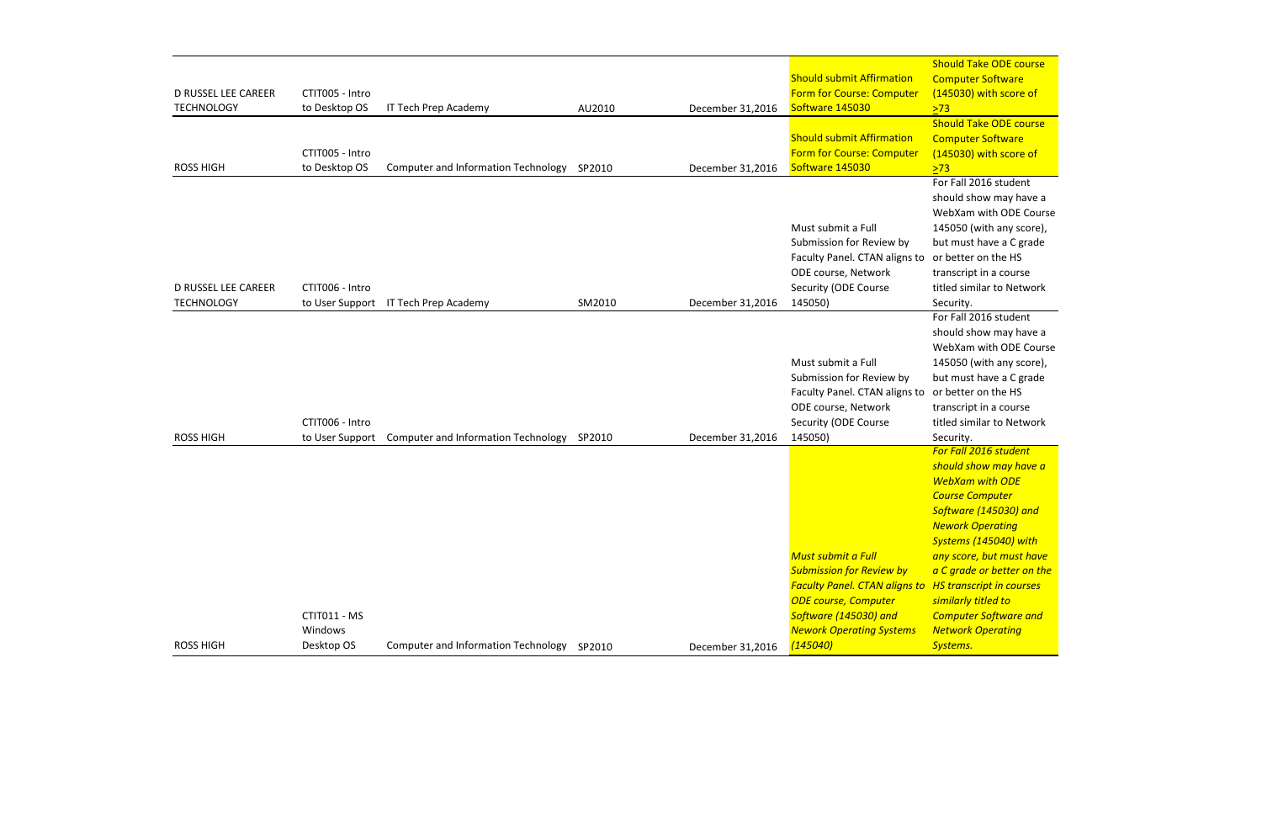Should Take ODE course **Computer Software** (145030) with score of  $\sqrt{273}$ 

Should Take ODE course Computer Software (145030) with score of  $\sqrt{273}$ 

| <b>ROSS HIGH</b>                                | CTIT011 - MS<br>Windows<br>Desktop OS | <b>Computer and Information Technology</b> | SP2010 | December 31,2016 | $\mathcal{S}_{\text{S}}$<br>S<br><b>Must submit a Full</b><br>$\overline{a}$<br><b>Submission for Review by</b><br>$\overline{a}$<br><b>Faculty Panel. CTAN aligns to H</b><br><b>ODE course, Computer</b><br>$\mathsf{s}$<br>Software (145030) and<br>$\epsilon$<br><b>Nework Operating Systems</b><br>$\sqrt{ }$<br>(145040)<br>S |
|-------------------------------------------------|---------------------------------------|--------------------------------------------|--------|------------------|-------------------------------------------------------------------------------------------------------------------------------------------------------------------------------------------------------------------------------------------------------------------------------------------------------------------------------------|
| <b>ROSS HIGH</b>                                | CTIT006 - Intro<br>to User Support    | Computer and Information Technology        | SP2010 | December 31,2016 | F<br>S<br>Must submit a Full<br>Submission for Review by<br>b<br>Faculty Panel. CTAN aligns to<br><b>C</b><br>ODE course, Network<br>t<br>Security (ODE Course<br>145050)<br>S<br>F                                                                                                                                                 |
| <b>D RUSSEL LEE CAREER</b><br><b>TECHNOLOGY</b> | CTIT006 - Intro                       | to User Support IT Tech Prep Academy       | SM2010 | December 31,2016 | F<br>S<br>Must submit a Full<br>Submission for Review by<br>b<br>Faculty Panel. CTAN aligns to<br><b>C</b><br>ODE course, Network<br>t<br>Security (ODE Course<br>145050)<br>S                                                                                                                                                      |
| <b>ROSS HIGH</b>                                | CTIT005 - Intro<br>to Desktop OS      | <b>Computer and Information Technology</b> | SP2010 | December 31,2016 | S<br><b>Should submit Affirmation</b><br><b>Form for Course: Computer</b><br>Software 145030                                                                                                                                                                                                                                        |
| <b>D RUSSEL LEE CAREER</b><br><b>TECHNOLOGY</b> | CTIT005 - Intro<br>to Desktop OS      | IT Tech Prep Academy                       | AU2010 | December 31,2016 | <b>Should submit Affirmation</b><br><b>Form for Course: Computer</b><br>Software 145030                                                                                                                                                                                                                                             |

For Fall 2016 student should show may have a WebXam with ODE Course 145050 (with any score), but must have a C grade or better on the HS transcript in a course titled similar to Network Security.

For Fall 2016 student should show may have a WebXam with ODE Course 145050 (with any score), but must have a C grade or better on the HS transcript in a course titled similar to Network Security.

*For Fall 2016 student should show may have a WebXam with ODE Course Computer Software (145030) and Nework Operating Systems (145040) with any score, but must have a C grade or better on the HS transcript in courses similarly titled to Computer Software and Network Operating Systems.*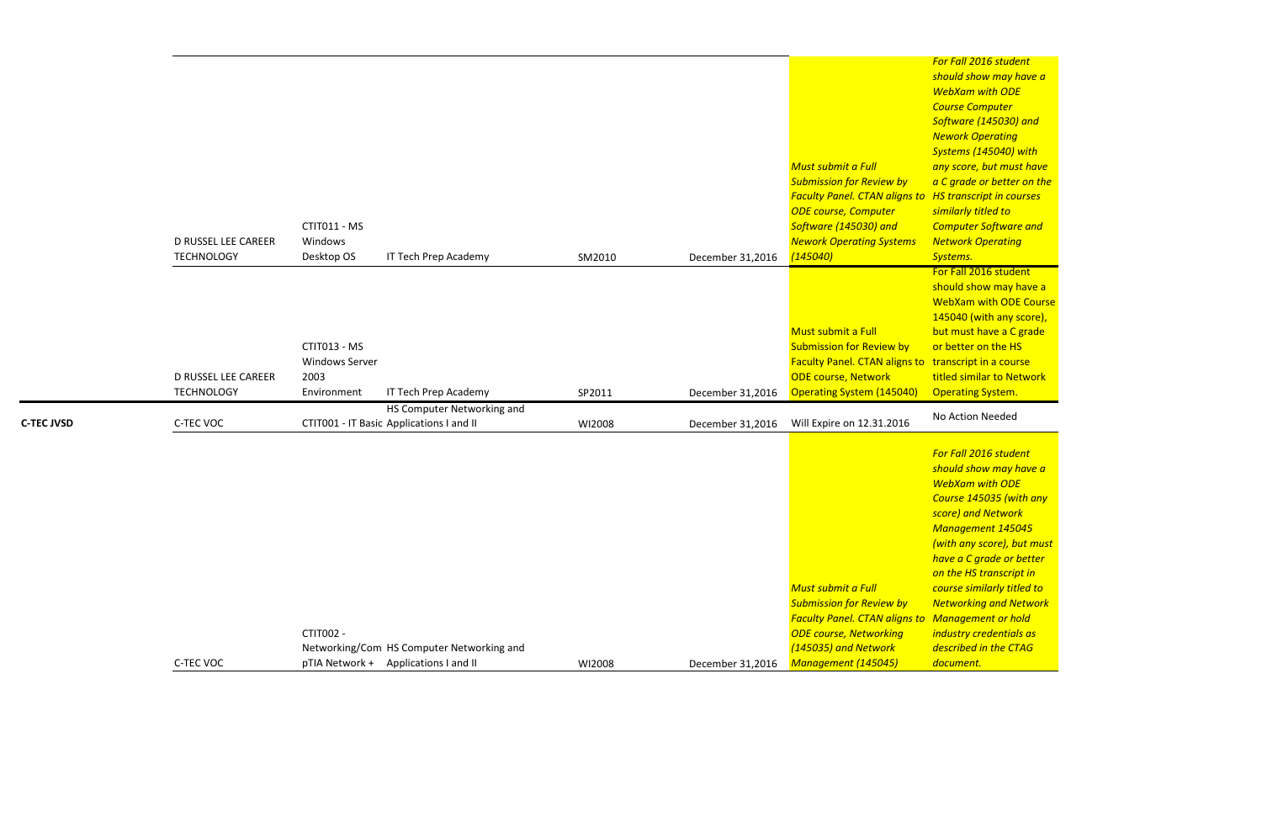should show may have a WebXam with ODE Course 145040 (with any score), but must have a C grade or better on the HS titled similar to Network Operating System.

*For Fall 2016 student should show may have a WebXam with ODE Course Computer Software (145030) and Nework Operating Systems (145040) with any score, but must have a C grade or better on the similarly titled to Computer Software and Network Operating Systems.* For Fall 2016 student

| <b>D RUSSEL LEE CAREER</b><br><b>TECHNOLOGY</b> | CTIT011 - MS<br>Windows<br>Desktop OS                        | SM2010                                                                                                                                                                                                      | December 31,2016 | Must submit a Full<br><b>Submission for Review by</b><br><b>ODE course, Computer</b><br>Software (145030) and<br><b>Nework Operating Systems</b><br>(145040) | Software (145030) and<br><b>Nework Operating</b><br>Systems (145040) with<br>any score, but must hay<br>a C grade or better on t<br>similarly titled to<br><b>Computer Software and</b><br><b>Network Operating</b><br>Systems.                                                                                                                                    |
|-------------------------------------------------|--------------------------------------------------------------|-------------------------------------------------------------------------------------------------------------------------------------------------------------------------------------------------------------|------------------|--------------------------------------------------------------------------------------------------------------------------------------------------------------|--------------------------------------------------------------------------------------------------------------------------------------------------------------------------------------------------------------------------------------------------------------------------------------------------------------------------------------------------------------------|
| <b>D RUSSEL LEE CAREER</b><br><b>TECHNOLOGY</b> | CTIT013 - MS<br><b>Windows Server</b><br>2003<br>Environment | SP2011                                                                                                                                                                                                      | December 31,2016 | Must submit a Full<br><b>Submission for Review by</b><br><b>ODE course, Network</b><br><b>Operating System (145040)</b>                                      | For Fall 2016 student<br>should show may have<br><b>WebXam with ODE Cou</b><br>145040 (with any score<br>but must have a C grad<br>or better on the HS<br>titled similar to Networ<br><b>Operating System.</b>                                                                                                                                                     |
| C-TEC VOC                                       |                                                              | WI2008                                                                                                                                                                                                      | December 31,2016 | Will Expire on 12.31.2016                                                                                                                                    | No Action Needed                                                                                                                                                                                                                                                                                                                                                   |
|                                                 | CTIT002 -                                                    | WI2008                                                                                                                                                                                                      | December 31,2016 | Must submit a Full<br><b>Submission for Review by</b><br><b>ODE course, Networking</b><br>(145035) and Network<br>Management (145045)                        | For Fall 2016 student<br>should show may have<br><b>WebXam with ODE</b><br>Course 145035 (with ar<br>score) and Network<br><b>Management 145045</b><br>(with any score), but m<br>have a C grade or bette<br>on the HS transcript in<br>course similarly titled to<br><b>Networking and Netwo</b><br>industry credentials as<br>described in the CTAG<br>document. |
|                                                 | C-TEC VOC                                                    | IT Tech Prep Academy<br>IT Tech Prep Academy<br>HS Computer Networking and<br>CTIT001 - IT Basic Applications I and II<br>Networking/Com HS Computer Networking and<br>pTIA Network + Applications I and II |                  |                                                                                                                                                              | <b>Faculty Panel. CTAN aligns to HS transcript in courses</b><br>Faculty Panel. CTAN aligns to transcript in a course<br><b>Faculty Panel. CTAN aligns to Management or hold</b>                                                                                                                                                                                   |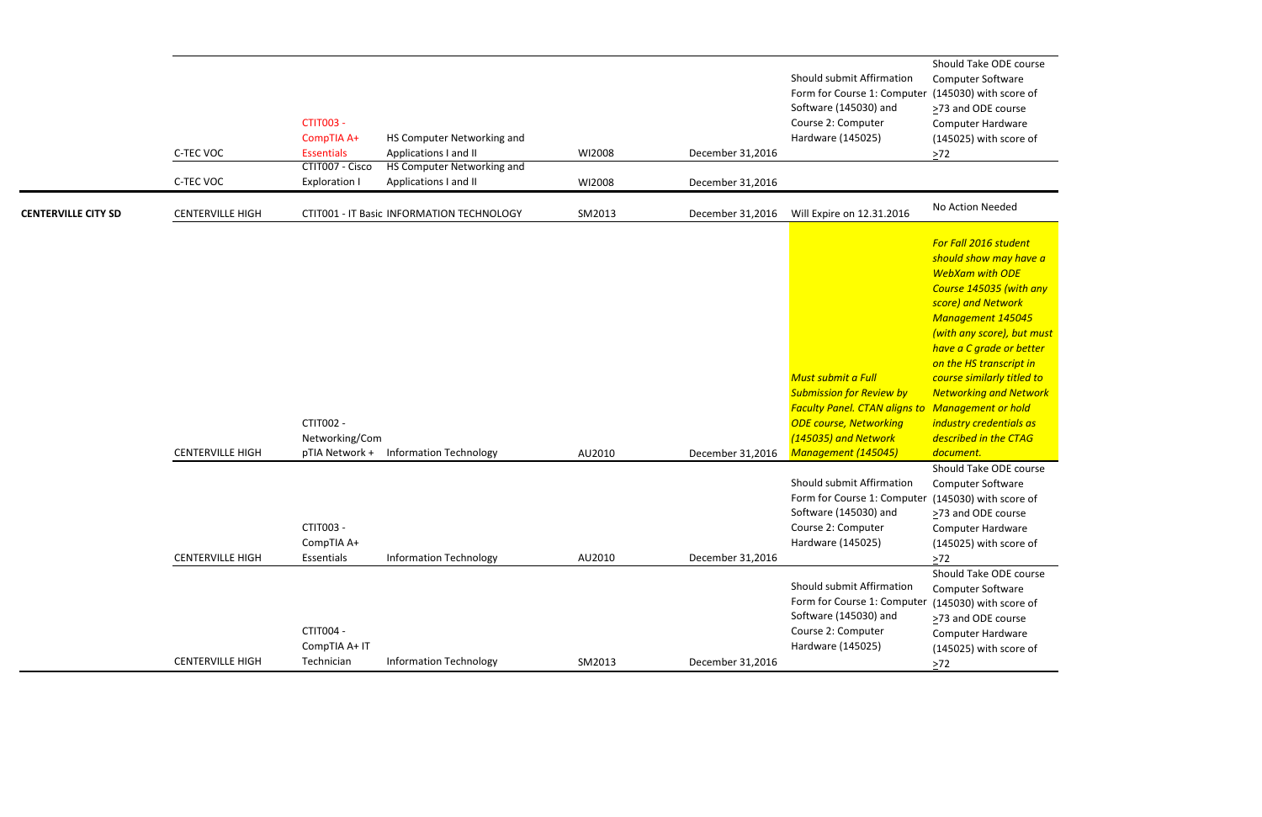Should Take ODE course Computer Software er (145030) with score of ≥73 and ODE course Computer Hardware (145025) with score of  $\geq 72$ 

Should Take ODE course Computer Software (145030) with score of >73 and ODE course Computer Hardware (145025) with score of  $\frac{\geq 72}{\geq}$ 

|                            | C-TEC VOC<br>C-TEC VOC  | <b>CTIT003 -</b><br>CompTIA A+<br><b>Essentials</b><br>CTIT007 - Cisco<br><b>Exploration I</b> | HS Computer Networking and<br>Applications I and II<br>HS Computer Networking and<br>Applications I and II | WI2008<br>WI2008 | December 31,2016<br>December 31,2016 | Should submit Affirmation<br>Form for Course 1: Computer<br>Software (145030) and<br>Course 2: Computer<br>Hardware (145025)                                                                                                                                                                                                                           | Should Take ODE<br>Computer Softwar<br>(145030) with sco<br>>73 and ODE cour<br>Computer Hardwa<br>(145025) with sco<br>$\geq$ 72                                                                                                                                                                                                                                                                                           |
|----------------------------|-------------------------|------------------------------------------------------------------------------------------------|------------------------------------------------------------------------------------------------------------|------------------|--------------------------------------|--------------------------------------------------------------------------------------------------------------------------------------------------------------------------------------------------------------------------------------------------------------------------------------------------------------------------------------------------------|-----------------------------------------------------------------------------------------------------------------------------------------------------------------------------------------------------------------------------------------------------------------------------------------------------------------------------------------------------------------------------------------------------------------------------|
| <b>CENTERVILLE CITY SD</b> | <b>CENTERVILLE HIGH</b> |                                                                                                | CTIT001 - IT Basic INFORMATION TECHNOLOGY                                                                  | SM2013           | December 31,2016                     | Will Expire on 12.31.2016                                                                                                                                                                                                                                                                                                                              | No Action Needed                                                                                                                                                                                                                                                                                                                                                                                                            |
|                            | <b>CENTERVILLE HIGH</b> | CTIT002 -<br>Networking/Com<br>CTIT003 -<br>CompTIA A+                                         | pTIA Network + Information Technology                                                                      | AU2010           | December 31,2016                     | <b>Must submit a Full</b><br><b>Submission for Review by</b><br><b>Faculty Panel. CTAN aligns to Management or h</b><br><b>ODE course, Networking</b><br>(145035) and Network<br>Management (145045)<br>Should submit Affirmation<br>Form for Course 1: Computer (145030) with sco<br>Software (145030) and<br>Course 2: Computer<br>Hardware (145025) | For Fall 2016 stude<br>should show may<br><b>WebXam with OD</b><br><b>Course 145035 (w)</b><br>score) and Networ<br><b>Management 145</b><br>(with any score), b<br>have a C grade or<br>on the HS transcri<br>course similarly tit<br><b>Networking and N</b><br>industry credentia<br>described in the C.<br>document.<br>Should Take ODE<br>Computer Softwar<br>>73 and ODE cour<br>Computer Hardwa<br>(145025) with sco |
|                            | <b>CENTERVILLE HIGH</b> | Essentials                                                                                     | <b>Information Technology</b>                                                                              | AU2010           | December 31,2016                     |                                                                                                                                                                                                                                                                                                                                                        | $>72$<br>Should Take ODE o                                                                                                                                                                                                                                                                                                                                                                                                  |
|                            | <b>CENTERVILLE HIGH</b> | CTIT004 -<br>CompTIA A+ IT<br>Technician                                                       | <b>Information Technology</b>                                                                              |                  |                                      | Should submit Affirmation<br>Form for Course 1: Computer<br>Software (145030) and<br>Course 2: Computer<br>Hardware (145025)                                                                                                                                                                                                                           | Computer Softwar<br>(145030) with sco<br>>73 and ODE cour<br>Computer Hardwa<br>(145025) with sco                                                                                                                                                                                                                                                                                                                           |
|                            |                         |                                                                                                |                                                                                                            | SM2013           | December 31,2016                     |                                                                                                                                                                                                                                                                                                                                                        | $\geq 72$                                                                                                                                                                                                                                                                                                                                                                                                                   |

Should Take ODE course Computer Software  $er$  (145030) with score of >73 and ODE course Computer Hardware (145025) with score of  $\geq 72$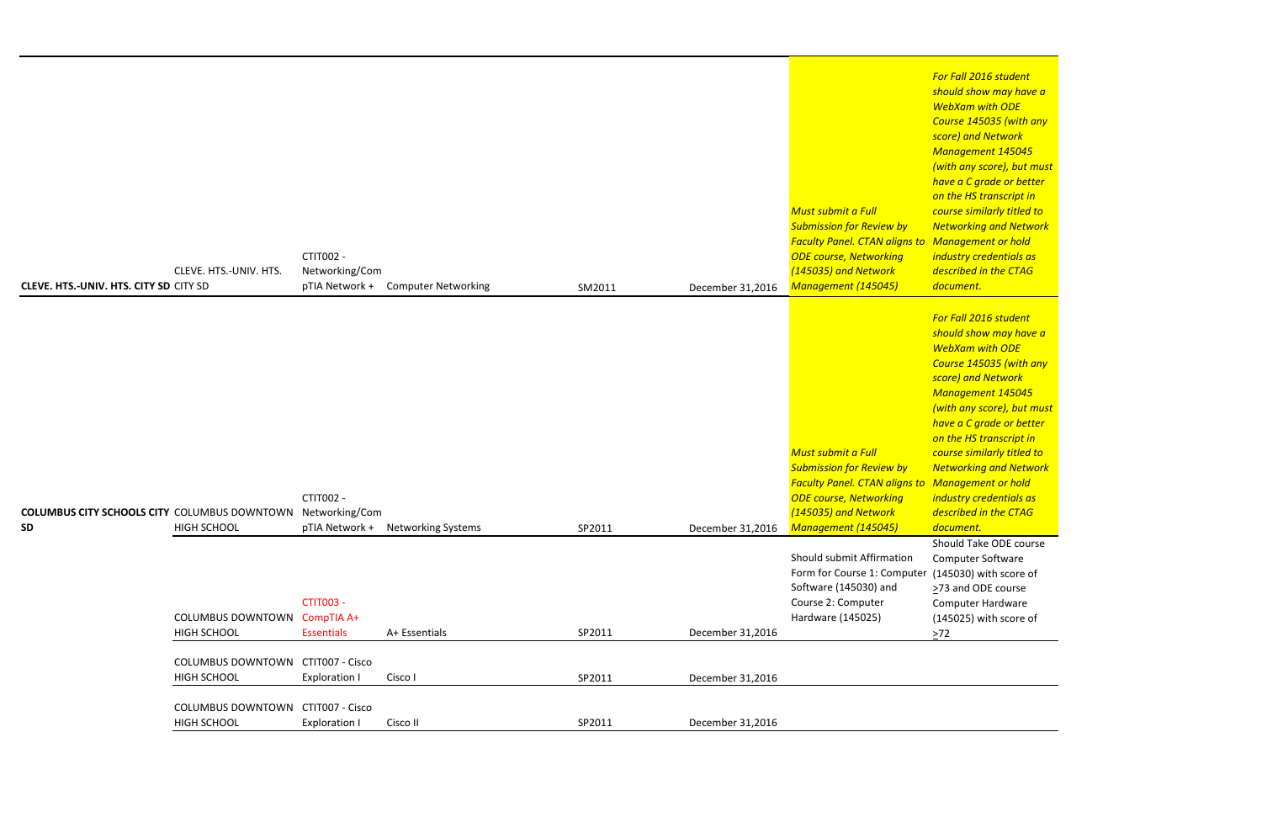*For Fall 2016 student should show may have a WebXam with ODE Course 145035 (with any score) and Network Management 145045 (with any score), but must have a C grade or better on the HS transcript in course similarly titled to Networking and Network Management or hold industry credentials as described in the CTAG document.*

Should Take ODE course Computer Software (145030) with score of ≥73 and ODE course Computer Hardware (145025) with score of  $>72$ 

|                                                     |                                     |                      |                                   |        |                  |                                        | -S                      |
|-----------------------------------------------------|-------------------------------------|----------------------|-----------------------------------|--------|------------------|----------------------------------------|-------------------------|
|                                                     |                                     |                      |                                   |        |                  |                                        |                         |
|                                                     |                                     |                      |                                   |        |                  |                                        |                         |
|                                                     |                                     |                      |                                   |        |                  |                                        |                         |
|                                                     |                                     |                      |                                   |        |                  |                                        |                         |
|                                                     |                                     |                      |                                   |        |                  | Must submit a Full                     | $\epsilon$              |
|                                                     |                                     |                      |                                   |        |                  | <b>Submission for Review by</b>        | $\sqrt{ }$              |
|                                                     |                                     |                      |                                   |        |                  | <b>Faculty Panel. CTAN aligns to N</b> |                         |
|                                                     |                                     | CTIT002 -            |                                   |        |                  | <b>ODE course, Networking</b>          | j,                      |
|                                                     | CLEVE. HTS.-UNIV. HTS.              | Networking/Com       |                                   |        |                  | (145035) and Network                   | $\overline{a}$          |
| <b>CLEVE. HTS.-UNIV. HTS. CITY SD CITY SD</b>       |                                     | pTIA Network +       | <b>Computer Networking</b>        | SM2011 | December 31,2016 | Management (145045)                    | $\overline{a}$          |
|                                                     |                                     |                      |                                   |        |                  |                                        |                         |
|                                                     |                                     |                      |                                   |        |                  |                                        |                         |
|                                                     |                                     |                      |                                   |        |                  |                                        | -S                      |
|                                                     |                                     |                      |                                   |        |                  |                                        |                         |
|                                                     |                                     |                      |                                   |        |                  |                                        |                         |
|                                                     |                                     |                      |                                   |        |                  |                                        |                         |
|                                                     |                                     |                      |                                   |        |                  |                                        |                         |
|                                                     |                                     |                      |                                   |        |                  |                                        |                         |
|                                                     |                                     |                      |                                   |        |                  |                                        |                         |
|                                                     |                                     |                      |                                   |        |                  |                                        |                         |
|                                                     |                                     |                      |                                   |        |                  | Must submit a Full                     |                         |
|                                                     |                                     |                      |                                   |        |                  | <b>Submission for Review by</b>        | $\sqrt{ }$              |
|                                                     |                                     |                      |                                   |        |                  | <b>Faculty Panel. CTAN aligns to N</b> |                         |
|                                                     |                                     | CTIT002 -            |                                   |        |                  | <b>ODE course, Networking</b>          | $\overline{\mathbf{u}}$ |
| <b>COLUMBUS CITY SCHOOLS CITY COLUMBUS DOWNTOWN</b> |                                     | Networking/Com       |                                   |        |                  | (145035) and Network                   | $\overline{a}$          |
| <b>SD</b>                                           | <b>HIGH SCHOOL</b>                  |                      | pTIA Network + Networking Systems | SP2011 | December 31,2016 | Management (145045)                    | $\overline{a}$          |
|                                                     |                                     |                      |                                   |        |                  |                                        | S                       |
|                                                     |                                     |                      |                                   |        |                  | Should submit Affirmation              |                         |
|                                                     |                                     |                      |                                   |        |                  | Form for Course 1: Computer (          |                         |
|                                                     |                                     |                      |                                   |        |                  | Software (145030) and                  | $\geq$                  |
|                                                     |                                     | <b>CTIT003 -</b>     |                                   |        |                  | Course 2: Computer                     |                         |
|                                                     | <b>COLUMBUS DOWNTOWN CompTIA A+</b> |                      |                                   |        |                  | Hardware (145025)                      |                         |
|                                                     | <b>HIGH SCHOOL</b>                  | <b>Essentials</b>    | A+ Essentials                     | SP2011 | December 31,2016 |                                        | >                       |
|                                                     |                                     |                      |                                   |        |                  |                                        |                         |
|                                                     | COLUMBUS DOWNTOWN CTIT007 - Cisco   |                      |                                   |        |                  |                                        |                         |
|                                                     | <b>HIGH SCHOOL</b>                  | <b>Exploration I</b> | Cisco I                           | SP2011 | December 31,2016 |                                        |                         |
|                                                     |                                     |                      |                                   |        |                  |                                        |                         |
|                                                     | COLUMBUS DOWNTOWN CTIT007 - Cisco   |                      |                                   |        |                  |                                        |                         |
|                                                     | <b>HIGH SCHOOL</b>                  | <b>Exploration I</b> | Cisco II                          | SP2011 | December 31,2016 |                                        |                         |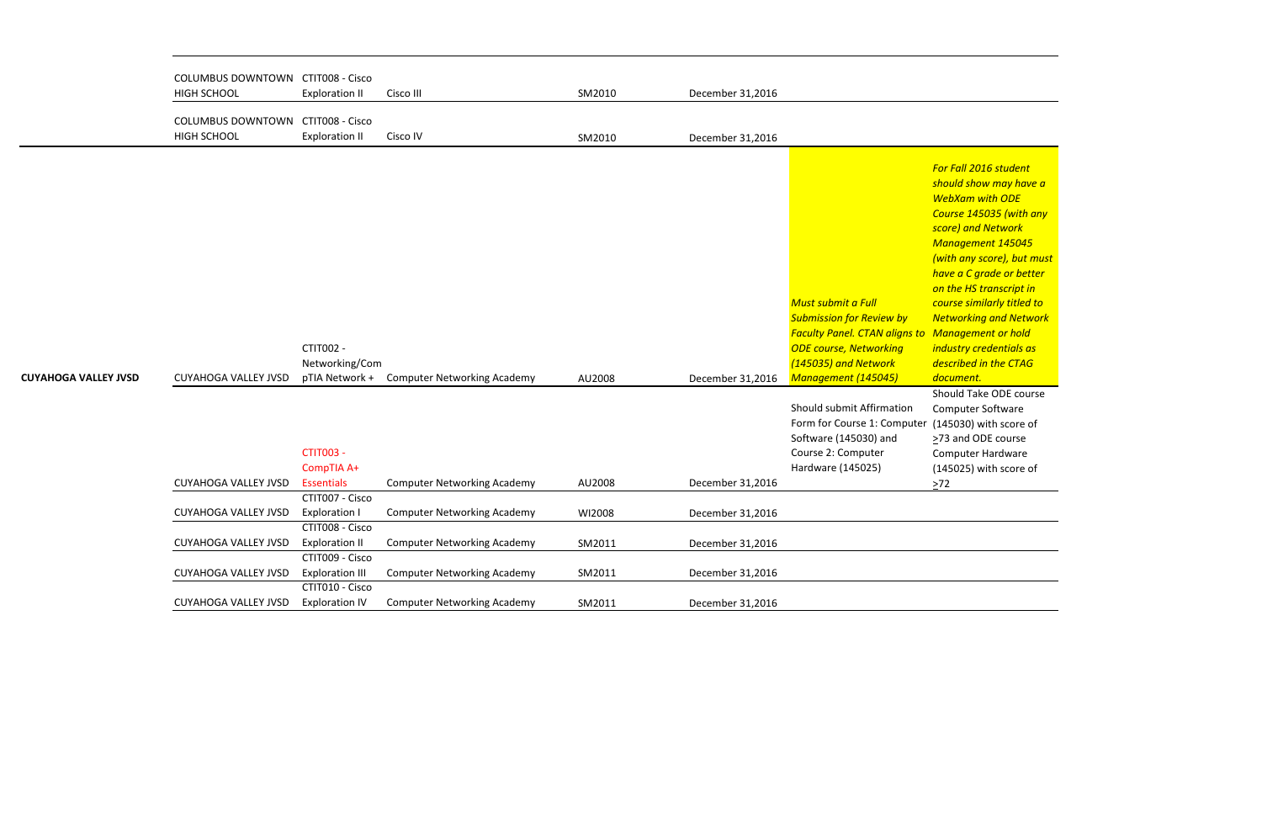Computer Software er (145030) with score of ≥73 and ODE course Computer Hardware (145025) with score of  $\geq$ 72

|                             | COLUMBUS DOWNTOWN CTIT008 - Cisco        |                        |                                    |        |                  |                                                 |
|-----------------------------|------------------------------------------|------------------------|------------------------------------|--------|------------------|-------------------------------------------------|
| <b>HIGH SCHOOL</b>          |                                          | <b>Exploration II</b>  | Cisco III                          | SM2010 | December 31,2016 |                                                 |
|                             |                                          |                        |                                    |        |                  |                                                 |
|                             | <b>COLUMBUS DOWNTOWN CTIT008 - Cisco</b> |                        |                                    |        |                  |                                                 |
| HIGH SCHOOL                 |                                          | <b>Exploration II</b>  | Cisco IV                           | SM2010 | December 31,2016 |                                                 |
|                             |                                          |                        |                                    |        |                  |                                                 |
|                             |                                          |                        |                                    |        |                  |                                                 |
|                             |                                          |                        |                                    |        |                  | $\mathcal{S}_{\mathcal{S}}$                     |
|                             |                                          |                        |                                    |        |                  |                                                 |
|                             |                                          |                        |                                    |        |                  |                                                 |
|                             |                                          |                        |                                    |        |                  | $\mathsf{s}$                                    |
|                             |                                          |                        |                                    |        |                  |                                                 |
|                             |                                          |                        |                                    |        |                  |                                                 |
|                             |                                          |                        |                                    |        |                  |                                                 |
|                             |                                          |                        |                                    |        |                  |                                                 |
|                             |                                          |                        |                                    |        |                  | O                                               |
|                             |                                          |                        |                                    |        |                  | Must submit a Full<br>$\epsilon$                |
|                             |                                          |                        |                                    |        |                  | <b>Submission for Review by</b><br>$\sqrt{ }$   |
|                             |                                          |                        |                                    |        |                  | <b>Faculty Panel. CTAN aligns to N</b>          |
|                             |                                          | CTIT002 -              |                                    |        |                  | <b>ODE course, Networking</b><br>j <sub>i</sub> |
|                             |                                          | Networking/Com         |                                    |        |                  | (145035) and Network<br>$\overline{a}$          |
| <b>CUYAHOGA VALLEY JVSD</b> | <b>CUYAHOGA VALLEY JVSD</b>              | pTIA Network +         | <b>Computer Networking Academy</b> | AU2008 | December 31,2016 | Management (145045)<br>$\overline{a}$           |
|                             |                                          |                        |                                    |        |                  | S                                               |
|                             |                                          |                        |                                    |        |                  | Should submit Affirmation                       |
|                             |                                          |                        |                                    |        |                  | Form for Course 1: Computer                     |
|                             |                                          |                        |                                    |        |                  | Software (145030) and<br>$\geq$                 |
|                             |                                          | <b>CTIT003 -</b>       |                                    |        |                  | Course 2: Computer                              |
|                             |                                          | CompTIA A+             |                                    |        |                  | Hardware (145025)                               |
|                             | <b>CUYAHOGA VALLEY JVSD</b>              | <b>Essentials</b>      | <b>Computer Networking Academy</b> | AU2008 | December 31,2016 | >                                               |
|                             |                                          | CTIT007 - Cisco        |                                    |        |                  |                                                 |
|                             | <b>CUYAHOGA VALLEY JVSD</b>              | <b>Exploration I</b>   | <b>Computer Networking Academy</b> | WI2008 | December 31,2016 |                                                 |
|                             |                                          | CTIT008 - Cisco        |                                    |        |                  |                                                 |
|                             | <b>CUYAHOGA VALLEY JVSD</b>              | <b>Exploration II</b>  | <b>Computer Networking Academy</b> | SM2011 | December 31,2016 |                                                 |
|                             |                                          | CTIT009 - Cisco        |                                    |        |                  |                                                 |
|                             | <b>CUYAHOGA VALLEY JVSD</b>              | <b>Exploration III</b> | <b>Computer Networking Academy</b> | SM2011 | December 31,2016 |                                                 |
|                             |                                          | CTIT010 - Cisco        |                                    |        |                  |                                                 |
|                             | <b>CUYAHOGA VALLEY JVSD</b>              | <b>Exploration IV</b>  | <b>Computer Networking Academy</b> | SM2011 | December 31,2016 |                                                 |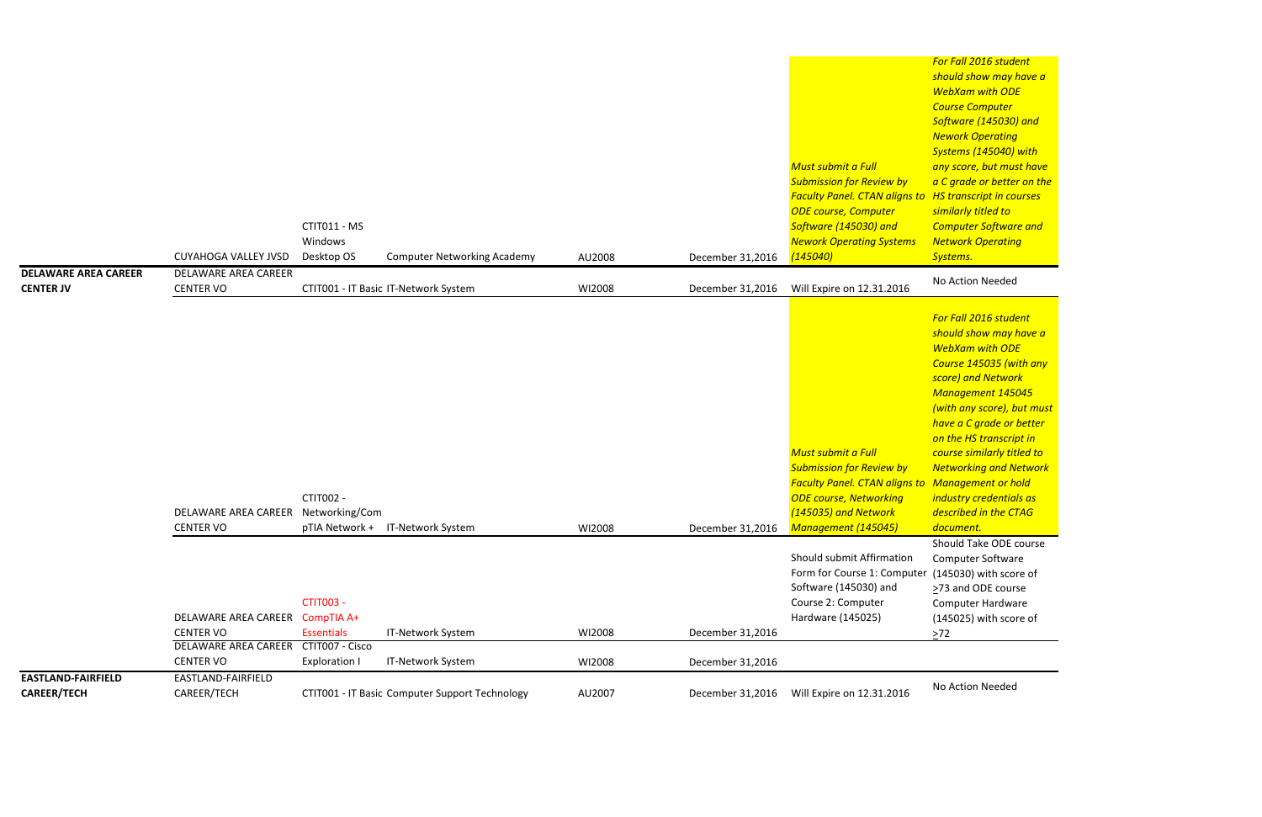*For Fall 2016 student should show may have a WebXam with ODE Course Computer Software (145030) and Nework Operating Systems (145040) with any score, but must have a C grade or better on the HS transcript in courses similarly titled to Computer Software and Network Operating Systems.*

Should Take ODE course Computer Software (145030) with score of ≥73 and ODE course Computer Hardware (145025) with score of  $\geq 72$ 

|                                                 | <b>CUYAHOGA VALLEY JVSD</b>                     | CTIT011 - MS<br>Windows<br>Desktop OS | <b>Computer Networking Academy</b>             | AU2008 | December 31,2016 | <b>Must submit a Full</b><br><b>Submission for Review by</b><br><b>Faculty Panel. CTAN aligns to</b><br><b>ODE course, Computer</b><br>Software (145030) and<br><b>Nework Operating Systems</b><br>(145040) | <u>Course comparer</u><br>Software (145030<br><b>Nework Operating</b><br><b>Systems (145040)</b><br>any score, but mus<br>a C grade or bette<br><b>HS</b> transcript in co<br>similarly titled to<br><b>Computer Softwar</b><br><b>Network Operatin</b><br>Systems.                                                        |
|-------------------------------------------------|-------------------------------------------------|---------------------------------------|------------------------------------------------|--------|------------------|-------------------------------------------------------------------------------------------------------------------------------------------------------------------------------------------------------------|----------------------------------------------------------------------------------------------------------------------------------------------------------------------------------------------------------------------------------------------------------------------------------------------------------------------------|
| <b>DELAWARE AREA CAREER</b><br><b>CENTER JV</b> | DELAWARE AREA CAREER<br><b>CENTER VO</b>        |                                       | CTIT001 - IT Basic IT-Network System           | WI2008 | December 31,2016 | Will Expire on 12.31.2016                                                                                                                                                                                   | No Action Needed                                                                                                                                                                                                                                                                                                           |
|                                                 | DELAWARE AREA CAREER<br><b>CENTER VO</b>        | CTIT002 -<br>Networking/Com           | pTIA Network + IT-Network System               | WI2008 | December 31,2016 | <b>Must submit a Full</b><br><b>Submission for Review by</b><br><b>Faculty Panel. CTAN aligns to Management or h</b><br><b>ODE course, Networking</b><br>(145035) and Network<br>Management (145045)        | For Fall 2016 stude<br>should show may I<br><b>WebXam with OD</b><br><b>Course 145035 (w)</b><br>score) and Networ<br><b>Management 145</b><br>(with any score), b<br>have a C grade or<br>on the HS transcri<br>course similarly tit<br><b>Networking and N</b><br>industry credentia<br>described in the C.<br>document. |
|                                                 | DELAWARE AREA CAREER                            | <b>CTIT003 -</b><br>CompTIA A+        |                                                |        |                  | Should submit Affirmation<br>Form for Course 1: Computer (145030) with sco<br>Software (145030) and<br>Course 2: Computer<br>Hardware (145025)                                                              | Should Take ODE<br>Computer Softwar<br>$\geq$ 73 and ODE cour<br>Computer Hardwa<br>(145025) with sco                                                                                                                                                                                                                      |
|                                                 | <b>CENTER VO</b><br><b>DELAWARE AREA CAREER</b> | <b>Essentials</b><br>CTIT007 - Cisco  | IT-Network System                              | WI2008 | December 31,2016 |                                                                                                                                                                                                             | $>72$                                                                                                                                                                                                                                                                                                                      |
|                                                 | <b>CENTER VO</b>                                | <b>Exploration I</b>                  | IT-Network System                              | WI2008 | December 31,2016 |                                                                                                                                                                                                             |                                                                                                                                                                                                                                                                                                                            |
| <b>EASTLAND-FAIRFIELD</b><br><b>CAREER/TECH</b> | EASTLAND-FAIRFIELD<br>CAREER/TECH               |                                       | CTIT001 - IT Basic Computer Support Technology | AU2007 | December 31,2016 | Will Expire on 12.31.2016                                                                                                                                                                                   | No Action Needed                                                                                                                                                                                                                                                                                                           |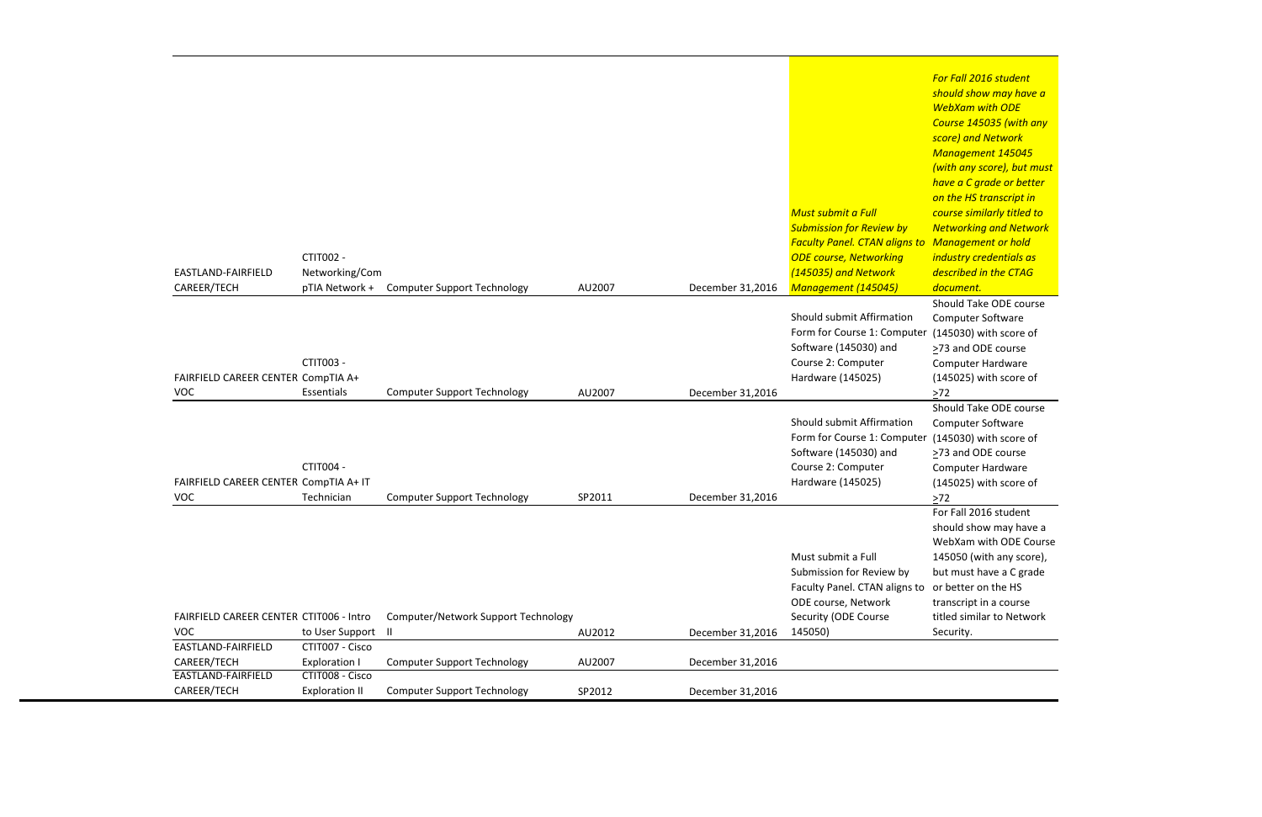Should Take ODE course Computer Software (145030) with score of >73 and ODE course Computer Hardware (145025) with score of  $\geq 72$ 

*For Fall 2016 student should show may have a WebXam with ODE Course 145035 (with any score) and Network Management 145045 (with any score), but must have a C grade or better on the HS transcript in course similarly titled to Networking and Network Management or hold industry credentials as described in the CTAG document.* Should Take ODE course Computer Software (145030) with score of >73 and ODE course Computer Hardware (145025) with score of

For Fall 2016 student should show may have a WebXam with ODE Course 145050 (with any score), but must have a C grade or better on the HS transcript in a course titled similar to Network Security.

|                                                       |                                         |                                     |        |                  |                                      | have<br>on th |
|-------------------------------------------------------|-----------------------------------------|-------------------------------------|--------|------------------|--------------------------------------|---------------|
|                                                       |                                         |                                     |        |                  | Must submit a Full                   | cours         |
|                                                       |                                         |                                     |        |                  | <b>Submission for Review by</b>      | <b>Netw</b>   |
|                                                       |                                         |                                     |        |                  | <b>Faculty Panel. CTAN aligns to</b> | Man           |
|                                                       | CTIT002 -                               |                                     |        |                  | <b>ODE course, Networking</b>        | indus         |
| EASTLAND-FAIRFIELD                                    | Networking/Com                          |                                     |        |                  | (145035) and Network                 | descr         |
| CAREER/TECH                                           | pTIA Network +                          | <b>Computer Support Technology</b>  | AU2007 | December 31,2016 | <b>Management (145045)</b>           | docu          |
|                                                       |                                         |                                     |        |                  |                                      | Shou          |
|                                                       |                                         |                                     |        |                  | Should submit Affirmation            | Com           |
|                                                       |                                         |                                     |        |                  | Form for Course 1: Computer          | (1450)        |
|                                                       |                                         |                                     |        |                  | Software (145030) and                | $>73$ a       |
|                                                       | CTIT003 -                               |                                     |        |                  | Course 2: Computer                   | Com           |
| FAIRFIELD CAREER CENTER CompTIA A+                    |                                         |                                     |        |                  | Hardware (145025)                    | (1450)        |
| <b>VOC</b>                                            | Essentials                              | <b>Computer Support Technology</b>  | AU2007 | December 31,2016 |                                      | $\geq 72$     |
|                                                       |                                         |                                     |        |                  |                                      | Shou          |
|                                                       |                                         |                                     |        |                  | Should submit Affirmation            | Com           |
|                                                       |                                         |                                     |        |                  | Form for Course 1: Computer          | (1450)        |
|                                                       |                                         |                                     |        |                  | Software (145030) and                | $>73$ a       |
|                                                       | CTIT004 -                               |                                     |        |                  | Course 2: Computer                   | Com           |
| FAIRFIELD CAREER CENTER CompTIA A+ IT                 |                                         |                                     |        |                  | Hardware (145025)                    | (1450)        |
| <b>VOC</b>                                            | Technician                              | <b>Computer Support Technology</b>  | SP2011 | December 31,2016 |                                      | $\geq$ 72     |
|                                                       |                                         |                                     |        |                  |                                      | For F         |
|                                                       |                                         |                                     |        |                  |                                      | shou          |
|                                                       |                                         |                                     |        |                  |                                      | Web)          |
|                                                       |                                         |                                     |        |                  | Must submit a Full                   | 1450          |
|                                                       |                                         |                                     |        |                  | Submission for Review by             | but n         |
|                                                       |                                         |                                     |        |                  | Faculty Panel. CTAN aligns to        | or be         |
|                                                       |                                         |                                     |        |                  | ODE course, Network                  | trans         |
| FAIRFIELD CAREER CENTER CTIT006 - Intro<br><b>VOC</b> |                                         | Computer/Network Support Technology |        |                  | Security (ODE Course                 | titled        |
| EASTLAND-FAIRFIELD                                    | to User Support<br>CTIT007 - Cisco      | Ш                                   | AU2012 | December 31,2016 | 145050)                              | Secu          |
|                                                       |                                         |                                     |        |                  |                                      |               |
| CAREER/TECH<br>EASTLAND-FAIRFIELD                     | <b>Exploration I</b><br>CTIT008 - Cisco | <b>Computer Support Technology</b>  | AU2007 | December 31,2016 |                                      |               |
| CAREER/TECH                                           | <b>Exploration II</b>                   | <b>Computer Support Technology</b>  | SP2012 | December 31,2016 |                                      |               |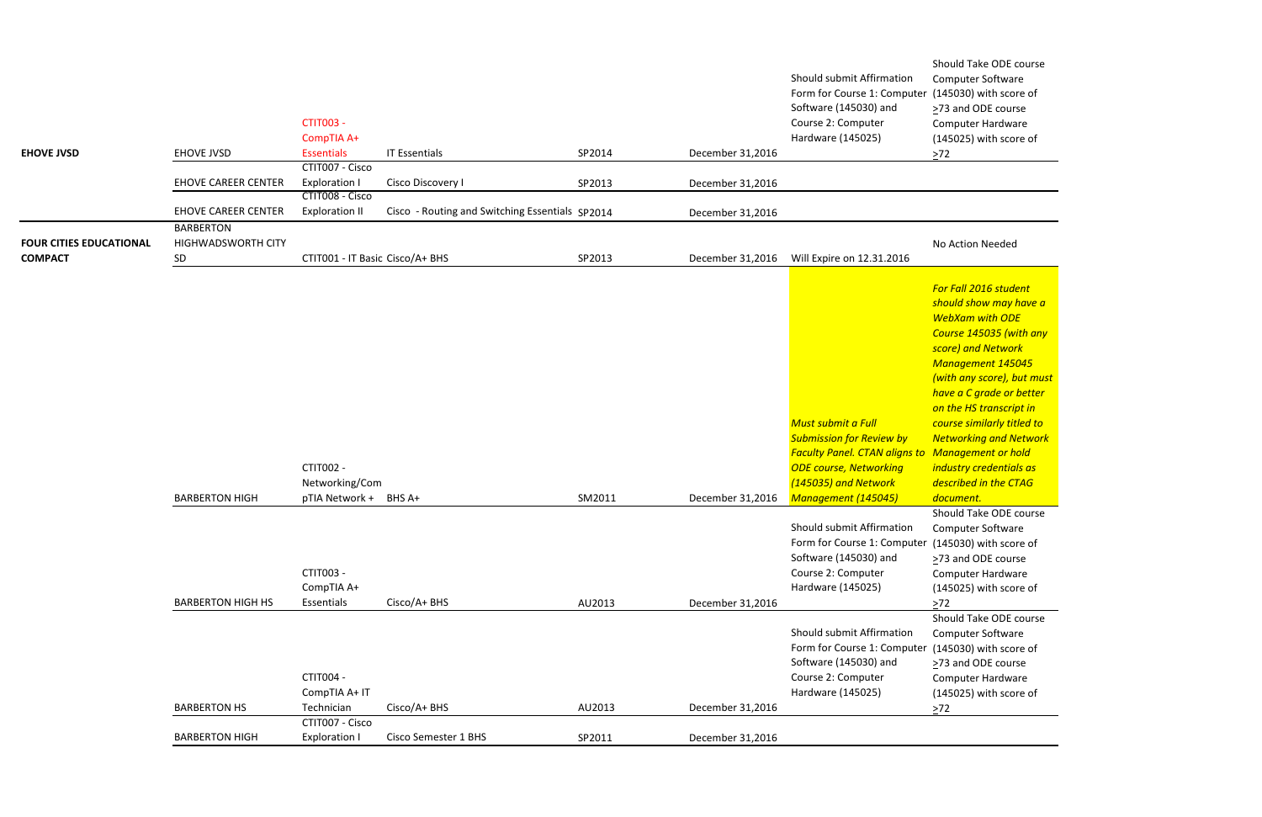Should Take ODE course Computer Software (145030) with score of ≥73 and ODE course Computer Hardware (145025) with score of  $\geq$ 72

### No Action Needed

Should Take ODE course Computer Software (145030) with score of ≥73 and ODE course Computer Hardware (145025) with score of  $\geq$ 72

Should Take ODE course Computer Software (145030) with score of >73 and ODE course Computer Hardware (145025) with score of  $\geq 72$ 

| <b>EHOVE JVSD</b>                                | <b>EHOVE JVSD</b>                            | <b>CTIT003 -</b><br>CompTIA A+<br><b>Essentials</b> | <b>IT Essentials</b>                            | SP2014 | December 31,2016 | Should submit Affirmation<br>C<br>Form for Course 1: Computer (<br>Software (145030) and<br>$\geq$<br>Course 2: Computer<br>Hardware (145025)<br>> |
|--------------------------------------------------|----------------------------------------------|-----------------------------------------------------|-------------------------------------------------|--------|------------------|----------------------------------------------------------------------------------------------------------------------------------------------------|
|                                                  | <b>EHOVE CAREER CENTER</b>                   | CTIT007 - Cisco<br><b>Exploration I</b>             | Cisco Discovery I                               | SP2013 | December 31,2016 |                                                                                                                                                    |
|                                                  | <b>EHOVE CAREER CENTER</b>                   | CTIT008 - Cisco<br><b>Exploration II</b>            | Cisco - Routing and Switching Essentials SP2014 |        | December 31,2016 |                                                                                                                                                    |
| <b>FOUR CITIES EDUCATIONAL</b><br><b>COMPACT</b> | <b>BARBERTON</b><br>HIGHWADSWORTH CITY<br>SD | CTIT001 - IT Basic Cisco/A+ BHS                     |                                                 | SP2013 | December 31,2016 | J.<br>Will Expire on 12.31.2016                                                                                                                    |
|                                                  |                                              |                                                     |                                                 |        |                  |                                                                                                                                                    |
|                                                  |                                              |                                                     |                                                 |        |                  | $\mathsf{s}$                                                                                                                                       |
|                                                  |                                              |                                                     |                                                 |        |                  | V                                                                                                                                                  |
|                                                  |                                              |                                                     |                                                 |        |                  |                                                                                                                                                    |
|                                                  |                                              |                                                     |                                                 |        |                  |                                                                                                                                                    |
|                                                  |                                              |                                                     |                                                 |        |                  |                                                                                                                                                    |
|                                                  |                                              |                                                     |                                                 |        |                  | $\mathsf{h}$                                                                                                                                       |
|                                                  |                                              |                                                     |                                                 |        |                  | Must submit a Full<br>C                                                                                                                            |
|                                                  |                                              |                                                     |                                                 |        |                  | <b>Submission for Review by</b><br>$\sqrt{ }$                                                                                                      |
|                                                  |                                              |                                                     |                                                 |        |                  | <b>Faculty Panel. CTAN aligns to N</b>                                                                                                             |
|                                                  |                                              | CTIT002 -                                           |                                                 |        |                  | <b>ODE course, Networking</b><br>-ii                                                                                                               |
|                                                  | <b>BARBERTON HIGH</b>                        | Networking/Com<br>pTIA Network + BHS A+             |                                                 | SM2011 | December 31,2016 | (145035) and Network<br>$\overline{a}$<br>Management (145045)<br>$\overline{a}$                                                                    |
|                                                  |                                              |                                                     |                                                 |        |                  | S                                                                                                                                                  |
|                                                  |                                              |                                                     |                                                 |        |                  | Should submit Affirmation                                                                                                                          |
|                                                  |                                              |                                                     |                                                 |        |                  | Form for Course 1: Computer (                                                                                                                      |
|                                                  |                                              |                                                     |                                                 |        |                  | Software (145030) and<br>$\geq$                                                                                                                    |
|                                                  |                                              | <b>CTIT003 -</b><br>CompTIA A+                      |                                                 |        |                  | Course 2: Computer<br>Hardware (145025)                                                                                                            |
|                                                  | <b>BARBERTON HIGH HS</b>                     | Essentials                                          | Cisco/A+ BHS                                    | AU2013 | December 31,2016 |                                                                                                                                                    |
|                                                  |                                              |                                                     |                                                 |        |                  | S                                                                                                                                                  |
|                                                  |                                              |                                                     |                                                 |        |                  | Should submit Affirmation                                                                                                                          |
|                                                  |                                              |                                                     |                                                 |        |                  | Form for Course 1: Computer (                                                                                                                      |
|                                                  |                                              | CTIT004 -                                           |                                                 |        |                  | Software (145030) and<br>⋗<br>Course 2: Computer                                                                                                   |
|                                                  |                                              | CompTIA A+ IT                                       |                                                 |        |                  | Hardware (145025)                                                                                                                                  |
|                                                  | <b>BARBERTON HS</b>                          | Technician                                          | Cisco/A+ BHS                                    | AU2013 | December 31,2016 | >                                                                                                                                                  |
|                                                  |                                              | CTIT007 - Cisco                                     |                                                 |        |                  |                                                                                                                                                    |
|                                                  | <b>BARBERTON HIGH</b>                        | <b>Exploration I</b>                                | Cisco Semester 1 BHS                            | SP2011 | December 31,2016 |                                                                                                                                                    |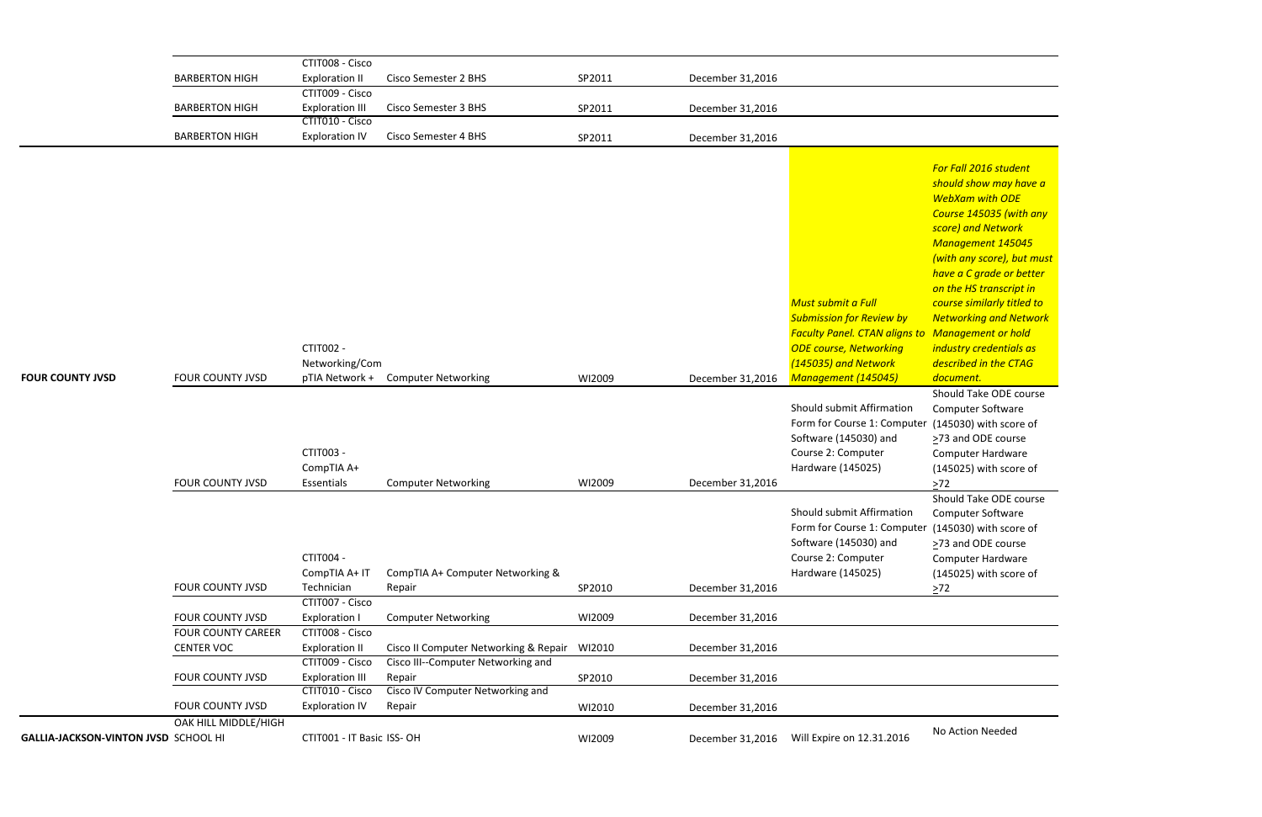*For Fall 2016 student should show may have a WebXam with ODE Course 145035 (with any score) and Network Management 145045 (with any score), but must have a C grade or better on the HS transcript in course similarly titled to Networking and Network Management or hold industry credentials as described in the CTAG document.* Should Take ODE course Computer Software (145030) with score of >73 and ODE course Computer Hardware (145025) with score of  $\geq$ 72 Should Take ODE course Computer Software  $(145030)$  with score of >73 and ODE course Computer Hardware (145025) with score of

|                                      |                           | CTIT008 - Cisco                           |                                            |        |                  |                                                      |                                                                        |
|--------------------------------------|---------------------------|-------------------------------------------|--------------------------------------------|--------|------------------|------------------------------------------------------|------------------------------------------------------------------------|
|                                      | <b>BARBERTON HIGH</b>     | <b>Exploration II</b>                     | <b>Cisco Semester 2 BHS</b>                | SP2011 | December 31,2016 |                                                      |                                                                        |
|                                      |                           | CTIT009 - Cisco                           |                                            |        |                  |                                                      |                                                                        |
|                                      | <b>BARBERTON HIGH</b>     | <b>Exploration III</b>                    | <b>Cisco Semester 3 BHS</b>                | SP2011 | December 31,2016 |                                                      |                                                                        |
|                                      |                           | CTIT010 - Cisco                           |                                            |        |                  |                                                      |                                                                        |
|                                      | <b>BARBERTON HIGH</b>     | <b>Exploration IV</b>                     | <b>Cisco Semester 4 BHS</b>                | SP2011 | December 31,2016 |                                                      |                                                                        |
|                                      |                           |                                           |                                            |        |                  |                                                      | For Fall 2016 stude<br>should show may                                 |
|                                      |                           |                                           |                                            |        |                  |                                                      | <b>WebXam with OD</b><br><b>Course 145035 (w)</b><br>score) and Networ |
|                                      |                           |                                           |                                            |        |                  |                                                      | <b>Management 145</b>                                                  |
|                                      |                           |                                           |                                            |        |                  |                                                      | (with any score), b<br>have a C grade or                               |
|                                      |                           |                                           |                                            |        |                  |                                                      | on the HS transcri                                                     |
|                                      |                           |                                           |                                            |        |                  | Must submit a Full                                   | course similarly tit                                                   |
|                                      |                           |                                           |                                            |        |                  | <b>Submission for Review by</b>                      | <b>Networking and N</b>                                                |
|                                      |                           |                                           |                                            |        |                  | <b>Faculty Panel. CTAN aligns to Management or h</b> |                                                                        |
|                                      |                           | CTIT002 -                                 |                                            |        |                  | <b>ODE course, Networking</b>                        | industry credentia                                                     |
|                                      |                           | Networking/Com                            |                                            |        |                  | (145035) and Network                                 | described in the C.                                                    |
| <b>FOUR COUNTY JVSD</b>              | <b>FOUR COUNTY JVSD</b>   | pTIA Network +                            | <b>Computer Networking</b>                 | WI2009 | December 31,2016 | Management (145045)                                  | document.                                                              |
|                                      |                           |                                           |                                            |        |                  |                                                      | Should Take ODE                                                        |
|                                      |                           |                                           |                                            |        |                  | Should submit Affirmation                            | Computer Softwar                                                       |
|                                      |                           |                                           |                                            |        |                  | Form for Course 1: Computer                          | (145030) with sco                                                      |
|                                      |                           |                                           |                                            |        |                  | Software (145030) and                                | >73 and ODE cour                                                       |
|                                      |                           | <b>CTIT003 -</b>                          |                                            |        |                  | Course 2: Computer                                   | Computer Hardwa                                                        |
|                                      | <b>FOUR COUNTY JVSD</b>   | CompTIA A+<br>Essentials                  |                                            |        |                  | Hardware (145025)                                    | (145025) with sco<br>$>72$                                             |
|                                      |                           |                                           | <b>Computer Networking</b>                 | WI2009 | December 31,2016 |                                                      | Should Take ODE                                                        |
|                                      |                           |                                           |                                            |        |                  | Should submit Affirmation                            | Computer Softwar                                                       |
|                                      |                           |                                           |                                            |        |                  | Form for Course 1: Computer                          | (145030) with sco                                                      |
|                                      |                           |                                           |                                            |        |                  | Software (145030) and                                | >73 and ODE cour                                                       |
|                                      |                           | <b>CTIT004 -</b>                          |                                            |        |                  | Course 2: Computer                                   | Computer Hardwa                                                        |
|                                      |                           | CompTIA A+ IT                             | CompTIA A+ Computer Networking &           |        |                  | Hardware (145025)                                    | (145025) with sco                                                      |
|                                      | <b>FOUR COUNTY JVSD</b>   | Technician                                | Repair                                     | SP2010 | December 31,2016 |                                                      | $\geq 72$                                                              |
|                                      |                           | CTIT007 - Cisco                           |                                            |        |                  |                                                      |                                                                        |
|                                      | <b>FOUR COUNTY JVSD</b>   | <b>Exploration I</b>                      | <b>Computer Networking</b>                 | WI2009 | December 31,2016 |                                                      |                                                                        |
|                                      | <b>FOUR COUNTY CAREER</b> | CTIT008 - Cisco                           |                                            |        |                  |                                                      |                                                                        |
|                                      | <b>CENTER VOC</b>         | <b>Exploration II</b>                     | Cisco II Computer Networking & Repair      | WI2010 | December 31,2016 |                                                      |                                                                        |
|                                      |                           | CTIT009 - Cisco                           | Cisco III--Computer Networking and         |        |                  |                                                      |                                                                        |
|                                      | <b>FOUR COUNTY JVSD</b>   | <b>Exploration III</b><br>CTIT010 - Cisco | Repair<br>Cisco IV Computer Networking and | SP2010 | December 31,2016 |                                                      |                                                                        |
|                                      | FOUR COUNTY JVSD          | <b>Exploration IV</b>                     | Repair                                     | WI2010 | December 31,2016 |                                                      |                                                                        |
|                                      | OAK HILL MIDDLE/HIGH      |                                           |                                            |        |                  |                                                      |                                                                        |
| GALLIA-JACKSON-VINTON JVSD SCHOOL HI |                           | CTIT001 - IT Basic ISS-OH                 |                                            | WI2009 | December 31,2016 | Will Expire on 12.31.2016                            | No Action Needed                                                       |
|                                      |                           |                                           |                                            |        |                  |                                                      |                                                                        |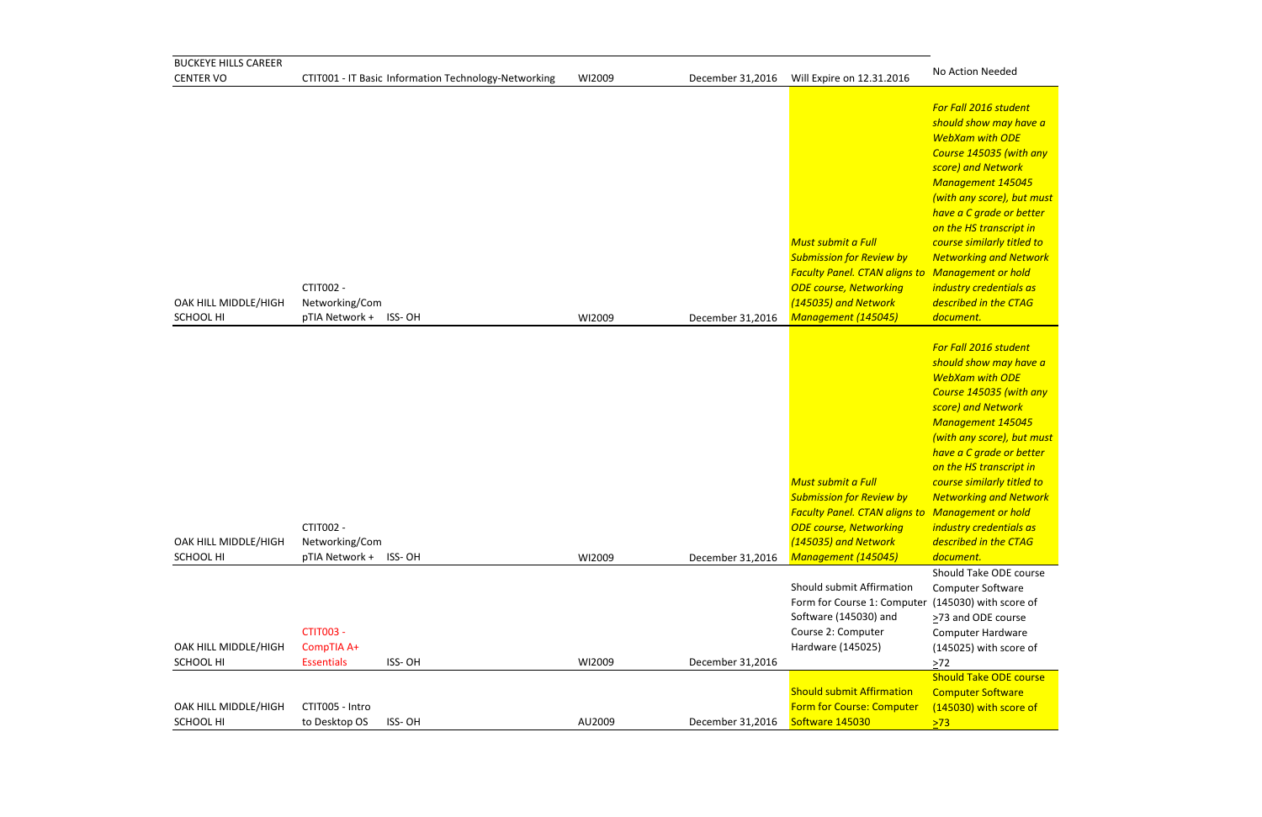*For Fall 2016 student should show may have a WebXam with ODE Course 145035 (with any score) and Network Management 145045 (with any score), but must have a C grade or better on the HS transcript in course similarly titled to Networking and Network Management or hold industry credentials as described in the CTAG document.*

| <b>BUCKEYE HILLS CAREER</b>              |                                                      |                                                      |        |                  |                                                                                                                                                                                               |                                                                                                                                                                                                                                                                                                                     |
|------------------------------------------|------------------------------------------------------|------------------------------------------------------|--------|------------------|-----------------------------------------------------------------------------------------------------------------------------------------------------------------------------------------------|---------------------------------------------------------------------------------------------------------------------------------------------------------------------------------------------------------------------------------------------------------------------------------------------------------------------|
| <b>CENTER VO</b>                         |                                                      | CTIT001 - IT Basic Information Technology-Networking | WI2009 | December 31,2016 | Will Expire on 12.31.2016                                                                                                                                                                     | No Action Needed                                                                                                                                                                                                                                                                                                    |
| OAK HILL MIDDLE/HIGH<br>SCHOOL HI        | CTIT002 -<br>Networking/Com<br>pTIA Network + ISS-OH |                                                      | WI2009 | December 31,2016 | Must submit a Full<br><b>Submission for Review by</b><br><b>Faculty Panel. CTAN aligns to Management or h</b><br><b>ODE course, Networking</b><br>(145035) and Network<br>Management (145045) | For Fall 2016 stude<br>should show may I<br><b>WebXam with OD</b><br>Course 145035 (w)<br>score) and Networ<br>Management 145<br>(with any score), b<br>have a C grade or<br>on the HS transcrip<br>course similarly tit<br><b>Networking and N</b><br>industry credentia<br>described in the C<br>document.        |
| OAK HILL MIDDLE/HIGH<br>SCHOOL HI        | CTIT002 -<br>Networking/Com<br>pTIA Network +        | ISS-OH                                               | WI2009 | December 31,2016 | Must submit a Full<br><b>Submission for Review by</b><br><b>Faculty Panel. CTAN aligns to Management or h</b><br><b>ODE course, Networking</b><br>(145035) and Network<br>Management (145045) | For Fall 2016 stude<br>should show may I<br><b>WebXam with OD</b><br><b>Course 145035 (w)</b><br>score) and Networ<br>Management 145<br>(with any score), b<br>have a C grade or<br>on the HS transcrip<br>course similarly tit<br><b>Networking and N</b><br>industry credentia<br>described in the C<br>document. |
| OAK HILL MIDDLE/HIGH<br><b>SCHOOL HI</b> | <b>CTIT003 -</b><br>CompTIA A+<br><b>Essentials</b>  | ISS-OH                                               | WI2009 | December 31,2016 | Should submit Affirmation<br>Form for Course 1: Computer (145030) with sco<br>Software (145030) and<br>Course 2: Computer<br>Hardware (145025)                                                | Should Take ODE o<br>Computer Softwar<br>>73 and ODE cour<br>Computer Hardwa<br>(145025) with sco<br>$>72$                                                                                                                                                                                                          |
| OAK HILL MIDDLE/HIGH<br>SCHOOL HI        | CTIT005 - Intro<br>to Desktop OS                     | ISS-OH                                               | AU2009 | December 31,2016 | <b>Should submit Affirmation</b><br><b>Form for Course: Computer</b><br>Software 145030                                                                                                       | <b>Should Take ODE</b><br><b>Computer Softwar</b><br>(145030) with sco<br>>73                                                                                                                                                                                                                                       |

Computer Software (145030) with score of  $>73$ 

*For Fall 2016 student should show may have a WebXam with ODE Course 145035 (with any score) and Network Management 145045 (with any score), but must have a C grade or better on the HS transcript in course similarly titled to Networking and Network Management or hold industry credentials as described in the CTAG document.*

Should Take ODE course Computer Software er (145030) with score of >73 and ODE course Computer Hardware (145025) with score of  $\geq 72$ Should Take ODE course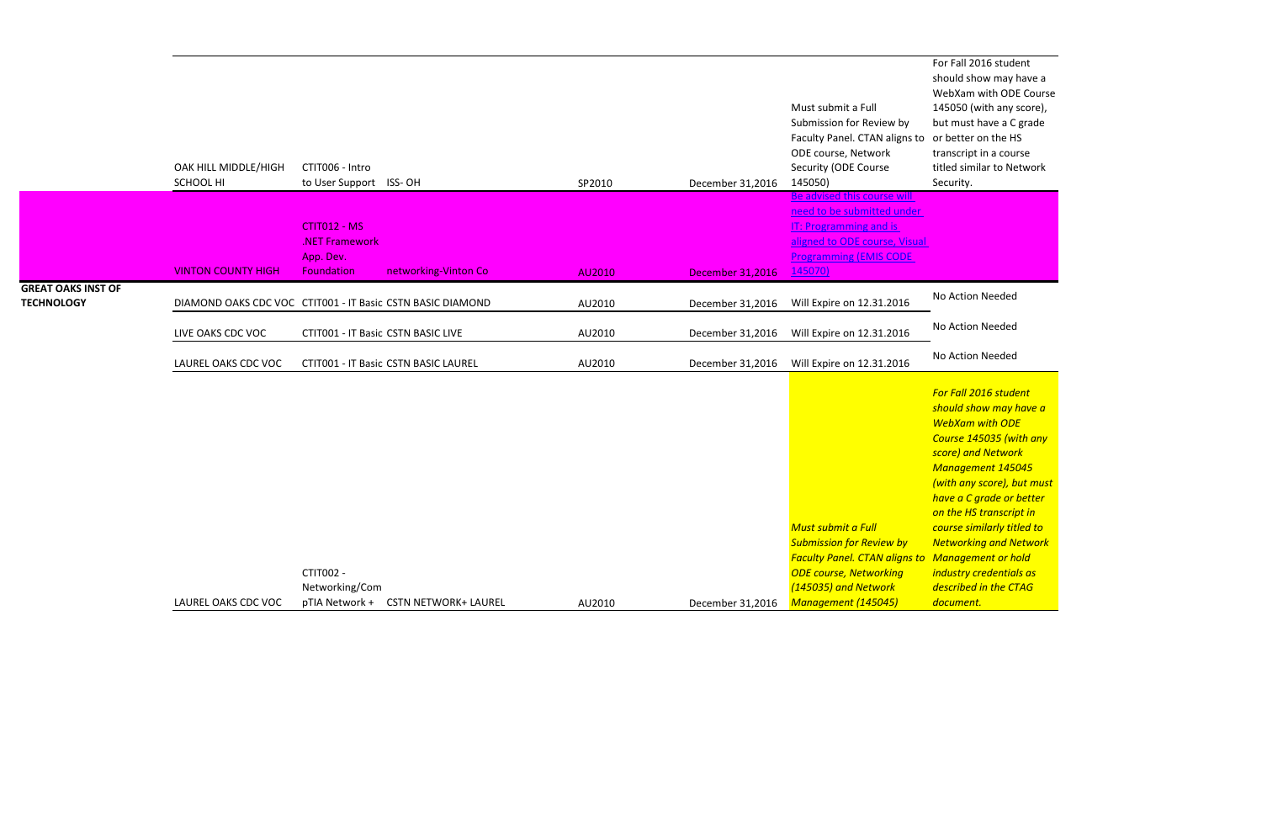For Fall 2016 student should show may have a WebXam with ODE Course 145050 (with any score), but must have a C grade transcript in a course titled similar to Network Security.

|                                                | OAK HILL MIDDLE/HIGH<br>SCHOOL HI                          | CTIT006 - Intro<br>to User Support ISS-OH   |                                      | SP2010 | December 31,2016        | Must submit a Full<br>Submission for Review by<br>Faculty Panel. CTAN aligns to<br>ODE course, Network<br>Security (ODE Course<br>145050)                                     | WebXam with ODE C<br>145050 (with any sco<br>but must have a C gr<br>or better on the HS<br>transcript in a course<br>titled similar to Netw<br>Security.                                                                                                                                                                                                              |
|------------------------------------------------|------------------------------------------------------------|---------------------------------------------|--------------------------------------|--------|-------------------------|-------------------------------------------------------------------------------------------------------------------------------------------------------------------------------|------------------------------------------------------------------------------------------------------------------------------------------------------------------------------------------------------------------------------------------------------------------------------------------------------------------------------------------------------------------------|
|                                                |                                                            | CTIT012 - MS<br>.NET Framework<br>App. Dev. |                                      |        |                         | Be advised this course wil<br>need to be submitted under<br><b>IT: Programming and is</b><br>aligned to ODE course, Visual<br><b>Programming (EMIS CODE</b>                   |                                                                                                                                                                                                                                                                                                                                                                        |
|                                                | <b>VINTON COUNTY HIGH</b>                                  | <b>Foundation</b>                           | networking-Vinton Co                 | AU2010 | <b>December 31,2016</b> | 145070)                                                                                                                                                                       |                                                                                                                                                                                                                                                                                                                                                                        |
| <b>GREAT OAKS INST OF</b><br><b>TECHNOLOGY</b> | DIAMOND OAKS CDC VOC CTIT001 - IT Basic CSTN BASIC DIAMOND |                                             |                                      | AU2010 | December 31,2016        | Will Expire on 12.31.2016                                                                                                                                                     | No Action Needed                                                                                                                                                                                                                                                                                                                                                       |
|                                                | LIVE OAKS CDC VOC                                          | CTIT001 - IT Basic CSTN BASIC LIVE          |                                      | AU2010 | December 31,2016        | Will Expire on 12.31.2016                                                                                                                                                     | No Action Needed                                                                                                                                                                                                                                                                                                                                                       |
|                                                | LAUREL OAKS CDC VOC                                        |                                             | CTIT001 - IT Basic CSTN BASIC LAUREL | AU2010 | December 31,2016        | Will Expire on 12.31.2016                                                                                                                                                     | No Action Needed                                                                                                                                                                                                                                                                                                                                                       |
|                                                | LAUREL OAKS CDC VOC                                        | CTIT002 -<br>Networking/Com                 | pTIA Network + CSTN NETWORK+ LAUREL  | AU2010 | December 31,2016        | Must submit a Full<br><b>Submission for Review by</b><br><b>Faculty Panel. CTAN aligns to</b><br><b>ODE course, Networking</b><br>(145035) and Network<br>Management (145045) | For Fall 2016 student<br>should show may hay<br><b>WebXam with ODE</b><br>Course 145035 (with<br>score) and Network<br><b>Management 14504.</b><br>(with any score), but<br>have a C grade or be<br>on the HS transcript<br>course similarly titled<br><b>Networking and Nety</b><br>Management or hold<br>industry credentials a<br>described in the CTA<br>document. |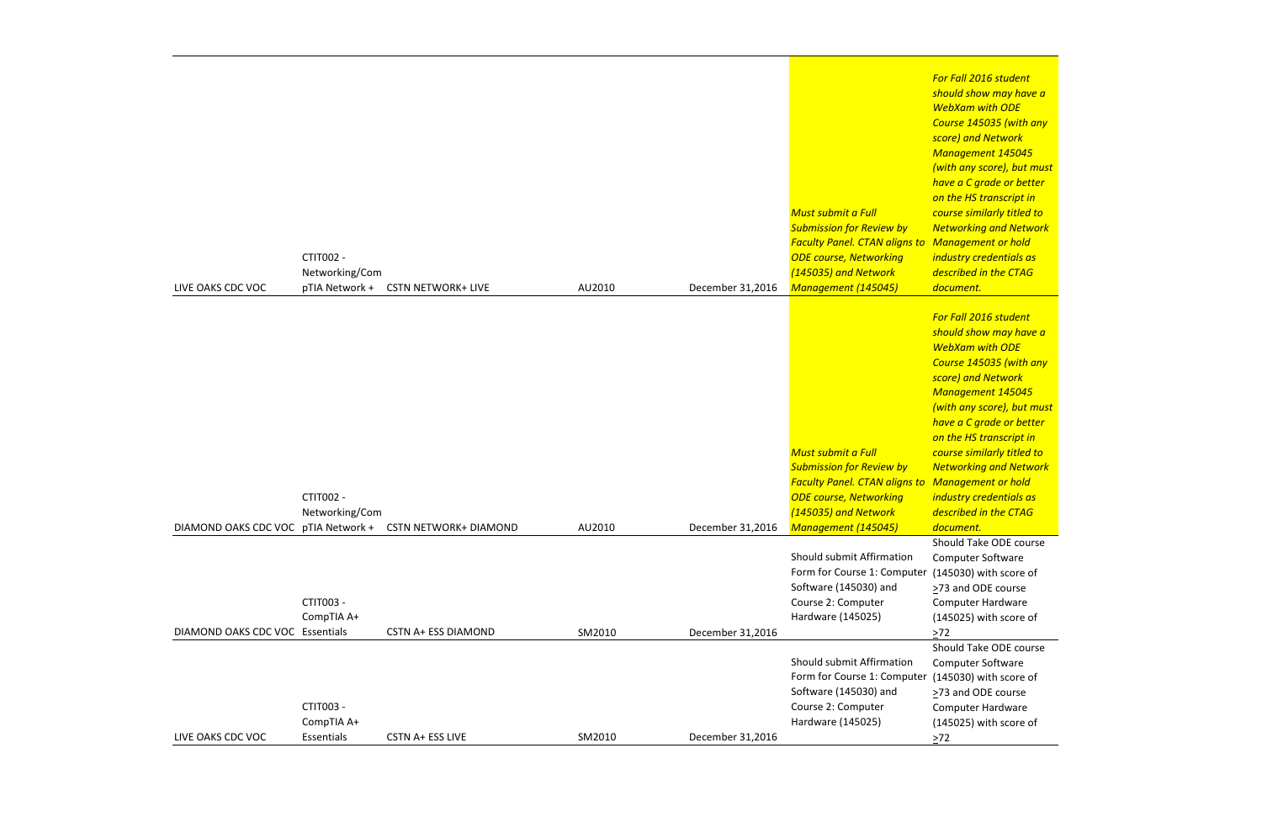*For Fall 2016 student should show may have a WebXam with ODE Course 145035 (with any score) and Network Management 145045 (with any score), but must have a C grade or better on the HS transcript in course similarly titled to Networking and Network Management or hold industry credentials as described in the CTAG document.*

|                                 |                |                                                           |        |                  |                                        | F                           |
|---------------------------------|----------------|-----------------------------------------------------------|--------|------------------|----------------------------------------|-----------------------------|
|                                 |                |                                                           |        |                  |                                        | S                           |
|                                 |                |                                                           |        |                  |                                        |                             |
|                                 |                |                                                           |        |                  |                                        |                             |
|                                 |                |                                                           |        |                  |                                        | $\mathcal{S}_{\mathcal{S}}$ |
|                                 |                |                                                           |        |                  |                                        |                             |
|                                 |                |                                                           |        |                  |                                        |                             |
|                                 |                |                                                           |        |                  |                                        |                             |
|                                 |                |                                                           |        |                  |                                        | $\overline{c}$              |
|                                 |                |                                                           |        |                  | <b>Must submit a Full</b>              | $\epsilon$                  |
|                                 |                |                                                           |        |                  | <b>Submission for Review by</b>        | $\sqrt{ }$                  |
|                                 |                |                                                           |        |                  | <b>Faculty Panel. CTAN aligns to N</b> |                             |
|                                 | CTIT002 -      |                                                           |        |                  | <b>ODE course, Networking</b>          | $\boldsymbol{i}$            |
|                                 | Networking/Com |                                                           |        |                  | (145035) and Network                   | $\overline{a}$              |
| LIVE OAKS CDC VOC               | pTIA Network + | <b>CSTN NETWORK+ LIVE</b>                                 | AU2010 | December 31,2016 | Management (145045)                    | $\overline{a}$              |
|                                 |                |                                                           |        |                  |                                        |                             |
|                                 |                |                                                           |        |                  |                                        | $\sqrt{2}$                  |
|                                 |                |                                                           |        |                  |                                        | $\mathsf{s}$                |
|                                 |                |                                                           |        |                  |                                        | V                           |
|                                 |                |                                                           |        |                  |                                        |                             |
|                                 |                |                                                           |        |                  |                                        | S                           |
|                                 |                |                                                           |        |                  |                                        | $\sqrt{ }$                  |
|                                 |                |                                                           |        |                  |                                        |                             |
|                                 |                |                                                           |        |                  |                                        | $\mathsf{n}$                |
|                                 |                |                                                           |        |                  |                                        |                             |
|                                 |                |                                                           |        |                  | Must submit a Full                     |                             |
|                                 |                |                                                           |        |                  | <b>Submission for Review by</b>        | $\epsilon$<br>$\sqrt{2}$    |
|                                 |                |                                                           |        |                  | <b>Faculty Panel. CTAN aligns to N</b> |                             |
|                                 | CTIT002 -      |                                                           |        |                  | <b>ODE course, Networking</b>          | j <sub>1</sub>              |
|                                 | Networking/Com |                                                           |        |                  | (145035) and Network                   |                             |
|                                 |                |                                                           |        |                  |                                        | $\overline{a}$              |
|                                 |                | DIAMOND OAKS CDC VOC pTIA Network + CSTN NETWORK+ DIAMOND | AU2010 | December 31,2016 | Management (145045)                    | $\overline{a}$              |
|                                 |                |                                                           |        |                  |                                        | S                           |
|                                 |                |                                                           |        |                  | Should submit Affirmation              |                             |
|                                 |                |                                                           |        |                  | Form for Course 1: Computer            |                             |
|                                 |                |                                                           |        |                  | Software (145030) and                  | ≥                           |
|                                 | CTIT003 -      |                                                           |        |                  | Course 2: Computer                     |                             |
|                                 | CompTIA A+     |                                                           |        |                  | Hardware (145025)                      |                             |
| DIAMOND OAKS CDC VOC Essentials |                | <b>CSTN A+ ESS DIAMOND</b>                                | SM2010 | December 31,2016 |                                        | >                           |
|                                 |                |                                                           |        |                  |                                        | S                           |
|                                 |                |                                                           |        |                  | Should submit Affirmation              |                             |
|                                 |                |                                                           |        |                  | Form for Course 1: Computer            |                             |
|                                 |                |                                                           |        |                  | Software (145030) and                  | ⋗                           |
|                                 | CTIT003 -      |                                                           |        |                  | Course 2: Computer                     |                             |
|                                 | CompTIA A+     |                                                           |        |                  | Hardware (145025)                      |                             |
| LIVE OAKS CDC VOC               | Essentials     | CSTN A+ ESS LIVE                                          | SM2010 | December 31,2016 |                                        |                             |
|                                 |                |                                                           |        |                  |                                        |                             |

Computer Software er (145030) with score of ≥73 and ODE course Computer Hardware (145025) with score of  $\geq 72$ 

*For Fall 2016 student should show may have a WebXam with ODE Course 145035 (with any score) and Network Management 145045 (with any score), but must have a C grade or better on the HS transcript in course similarly titled to Networking and Network Management or hold industry credentials as described in the CTAG document.*

Should Take ODE course Computer Software er (145030) with score of ≥73 and ODE course Computer Hardware (145025) with score of  $\geq 72$ Should Take ODE course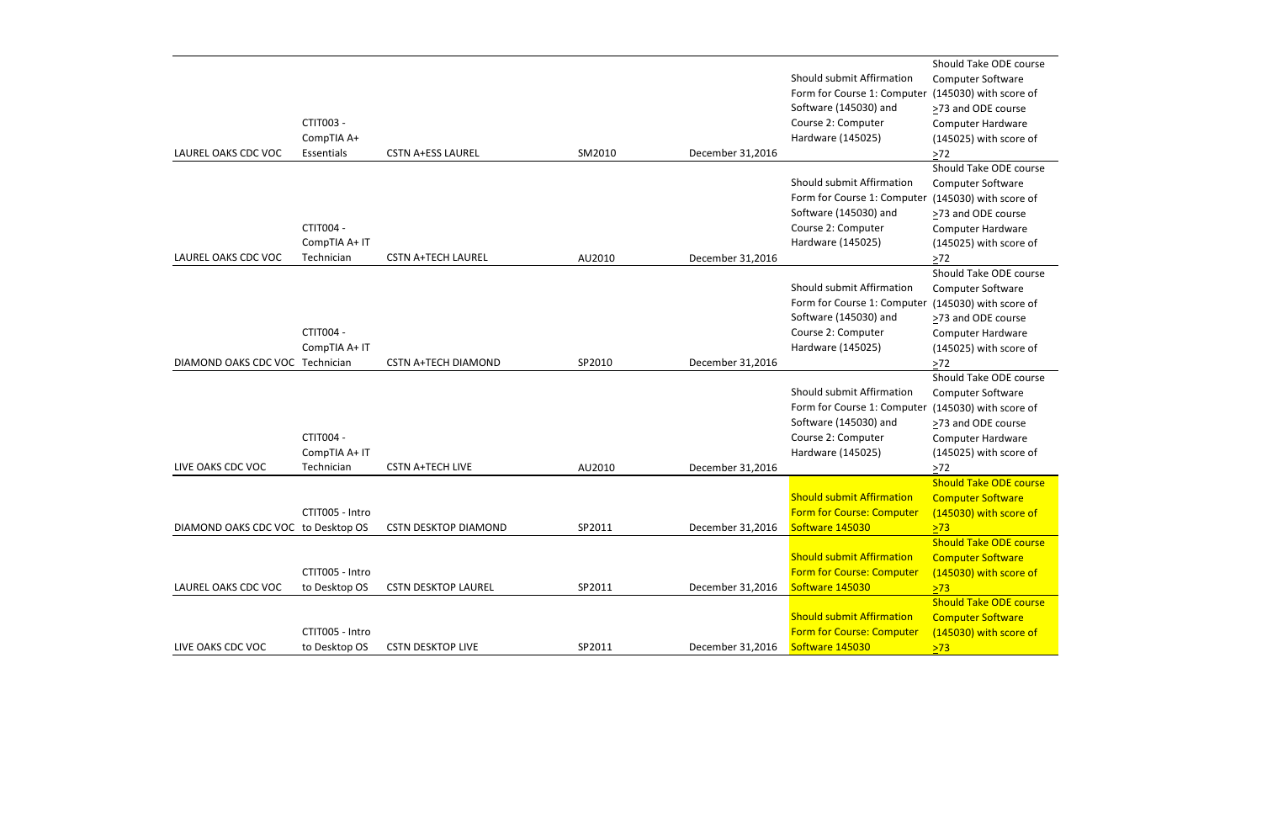| LAUREL OAKS CDC VOC                | CTIT003 -<br>CompTIA A+<br>Essentials    | <b>CSTN A+ESS LAUREL</b>    | SM2010 | December 31,2016 | Should submit Affirmation<br>Form for Course 1: Computer<br>Software (145030) and<br>Course 2: Computer<br>Hardware (145025) |
|------------------------------------|------------------------------------------|-----------------------------|--------|------------------|------------------------------------------------------------------------------------------------------------------------------|
| LAUREL OAKS CDC VOC                | CTIT004 -<br>CompTIA A+ IT<br>Technician | <b>CSTN A+TECH LAUREL</b>   | AU2010 | December 31,2016 | Should submit Affirmation<br>Form for Course 1: Computer<br>Software (145030) and<br>Course 2: Computer<br>Hardware (145025) |
| DIAMOND OAKS CDC VOC Technician    | CTIT004 -<br>CompTIA A+ IT               | <b>CSTN A+TECH DIAMOND</b>  | SP2010 | December 31,2016 | Should submit Affirmation<br>Form for Course 1: Computer<br>Software (145030) and<br>Course 2: Computer<br>Hardware (145025) |
| LIVE OAKS CDC VOC                  | CTIT004 -<br>CompTIA A+ IT<br>Technician | <b>CSTN A+TECH LIVE</b>     | AU2010 | December 31,2016 | Should submit Affirmation<br>Form for Course 1: Computer<br>Software (145030) and<br>Course 2: Computer<br>Hardware (145025) |
| DIAMOND OAKS CDC VOC to Desktop OS | CTIT005 - Intro                          | <b>CSTN DESKTOP DIAMOND</b> | SP2011 | December 31,2016 | <b>Should submit Affirmation</b><br><b>Form for Course: Computer</b><br>Software 145030                                      |
| LAUREL OAKS CDC VOC                | CTIT005 - Intro<br>to Desktop OS         | <b>CSTN DESKTOP LAUREL</b>  | SP2011 | December 31,2016 | <b>Should submit Affirmation</b><br><b>Form for Course: Computer</b><br>Software 145030                                      |
| LIVE OAKS CDC VOC                  | CTIT005 - Intro<br>to Desktop OS         | <b>CSTN DESKTOP LIVE</b>    | SP2011 | December 31,2016 | <b>Should submit Affirmation</b><br><b>Form for Course: Computer</b><br>Software 145030                                      |

Should Take ODE course Computer Software (145030) with score of ≥73 and ODE course Computer Hardware (145025) with score of  $>72$ Should Take ODE course Computer Software (145030) with score of >73 and ODE course Computer Hardware (145025) with score of  $\geq 72$ Should Take ODE course Computer Software (145030) with score of >73 and ODE course Computer Hardware (145025) with score of  $\frac{272}{ }$ Should Take ODE course Computer Software (145030) with score of >73 and ODE course Computer Hardware (145025) with score of  $\geq 72$ Should Take ODE course Computer Software (145030) with score of  $\geq$ 73  $\geq$ **Should Take ODE course** Computer Software (145030) with score of  $\sqrt{273}$ **Should Take ODE course Computer Software** (145030) with score of >73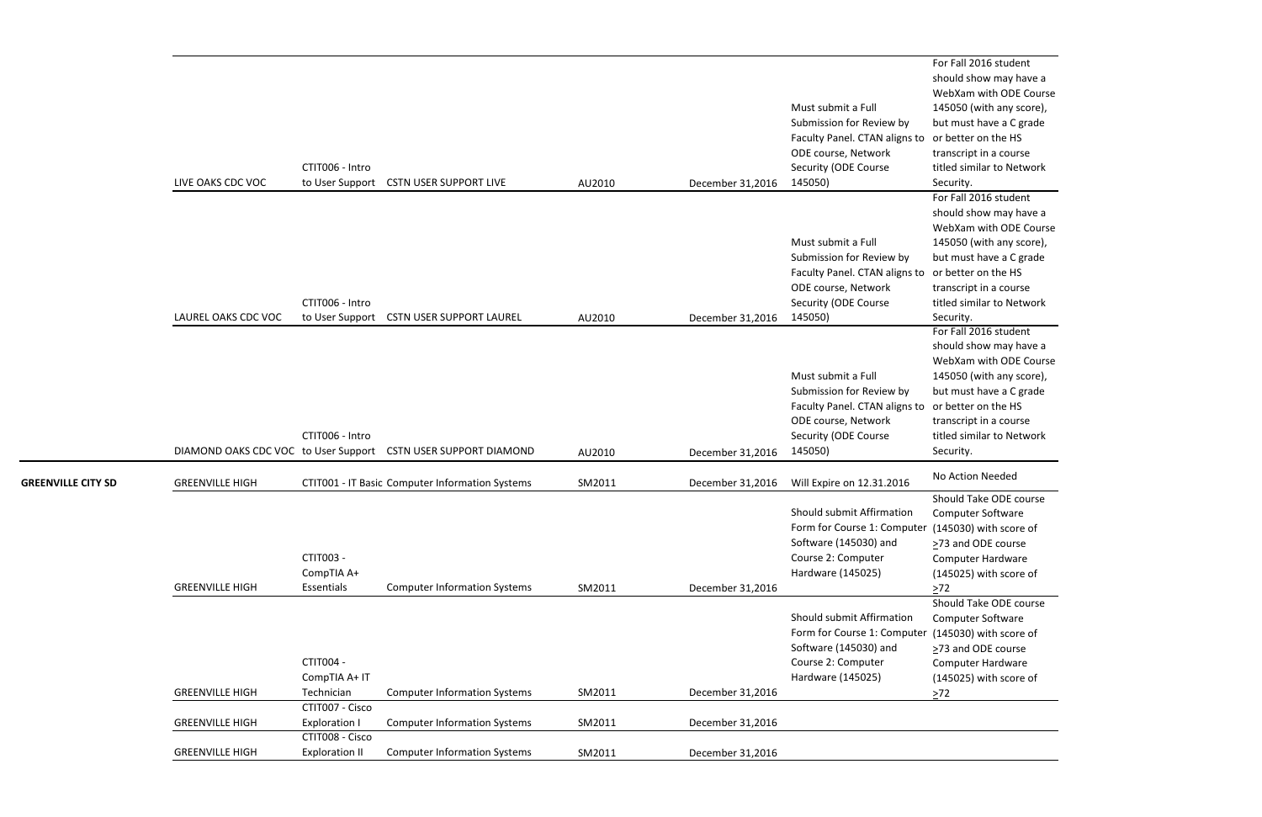For Fall 2016 student should show may have a WebXam with ODE Course 145050 (with any score), but must have a C grade or better on the HS transcript in a course titled similar to Network Security.

For Fall 2016 student should show may have a WebXam with ODE Course 145050 (with any score), but must have a C grade or better on the HS transcript in a course titled similar to Network Security.

Should Take ODE course Computer Software (145030) with score of >73 and ODE course Computer Hardware (145025) with score of  $2^{72}$ 

Should Take ODE course Computer Software (145030) with score of >73 and ODE course Computer Hardware (145025) with score of  $\geq 72$ 

|                           | LIVE OAKS CDC VOC      | CTIT006 - Intro                          | to User Support CSTN USER SUPPORT LIVE                         | AU2010 | December 31,2016 | Must submit a Full<br>Submission for Review by<br>Faculty Panel. CTAN aligns to<br>ODE course, Network<br>Security (ODE Course<br>145050)                    | WebXam with OD<br>145050 (with any<br>but must have a C<br>or better on the H<br>transcript in a cou<br>titled similar to Ne<br>Security.                                           |
|---------------------------|------------------------|------------------------------------------|----------------------------------------------------------------|--------|------------------|--------------------------------------------------------------------------------------------------------------------------------------------------------------|-------------------------------------------------------------------------------------------------------------------------------------------------------------------------------------|
|                           | LAUREL OAKS CDC VOC    | CTIT006 - Intro                          | to User Support CSTN USER SUPPORT LAUREL                       | AU2010 | December 31,2016 | Must submit a Full<br>Submission for Review by<br>Faculty Panel. CTAN aligns to or better on the H<br>ODE course, Network<br>Security (ODE Course<br>145050) | For Fall 2016 stud<br>should show may<br>WebXam with OD<br>145050 (with any<br>but must have a C<br>transcript in a cou<br>titled similar to Ne<br>Security.                        |
|                           |                        | CTIT006 - Intro                          | DIAMOND OAKS CDC VOC to User Support CSTN USER SUPPORT DIAMOND | AU2010 | December 31,2016 | Must submit a Full<br>Submission for Review by<br>Faculty Panel. CTAN aligns to<br>ODE course, Network<br>Security (ODE Course<br>145050)                    | For Fall 2016 stude<br>should show may<br>WebXam with OD<br>145050 (with any<br>but must have a C<br>or better on the H<br>transcript in a cou<br>titled similar to Ne<br>Security. |
| <b>GREENVILLE CITY SD</b> | <b>GREENVILLE HIGH</b> |                                          | CTIT001 - IT Basic Computer Information Systems                | SM2011 | December 31,2016 | Will Expire on 12.31.2016                                                                                                                                    | No Action Needed                                                                                                                                                                    |
|                           | <b>GREENVILLE HIGH</b> | CTIT003 -<br>CompTIA A+<br>Essentials    | <b>Computer Information Systems</b>                            | SM2011 | December 31,2016 | Should submit Affirmation<br>Form for Course 1: Computer (145030) with sco<br>Software (145030) and<br>Course 2: Computer<br>Hardware (145025)               | Should Take ODE<br>Computer Softwar<br>>73 and ODE cour<br>Computer Hardwa<br>(145025) with sco<br>$>72$                                                                            |
|                           | <b>GREENVILLE HIGH</b> | CTIT004 -<br>CompTIA A+ IT<br>Technician | <b>Computer Information Systems</b>                            | SM2011 | December 31,2016 | Should submit Affirmation<br>Form for Course 1: Computer<br>Software (145030) and<br>Course 2: Computer<br>Hardware (145025)                                 | Should Take ODE<br>Computer Softwar<br>(145030) with sco<br>>73 and ODE cour<br>Computer Hardwa<br>(145025) with sco<br>$>72$                                                       |
|                           | <b>GREENVILLE HIGH</b> | CTIT007 - Cisco<br><b>Exploration I</b>  | <b>Computer Information Systems</b>                            | SM2011 | December 31,2016 |                                                                                                                                                              |                                                                                                                                                                                     |
|                           | <b>GREENVILLE HIGH</b> | CTIT008 - Cisco<br><b>Exploration II</b> | <b>Computer Information Systems</b>                            | SM2011 | December 31,2016 |                                                                                                                                                              |                                                                                                                                                                                     |
|                           |                        |                                          |                                                                |        |                  |                                                                                                                                                              |                                                                                                                                                                                     |

For Fall 2016 student should show may have a WebXam with ODE Course 145050 (with any score), but must have a C grade or better on the HS transcript in a course titled similar to Network Security.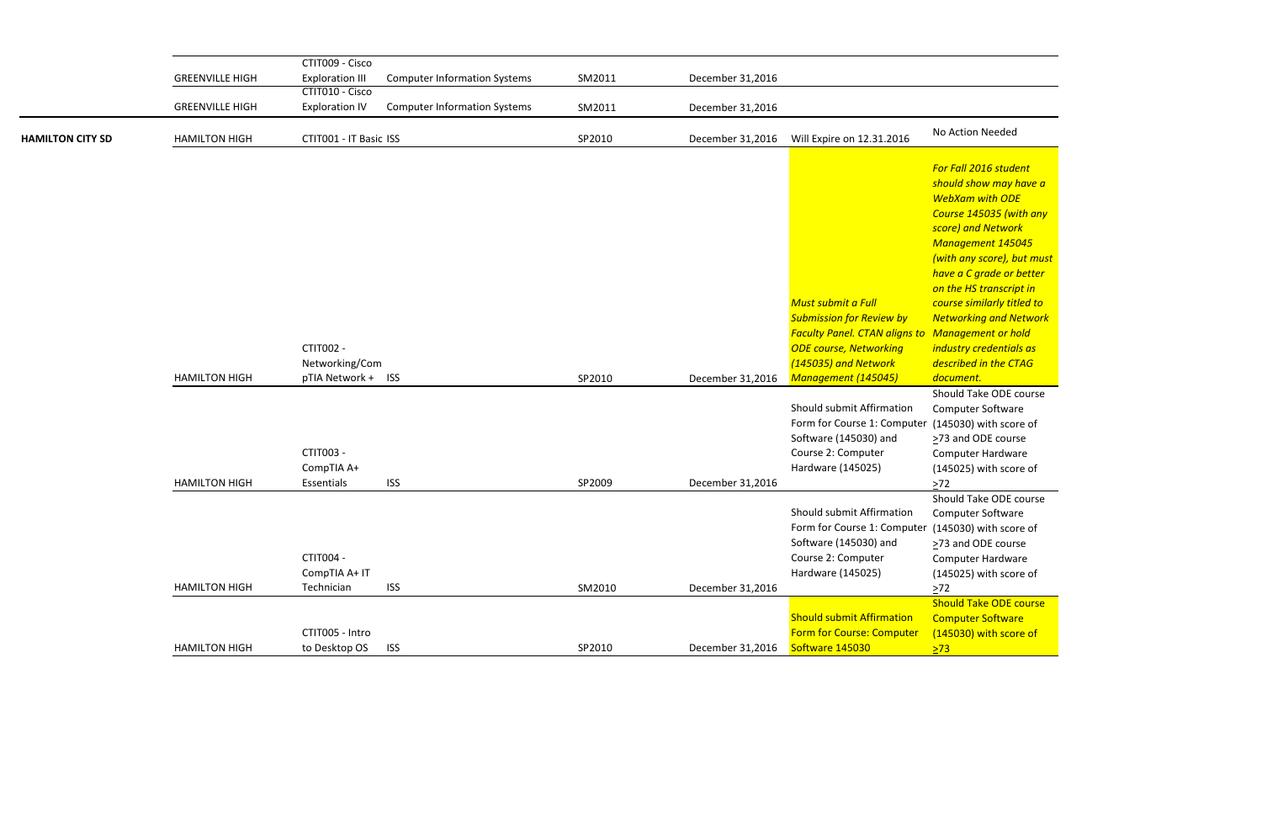Should Take ODE course Computer Software er (145030) with score of >73 and ODE course Computer Hardware (145025) with score of  $\geq$ 72

Should Take ODE course Computer Software er (145030) with score of >73 and ODE course Computer Hardware (145025) with score of  $\geq 72$ 

**Should Take ODE course Computer Software** (145030) with score of  $\geq$ 73

|                         |                        | CTIT009 - Cisco                          |                                     |        |                  |                                                                                                                                                                        |                                                                                                                                                                                                                                                                                                      |
|-------------------------|------------------------|------------------------------------------|-------------------------------------|--------|------------------|------------------------------------------------------------------------------------------------------------------------------------------------------------------------|------------------------------------------------------------------------------------------------------------------------------------------------------------------------------------------------------------------------------------------------------------------------------------------------------|
|                         | <b>GREENVILLE HIGH</b> | <b>Exploration III</b>                   | <b>Computer Information Systems</b> | SM2011 | December 31,2016 |                                                                                                                                                                        |                                                                                                                                                                                                                                                                                                      |
|                         |                        | CTIT010 - Cisco                          |                                     |        |                  |                                                                                                                                                                        |                                                                                                                                                                                                                                                                                                      |
|                         | <b>GREENVILLE HIGH</b> | <b>Exploration IV</b>                    | <b>Computer Information Systems</b> | SM2011 | December 31,2016 |                                                                                                                                                                        |                                                                                                                                                                                                                                                                                                      |
| <b>HAMILTON CITY SD</b> | <b>HAMILTON HIGH</b>   | CTIT001 - IT Basic ISS                   |                                     | SP2010 | December 31,2016 | Will Expire on 12.31.2016                                                                                                                                              | No Action Needed                                                                                                                                                                                                                                                                                     |
|                         |                        | CTIT002 -<br>Networking/Com              |                                     |        |                  | Must submit a Full<br><b>Submission for Review by</b><br><b>Faculty Panel. CTAN aligns to Management or h</b><br><b>ODE course, Networking</b><br>(145035) and Network | For Fall 2016 stude<br>should show may<br><b>WebXam with OD</b><br><b>Course 145035 (w)</b><br>score) and Networ<br>Management 145<br>(with any score), b<br>have a C grade or<br>on the HS transcri<br>course similarly tit<br><b>Networking and N</b><br>industry credentia<br>described in the C. |
|                         | <b>HAMILTON HIGH</b>   | pTIA Network + ISS                       |                                     | SP2010 | December 31,2016 | Management (145045)                                                                                                                                                    | document.                                                                                                                                                                                                                                                                                            |
|                         | <b>HAMILTON HIGH</b>   | CTIT003 -<br>CompTIA A+<br>Essentials    | <b>ISS</b>                          | SP2009 | December 31,2016 | Should submit Affirmation<br>Form for Course 1: Computer<br>Software (145030) and<br>Course 2: Computer<br>Hardware (145025)                                           | Should Take ODE<br>Computer Softwar<br>(145030) with sco<br>>73 and ODE cour<br>Computer Hardwa<br>(145025) with sco<br>$>72$                                                                                                                                                                        |
|                         | <b>HAMILTON HIGH</b>   | CTIT004 -<br>CompTIA A+ IT<br>Technician | <b>ISS</b>                          | SM2010 | December 31,2016 | Should submit Affirmation<br>Form for Course 1: Computer (145030) with sco<br>Software (145030) and<br>Course 2: Computer<br>Hardware (145025)                         | Should Take ODE<br>Computer Softwar<br>>73 and ODE cour<br>Computer Hardwa<br>(145025) with sco<br>$>72$                                                                                                                                                                                             |
|                         |                        | CTIT005 - Intro                          |                                     |        |                  | <b>Should submit Affirmation</b><br><b>Form for Course: Computer</b>                                                                                                   | <b>Should Take ODE</b><br><b>Computer Softwar</b><br>(145030) with sco                                                                                                                                                                                                                               |
|                         | <b>HAMILTON HIGH</b>   | to Desktop OS                            | <b>ISS</b>                          | SP2010 | December 31,2016 | Software 145030                                                                                                                                                        | $\sqrt{273}$                                                                                                                                                                                                                                                                                         |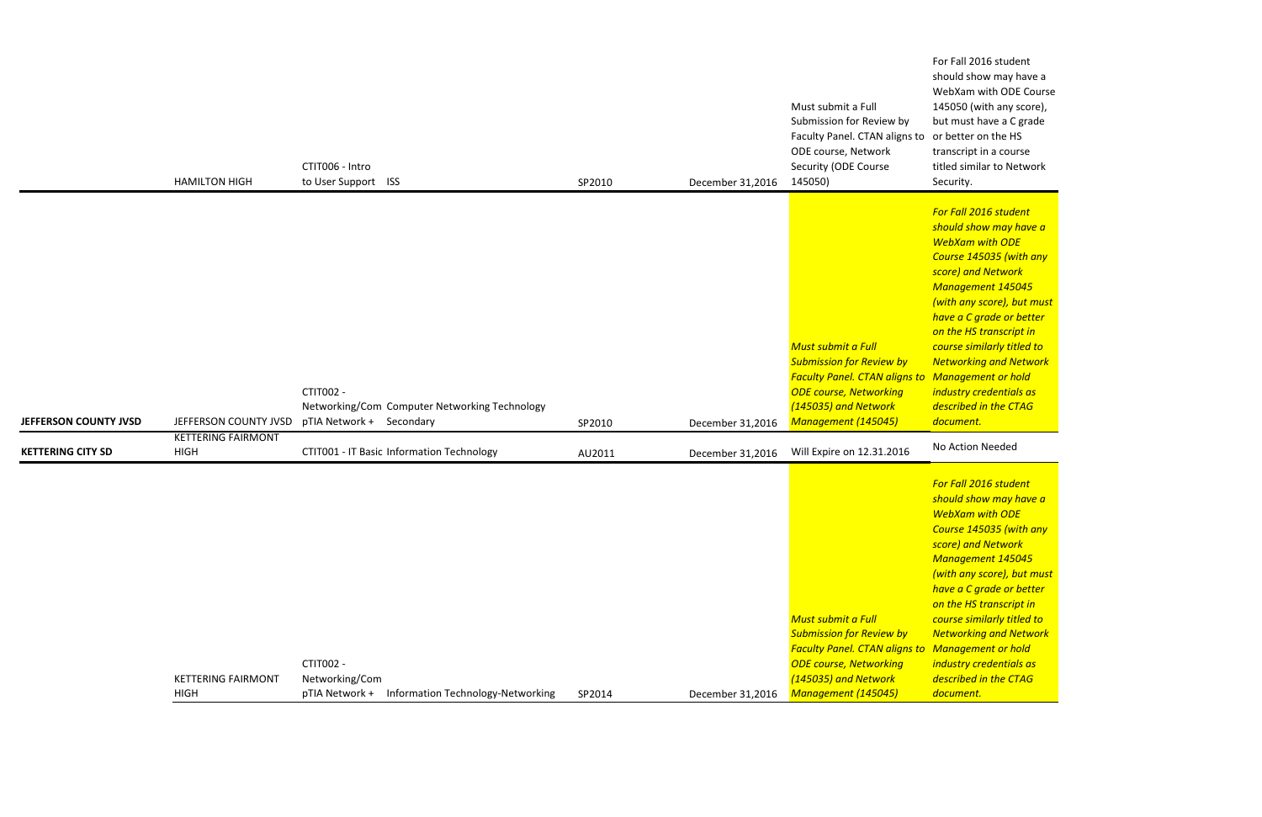For Fall 2016 student should show may have a WebXam with ODE Course 145050 (with any score), but must have a C grade transcript in a course titled similar to Network Security.

|                          | <b>HAMILTON HIGH</b>                     | CTIT006 - Intro<br>to User Support ISS                                                 | SP2010 | December 31,2016 | Must submit a Full<br>Submission for Review by<br>Faculty Panel. CTAN aligns to or better on the HS<br>ODE course, Network<br>Security (ODE Course<br>145050)                                           | 145050 (with any sco<br>but must have a C gra<br>transcript in a course<br>titled similar to Netw<br>Security.                                                                                                                                                                                                                                           |
|--------------------------|------------------------------------------|----------------------------------------------------------------------------------------|--------|------------------|---------------------------------------------------------------------------------------------------------------------------------------------------------------------------------------------------------|----------------------------------------------------------------------------------------------------------------------------------------------------------------------------------------------------------------------------------------------------------------------------------------------------------------------------------------------------------|
| JEFFERSON COUNTY JVSD    | JEFFERSON COUNTY JVSD                    | CTIT002 -<br>Networking/Com Computer Networking Technology<br>pTIA Network + Secondary | SP2010 | December 31,2016 | <b>Must submit a Full</b><br><b>Submission for Review by</b><br><b>Faculty Panel. CTAN aligns to Management or hold</b><br><b>ODE course, Networking</b><br>(145035) and Network<br>Management (145045) | For Fall 2016 student<br>should show may hav<br><b>WebXam with ODE</b><br>Course 145035 (with<br>score) and Network<br><b>Management 145045</b><br>(with any score), but i<br>have a C grade or bet<br>on the HS transcript in<br>course similarly titled<br><b>Networking and Netw</b><br>industry credentials a.<br>described in the CTAG<br>document. |
| <b>KETTERING CITY SD</b> | <b>KETTERING FAIRMONT</b><br><b>HIGH</b> | CTIT001 - IT Basic Information Technology                                              | AU2011 | December 31,2016 | Will Expire on 12.31.2016                                                                                                                                                                               | No Action Needed                                                                                                                                                                                                                                                                                                                                         |
|                          | <b>KETTERING FAIRMONT</b><br><b>HIGH</b> | CTIT002 -<br>Networking/Com<br>pTIA Network +<br>Information Technology-Networking     | SP2014 | December 31,2016 | <b>Must submit a Full</b><br><b>Submission for Review by</b><br><b>Faculty Panel. CTAN aligns to Management or hold</b><br><b>ODE course, Networking</b><br>(145035) and Network<br>Management (145045) | For Fall 2016 student<br>should show may hav<br><b>WebXam with ODE</b><br>Course 145035 (with<br>score) and Network<br><b>Management 145045</b><br>(with any score), but i<br>have a C grade or bet<br>on the HS transcript in<br>course similarly titled<br><b>Networking and Netw</b><br>industry credentials a<br>described in the CTAG<br>document.  |

*For Fall 2016 student should show may have a WebXam with ODE Course 145035 (with any score) and Network Management 145045 (with any score), but must have a C grade or better on the HS transcript in course similarly titled to Networking and Network industry credentials as described in the CTAG document.*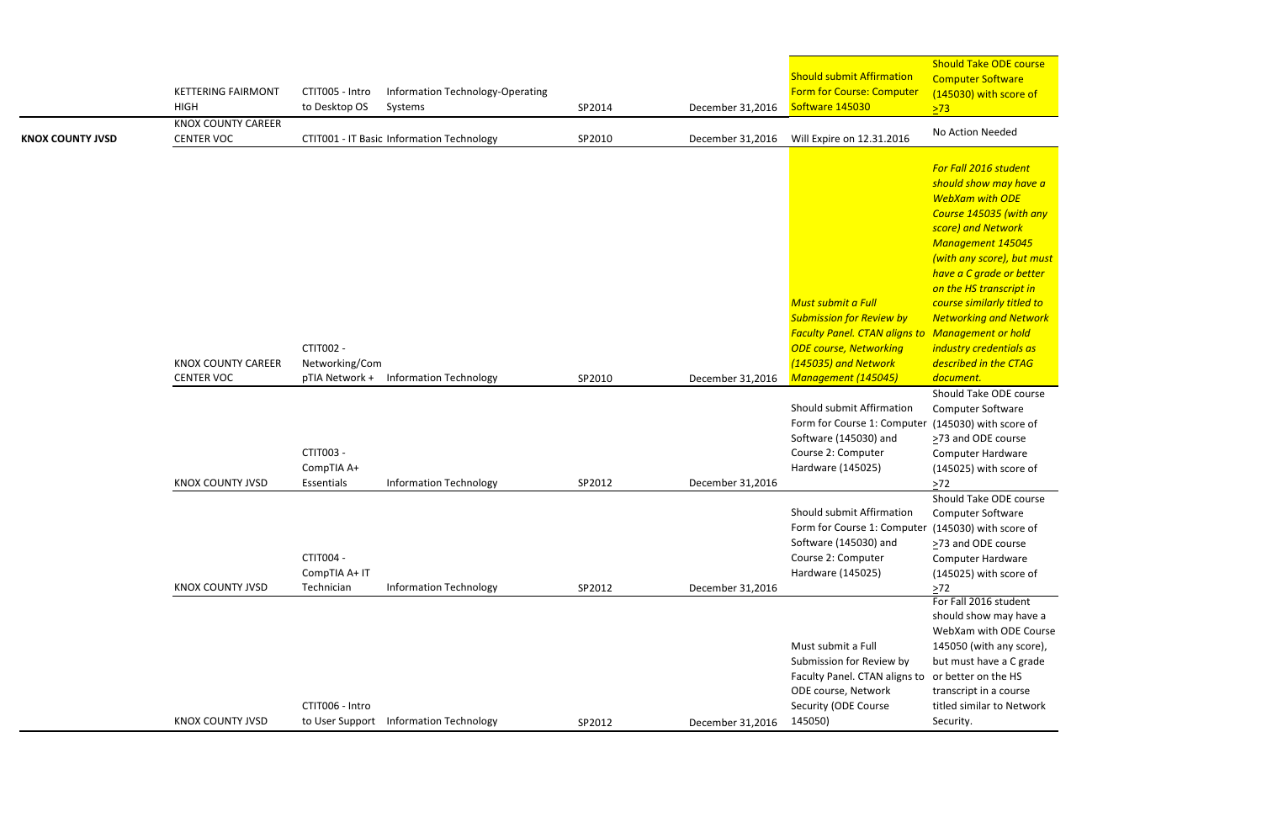Should Take ODE course Computer Software (145030) with score of  $\sqrt{273}$ 

Computer Software er (145030) with score of >73 and ODE course Computer Hardware (145025) with score of  $\geq 72$ 

Should Take ODE course Computer Software er (145030) with score of >73 and ODE course Computer Hardware (145025) with score of  $\geq 72$ 

*For Fall 2016 student should show may have a WebXam with ODE Course 145035 (with any score) and Network Management 145045 (with any score), but must have a C grade or better on the HS transcript in course similarly titled to Networking and Network Management or hold industry credentials as described in the CTAG document.* Should Take ODE course

| <b>KNOX COUNTY JVSD</b> | <b>KETTERING FAIRMONT</b><br><b>HIGH</b><br><b>KNOX COUNTY CAREER</b><br><b>CENTER VOC</b> | CTIT005 - Intro<br>to Desktop OS              | Information Technology-Operating<br>Systems<br>CTIT001 - IT Basic Information Technology | SP2014<br>SP2010 | December 31,2016<br>December 31,2016 | <b>Should submit Affirmation</b><br>Form for Course: Computer<br>Software 145030<br>Will Expire on 12.31.2016                                                                        | <u>SHOUID TAKE ODE COU</u><br><b>Computer Software</b><br>(145030) with score<br>$\sqrt{273}$<br>No Action Needed                                                                                                                                                                                                                                                             |
|-------------------------|--------------------------------------------------------------------------------------------|-----------------------------------------------|------------------------------------------------------------------------------------------|------------------|--------------------------------------|--------------------------------------------------------------------------------------------------------------------------------------------------------------------------------------|-------------------------------------------------------------------------------------------------------------------------------------------------------------------------------------------------------------------------------------------------------------------------------------------------------------------------------------------------------------------------------|
|                         | <b>KNOX COUNTY CAREER</b><br><b>CENTER VOC</b>                                             | CTIT002 -<br>Networking/Com<br>pTIA Network + | <b>Information Technology</b>                                                            | SP2010           | December 31,2016                     | <b>Must submit a Full</b><br><b>Submission for Review by</b><br><b>Faculty Panel. CTAN aligns to</b><br><b>ODE course, Networking</b><br>(145035) and Network<br>Management (145045) | For Fall 2016 student<br>should show may hay<br><b>WebXam with ODE</b><br>Course 145035 (with<br>score) and Network<br><b>Management 14504.</b><br>(with any score), but<br>have a C grade or be<br>on the HS transcript<br>course similarly titled<br><b>Networking and Nety</b><br><b>Management or hold</b><br>industry credentials a<br>described in the CTA<br>document. |
|                         | <b>KNOX COUNTY JVSD</b>                                                                    | CTIT003 -<br>CompTIA A+<br>Essentials         | <b>Information Technology</b>                                                            | SP2012           | December 31,2016                     | Should submit Affirmation<br>Form for Course 1: Computer<br>Software (145030) and<br>Course 2: Computer<br>Hardware (145025)                                                         | Should Take ODE cou<br>Computer Software<br>(145030) with score<br>>73 and ODE course<br><b>Computer Hardware</b><br>(145025) with score<br>$>72$                                                                                                                                                                                                                             |
|                         | <b>KNOX COUNTY JVSD</b>                                                                    | CTIT004 -<br>CompTIA A+ IT<br>Technician      | <b>Information Technology</b>                                                            | SP2012           | December 31,2016                     | Should submit Affirmation<br>Form for Course 1: Computer (145030) with score<br>Software (145030) and<br>Course 2: Computer<br>Hardware (145025)                                     | Should Take ODE cou<br><b>Computer Software</b><br>>73 and ODE course<br><b>Computer Hardware</b><br>(145025) with score<br>$>72$                                                                                                                                                                                                                                             |
|                         | <b>KNOX COUNTY JVSD</b>                                                                    | CTIT006 - Intro                               | to User Support Information Technology                                                   | SP2012           | December 31,2016                     | Must submit a Full<br>Submission for Review by<br>Faculty Panel. CTAN aligns to<br>ODE course, Network<br>Security (ODE Course<br>145050)                                            | For Fall 2016 student<br>should show may hav<br>WebXam with ODE C<br>145050 (with any sco<br>but must have a C gr<br>or better on the HS<br>transcript in a course<br>titled similar to Netw<br>Security.                                                                                                                                                                     |

For Fall 2016 student should show may have a WebXam with ODE Course 145050 (with any score), but must have a C grade transcript in a course titled similar to Network Security.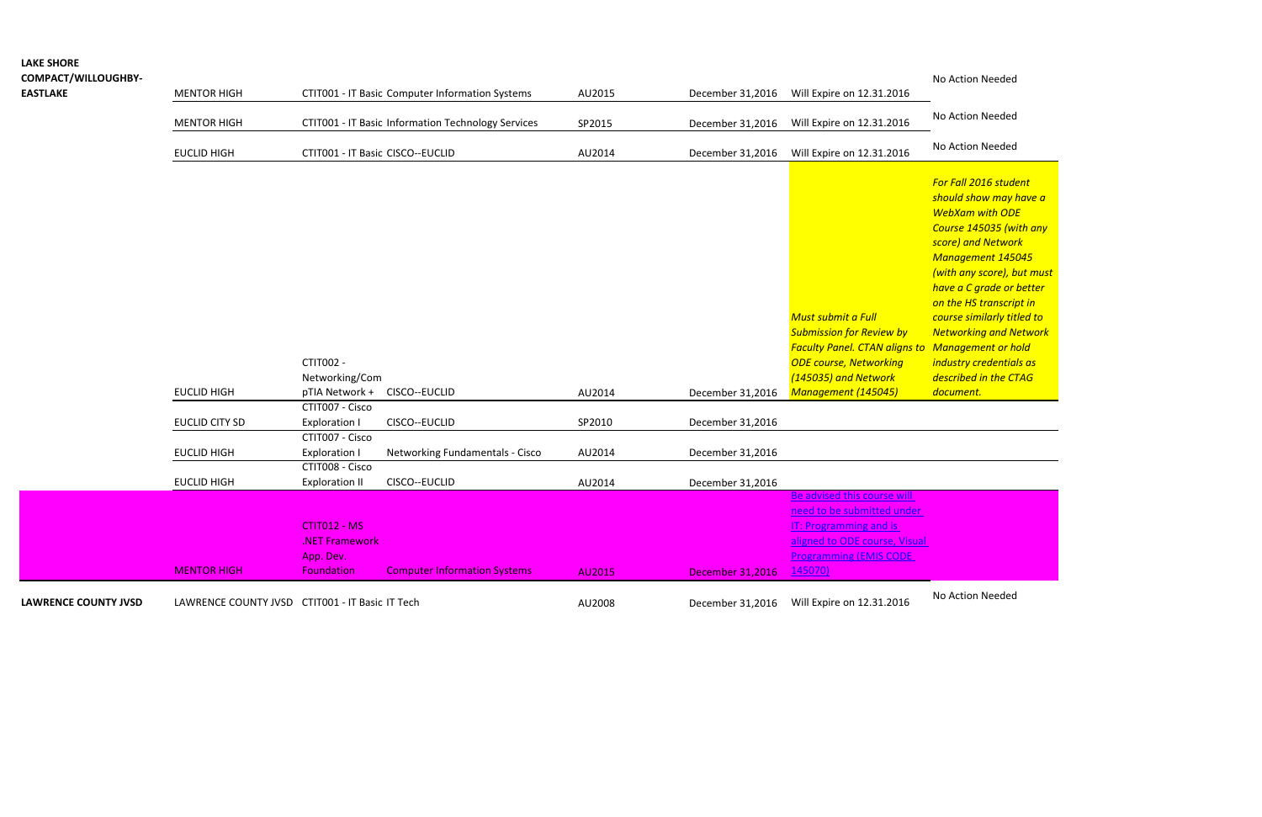## **LAKE SHORE**

### **COMPACT/WILLOUGHBY-**

No Action Needed

| <b>CUIVIPACI / WILLUUGNDI-</b> |                    |                                                    |        |                  |                           | <u>INO ACLIOII INEEDED</u> |
|--------------------------------|--------------------|----------------------------------------------------|--------|------------------|---------------------------|----------------------------|
| <b>EASTLAKE</b>                | MENTOR HIGH        | CTIT001 - IT Basic Computer Information Systems    | AU2015 | December 31,2016 | Will Expire on 12.31.2016 |                            |
|                                | <b>MENTOR HIGH</b> | CTIT001 - IT Basic Information Technology Services | SP2015 | December 31,2016 | Will Expire on 12.31.2016 | No Action Needed           |
|                                | EUCLID HIGH        | CTIT001 - IT Basic CISCO--EUCLID                   | AU2014 | December 31,2016 | Will Expire on 12.31.2016 | No Action Needed           |

| <b>LAWRENCE COUNTY JVSD</b> | LAWRENCE COUNTY JVSD | CTIT001 - IT Basic IT Tech        |                                     | AU2008 | December 31,2016        | Will Expire on 12.31.2016                                | No Action Needed         |
|-----------------------------|----------------------|-----------------------------------|-------------------------------------|--------|-------------------------|----------------------------------------------------------|--------------------------|
|                             | <b>MENTOR HIGH</b>   | <b>Foundation</b>                 | <b>Computer Information Systems</b> | AU2015 | <b>December 31,2016</b> | <u>145070)</u>                                           |                          |
|                             |                      | App. Dev.                         |                                     |        |                         | <b>Programming (EMIS CODE)</b>                           |                          |
|                             |                      | .NET Framework                    |                                     |        |                         | aligned to ODE course, Visual                            |                          |
|                             |                      | CTIT012 - MS                      |                                     |        |                         | <b>IT: Programming and is</b>                            |                          |
|                             |                      |                                   |                                     |        |                         | need to be submitted under                               |                          |
|                             |                      |                                   |                                     |        |                         | Be advised this course will                              |                          |
|                             | <b>EUCLID HIGH</b>   | <b>Exploration II</b>             | CISCO--EUCLID                       | AU2014 | December 31,2016        |                                                          |                          |
|                             |                      | CTIT008 - Cisco                   |                                     |        |                         |                                                          |                          |
|                             | <b>EUCLID HIGH</b>   | Exploration I                     | Networking Fundamentals - Cisco     | AU2014 | December 31,2016        |                                                          |                          |
|                             |                      | CTIT007 - Cisco                   |                                     |        |                         |                                                          |                          |
|                             | EUCLID CITY SD       | Exploration I                     | CISCO--EUCLID                       | SP2010 | December 31,2016        |                                                          |                          |
|                             | <b>EUCLID HIGH</b>   | pTIA Network +<br>CTIT007 - Cisco | CISCO--EUCLID                       | AU2014 | December 31,2016        | Management (145045)                                      | document.                |
|                             |                      | Networking/Com                    |                                     |        |                         | (145035) and Network                                     | described in the CT      |
|                             |                      | <b>CTIT002 -</b>                  |                                     |        |                         | <b>ODE course, Networking</b>                            | industry credential      |
|                             |                      |                                   |                                     |        |                         | <b>Faculty Panel. CTAN aligns to Management or homes</b> |                          |
|                             |                      |                                   |                                     |        |                         | <b>Submission for Review by</b>                          | <b>Networking and Ne</b> |
|                             |                      |                                   |                                     |        |                         | Must submit a Full                                       | course similarly titl    |
|                             |                      |                                   |                                     |        |                         |                                                          | on the HS transcrip      |
|                             |                      |                                   |                                     |        |                         |                                                          | have a C grade or l      |
|                             |                      |                                   |                                     |        |                         |                                                          | (with any score), bi     |
|                             |                      |                                   |                                     |        |                         |                                                          | <b>Management 1450</b>   |
|                             |                      |                                   |                                     |        |                         |                                                          | score) and Networl       |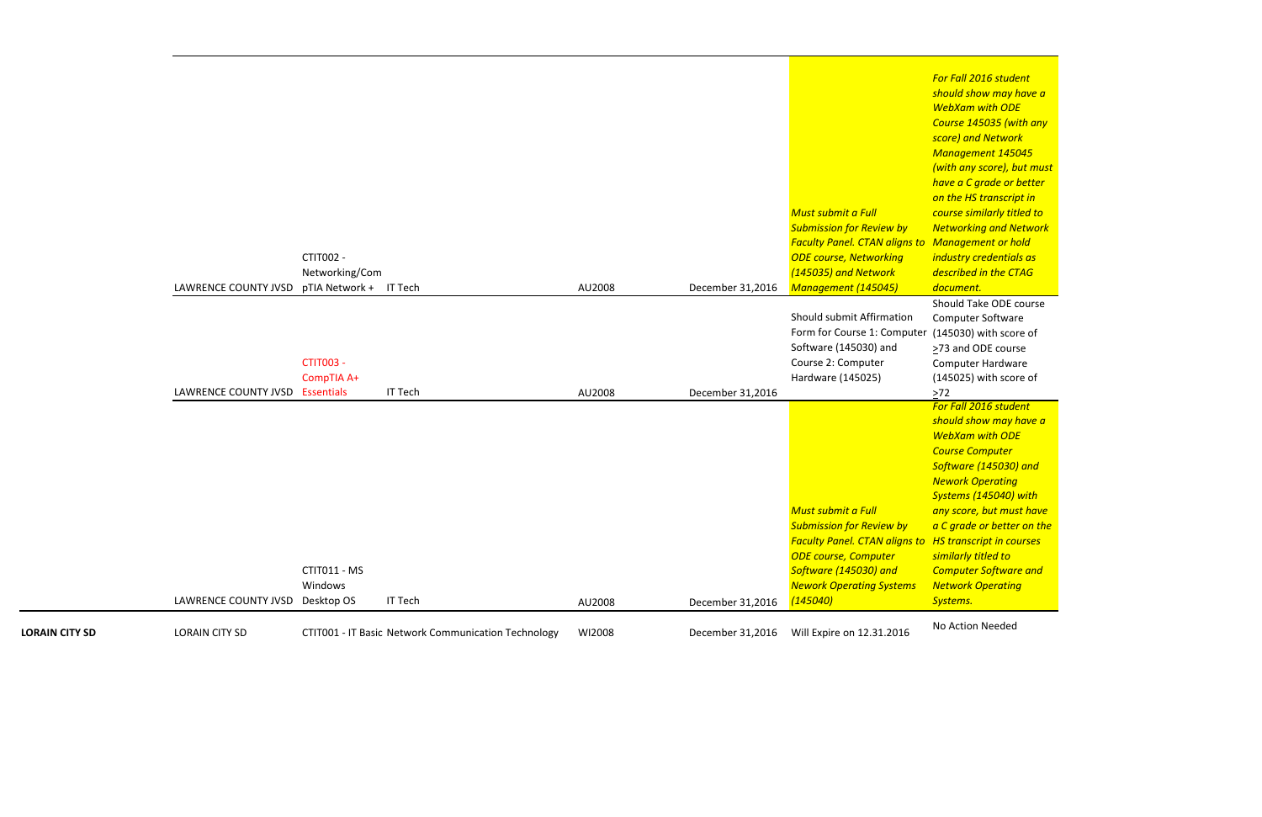Should Take ODE course Computer Software (145030) with score of >73 and ODE course Computer Hardware (145025) with score of  $2^{72}$ 

*For Fall 2016 student should show may have a WebXam with ODE Course 145035 (with any score) and Network Management 145045 (with any score), but must have a C grade or better on the HS transcript in course similarly titled to Networking and Network Management or hold industry credentials as described in the CTAG document.*

| <b>LORAIN CITY SD</b> | <b>LORAIN CITY SD</b>                       |                                | CTIT001 - IT Basic Network Communication Technology | WI2008 | December 31,2016 | Will Expire on 12.31.2016                                                                                                                                                                                                | No Action Needed                                                                                                                                                                                                                                                                                          |
|-----------------------|---------------------------------------------|--------------------------------|-----------------------------------------------------|--------|------------------|--------------------------------------------------------------------------------------------------------------------------------------------------------------------------------------------------------------------------|-----------------------------------------------------------------------------------------------------------------------------------------------------------------------------------------------------------------------------------------------------------------------------------------------------------|
|                       | LAWRENCE COUNTY JVSD Desktop OS             | CTIT011 - MS<br>Windows        | <b>IT Tech</b>                                      | AU2008 | December 31,2016 | Must submit a Full<br><b>Submission for Review by</b><br><b>Faculty Panel. CTAN aligns to HS transcript in co</b><br><b>ODE course, Computer</b><br>Software (145030) and<br><b>Nework Operating Systems</b><br>(145040) | For Fall 2016 stude<br>should show may<br><b>WebXam with OD</b><br><b>Course Computer</b><br>Software (145030)<br><b>Nework Operating</b><br><b>Systems (145040)</b><br>any score, but mus<br>a C grade or bette<br>similarly titled to<br><b>Computer Softwar</b><br><b>Network Operatin</b><br>Systems. |
|                       | LAWRENCE COUNTY JVSD Essentials             | <b>CTIT003 -</b><br>CompTIA A+ | <b>IT Tech</b>                                      | AU2008 | December 31,2016 | Should submit Affirmation<br>Form for Course 1: Computer<br>Software (145030) and<br>Course 2: Computer<br>Hardware (145025)                                                                                             | Should Take ODE<br>Computer Softwar<br>(145030) with sco<br>>73 and ODE cour<br>Computer Hardwa<br>(145025) with sco<br>$>72$                                                                                                                                                                             |
|                       | LAWRENCE COUNTY JVSD pTIA Network + IT Tech | CTIT002 -<br>Networking/Com    |                                                     | AU2008 | December 31,2016 | Must submit a Full<br><b>Submission for Review by</b><br><b>Faculty Panel. CTAN aligns to</b><br><b>ODE course, Networking</b><br>(145035) and Network<br>Management (145045)                                            | <b>Management 145</b><br>(with any score), b<br>have a C grade or<br>on the HS transcri<br>course similarly tit<br><b>Networking and N</b><br>Management or h<br>industry credentia<br>described in the C<br>document.                                                                                    |

*For Fall 2016 student should show may have a WebXam with ODE Course Computer Software (145030) and Nework Operating Systems (145040) with any score, but must have a C grade or better on the HS transcript in courses similarly titled to Computer Software and Network Operating Systems.*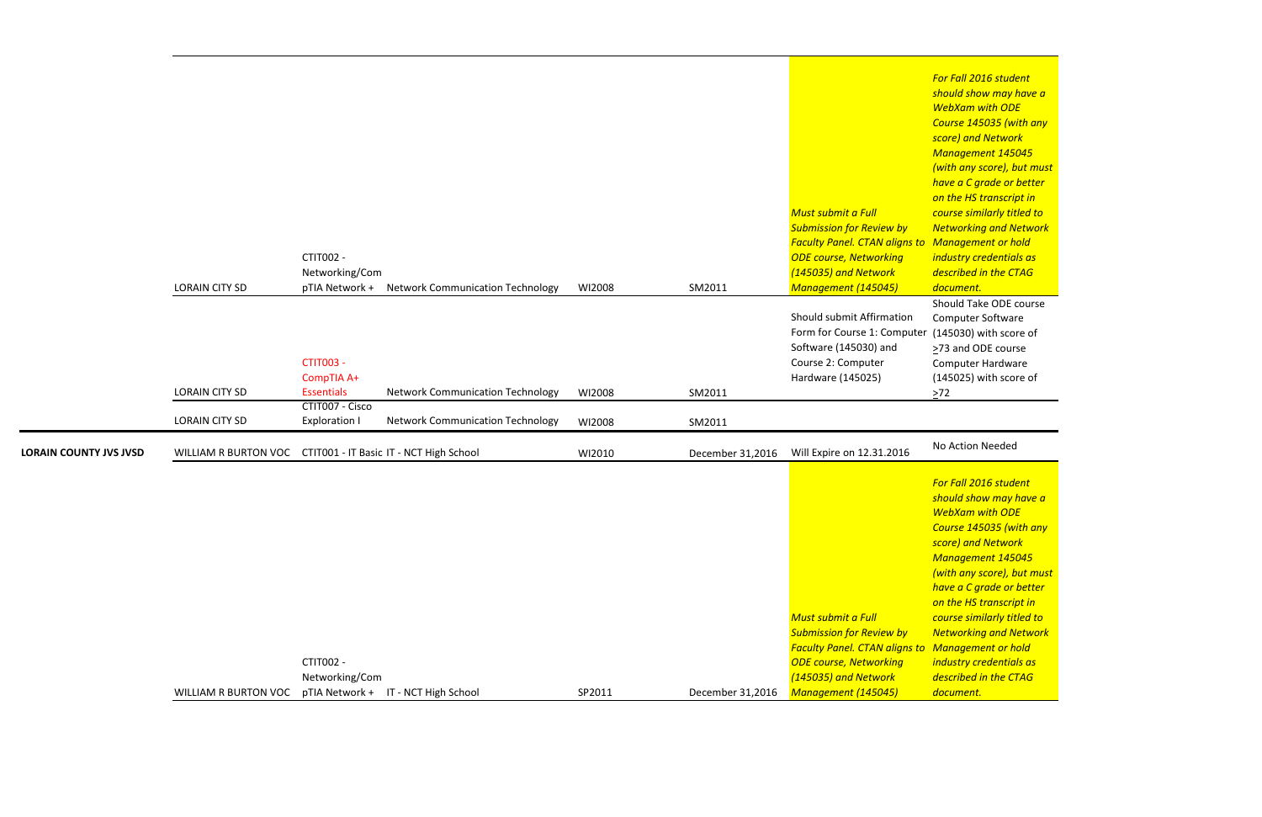Should Take ODE course Computer Software ter (145030) with score of >73 and ODE course Computer Hardware (145025) with score of  $\geq$ 72

*For Fall 2016 student should show may have a WebXam with ODE Course 145035 (with any score) and Network Management 145045 (with any score), but must have a C grade or better on the HS transcript in course similarly titled to Networking and Network industry credentials as described in the CTAG document.*

|                               |                                                              | <b>CTIT002 -</b><br>Networking/Com                  |                                         |        |                  | Must submit a Full<br><b>Submission for Review by</b><br><b>Faculty Panel. CTAN aligns to Management or hold</b><br><b>ODE course, Networking</b><br>(145035) and Network                        | <b>WebXam with ODE</b><br>Course 145035 (with<br>score) and Network<br><b>Management 145045</b><br>(with any score), but i<br>have a C grade or bet<br>on the HS transcript in<br>course similarly titled<br><b>Networking and Netw</b><br>industry credentials a<br>described in the CTAG                                                              |
|-------------------------------|--------------------------------------------------------------|-----------------------------------------------------|-----------------------------------------|--------|------------------|--------------------------------------------------------------------------------------------------------------------------------------------------------------------------------------------------|---------------------------------------------------------------------------------------------------------------------------------------------------------------------------------------------------------------------------------------------------------------------------------------------------------------------------------------------------------|
|                               | <b>LORAIN CITY SD</b>                                        | pTIA Network +                                      | <b>Network Communication Technology</b> | WI2008 | SM2011           | Management (145045)                                                                                                                                                                              | document.                                                                                                                                                                                                                                                                                                                                               |
|                               | <b>LORAIN CITY SD</b>                                        | <b>CTIT003 -</b><br>CompTIA A+<br><b>Essentials</b> | <b>Network Communication Technology</b> | WI2008 | SM2011           | Should submit Affirmation<br>Form for Course 1: Computer<br>Software (145030) and<br>Course 2: Computer<br>Hardware (145025)                                                                     | Should Take ODE cou<br><b>Computer Software</b><br>(145030) with score o<br>>73 and ODE course<br><b>Computer Hardware</b><br>(145025) with score o<br>$\geq 72$                                                                                                                                                                                        |
|                               |                                                              | CTIT007 - Cisco                                     |                                         |        |                  |                                                                                                                                                                                                  |                                                                                                                                                                                                                                                                                                                                                         |
|                               | <b>LORAIN CITY SD</b>                                        | <b>Exploration I</b>                                | <b>Network Communication Technology</b> | WI2008 | SM2011           |                                                                                                                                                                                                  |                                                                                                                                                                                                                                                                                                                                                         |
| <b>LORAIN COUNTY JVS JVSD</b> | WILLIAM R BURTON VOC CTIT001 - IT Basic IT - NCT High School |                                                     |                                         | WI2010 | December 31,2016 | Will Expire on 12.31.2016                                                                                                                                                                        | No Action Needed                                                                                                                                                                                                                                                                                                                                        |
|                               | WILLIAM R BURTON VOC                                         | <b>CTIT002 -</b><br>Networking/Com                  | pTIA Network + IT - NCT High School     | SP2011 | December 31,2016 | Must submit a Full<br><b>Submission for Review by</b><br><b>Faculty Panel. CTAN aligns to Management or hold</b><br><b>ODE course, Networking</b><br>(145035) and Network<br>Management (145045) | For Fall 2016 student<br>should show may hav<br><b>WebXam with ODE</b><br>Course 145035 (with<br>score) and Network<br><b>Management 145045</b><br>(with any score), but i<br>have a C grade or bet<br>on the HS transcript in<br>course similarly titled<br><b>Networking and Netw</b><br>industry credentials a<br>described in the CTAG<br>document. |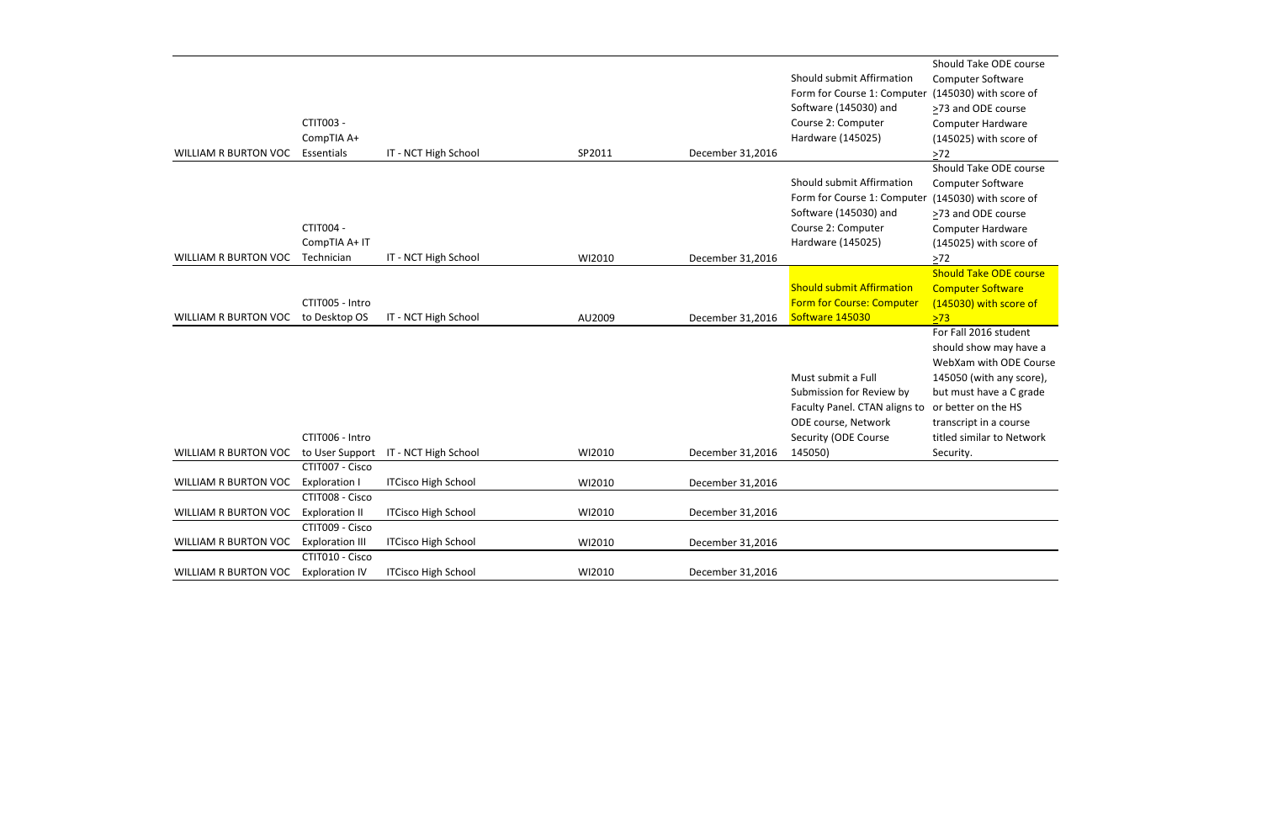```
Should Take ODE course
Computer Software
(145030) with score of
≥73 and ODE course
Computer Hardware
(145025) with score of
\geq 72Should Take ODE course
Computer Software
(145030) with score of
>73 and ODE course
Computer Hardware
(145025) with score of
\geq72
Should Take ODE course
Computer Software
(145030) with score of
>73For Fall 2016 student
should show may have a
WebXam with ODE Course
145050 (with any score),
but must have a C grade
or better on the HS
transcript in a course
titled similar to Network
Security.
```

| <b>WILLIAM R BURTON VOC</b> | CTIT003 -<br>CompTIA A+<br>Essentials                       | IT - NCT High School       | SP2011 | December 31,2016 | Should submit Affirmation<br>Form for Course 1: Computer<br>Software (145030) and<br>Course 2: Computer<br>Hardware (145025)              |
|-----------------------------|-------------------------------------------------------------|----------------------------|--------|------------------|-------------------------------------------------------------------------------------------------------------------------------------------|
| <b>WILLIAM R BURTON VOC</b> | CTIT004 -<br>CompTIA A+ IT<br>Technician                    | IT - NCT High School       | WI2010 | December 31,2016 | Should submit Affirmation<br>Form for Course 1: Computer<br>Software (145030) and<br>Course 2: Computer<br>Hardware (145025)              |
|                             |                                                             |                            |        |                  |                                                                                                                                           |
| <b>WILLIAM R BURTON VOC</b> | CTIT005 - Intro<br>to Desktop OS                            | IT - NCT High School       | AU2009 | December 31,2016 | <b>Should submit Affirmation</b><br><b>Form for Course: Computer</b><br>Software 145030                                                   |
|                             |                                                             |                            |        |                  |                                                                                                                                           |
|                             |                                                             |                            |        |                  |                                                                                                                                           |
| <b>WILLIAM R BURTON VOC</b> | CTIT006 - Intro<br>to User Support                          | IT - NCT High School       | WI2010 | December 31,2016 | Must submit a Full<br>Submission for Review by<br>Faculty Panel. CTAN aligns to<br>ODE course, Network<br>Security (ODE Course<br>145050) |
|                             | CTIT007 - Cisco                                             |                            |        |                  |                                                                                                                                           |
| WILLIAM R BURTON VOC        | <b>Exploration I</b>                                        | <b>ITCisco High School</b> | WI2010 | December 31,2016 |                                                                                                                                           |
| <b>WILLIAM R BURTON VOC</b> | CTIT008 - Cisco<br><b>Exploration II</b><br>CTIT009 - Cisco | <b>ITCisco High School</b> | WI2010 | December 31,2016 |                                                                                                                                           |
| <b>WILLIAM R BURTON VOC</b> | <b>Exploration III</b>                                      | <b>ITCisco High School</b> | WI2010 | December 31,2016 |                                                                                                                                           |
| <b>WILLIAM R BURTON VOC</b> | CTIT010 - Cisco<br><b>Exploration IV</b>                    | <b>ITCisco High School</b> | WI2010 | December 31,2016 |                                                                                                                                           |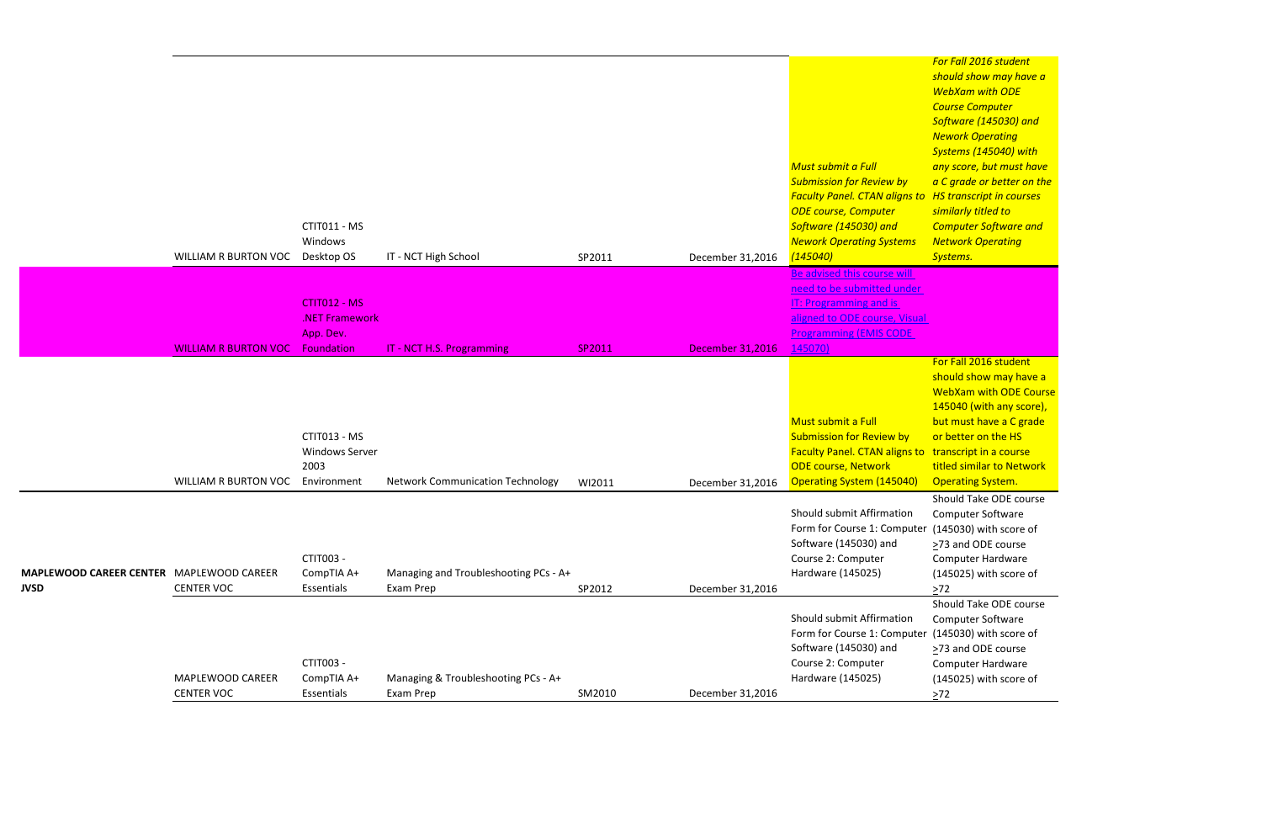*For Fall 2016 student should show may have a WebXam with ODE Course Computer Software (145030) and Nework Operating Systems (145040) with any score, but must have a C grade or better on the HS transcript in courses similarly titled to Computer Software and Network Operating Systems.*

Should Take ODE course Computer Software er (145030) with score of ≥73 and ODE course Computer Hardware (145025) with score of  $>72$ 

|                                                                | <b>WILLIAM R BURTON VOC</b>           | CTIT011 - MS<br>Windows<br>Desktop OS                        | IT - NCT High School                               | SP2011 | December 31,2016        | S<br>Must submit a Full<br>C<br><b>Submission for Review by</b><br>$\overline{a}$<br><b>Faculty Panel. CTAN aligns to H</b><br><b>ODE course, Computer</b><br>$\mathsf{s}$<br>Software (145030) and<br><b>Nework Operating Systems</b><br>(145040) |
|----------------------------------------------------------------|---------------------------------------|--------------------------------------------------------------|----------------------------------------------------|--------|-------------------------|----------------------------------------------------------------------------------------------------------------------------------------------------------------------------------------------------------------------------------------------------|
|                                                                | <b>WILLIAM R BURTON VOC</b>           | CTIT012 - MS<br>.NET Framework<br>App. Dev.<br>Foundation    | IT - NCT H.S. Programming                          | SP2011 | <b>December 31,2016</b> | Be advised this course will<br>need to be submitted under<br><b>IT: Programming and is</b><br>aligned to ODE course, Visual<br><b>Programming (EMIS CODE</b><br>145070)                                                                            |
|                                                                | WILLIAM R BURTON VOC                  | CTIT013 - MS<br><b>Windows Server</b><br>2003<br>Environment | <b>Network Communication Technology</b>            | WI2011 | December 31,2016        | -S<br>Must submit a Full<br><b>b</b><br><b>Submission for Review by</b><br>$\overline{c}$<br><b>Faculty Panel. CTAN aligns to t</b><br><b>ODE course, Network</b><br><b>Operating System (145040)</b>                                              |
| <b>MAPLEWOOD CAREER CENTER MAPLEWOOD CAREER</b><br><b>JVSD</b> | <b>CENTER VOC</b>                     | CTIT003 -<br>CompTIA A+<br>Essentials                        | Managing and Troubleshooting PCs - A+<br>Exam Prep | SP2012 | December 31,2016        | Should submit Affirmation<br>Form for Course 1: Computer (<br>Software (145030) and<br>Course 2: Computer<br>Hardware (145025)<br>>                                                                                                                |
|                                                                | MAPLEWOOD CAREER<br><b>CENTER VOC</b> | CTIT003 -<br>CompTIA A+<br>Essentials                        | Managing & Troubleshooting PCs - A+<br>Exam Prep   | SM2010 | December 31,2016        | Should submit Affirmation<br>Form for Course 1: Computer<br>Software (145030) and<br>Course 2: Computer<br>Hardware (145025)<br>>                                                                                                                  |

Should Take ODE course Computer Software er (145030) with score of >73 and ODE course Computer Hardware (145025) with score of  $\geq 72$ 

For Fall 2016 student should show may have a WebXam with ODE Course 145040 (with any score), but must have a C grade or better on the HS transcript in a course titled similar to Network Operating System.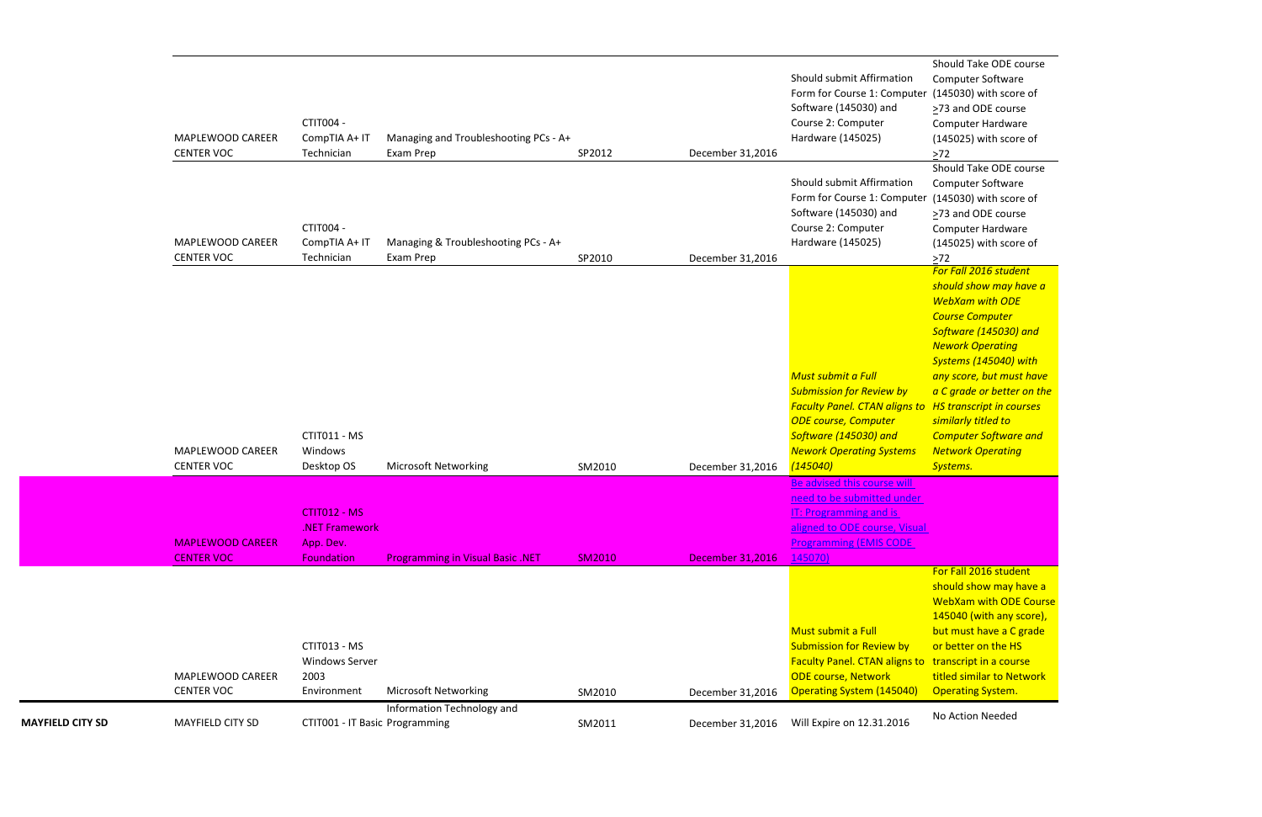Should Take ODE course Computer Software er (145030) with score of ≥73 and ODE course Computer Hardware (145025) with score of  $\geq 72$ Should Take ODE course Computer Software (145030) with score of >73 and ODE course Computer Hardware (145025) with score of >72 *For Fall 2016 student should show may have a WebXam with ODE Course Computer Software (145030) and Nework Operating Systems (145040) with any score, but must have a C grade or better on the HS transcript in courses similarly titled to Computer Software and Network Operating Systems.*

For Fall 2016 student should show may have a WebXam with ODE Course 145040 (with any score), but must have a C grade or better on the HS transcript in a course titled similar to Network **Operating System.** 

|                         | MAPLEWOOD CAREER<br><b>CENTER VOC</b>        | CTIT004 -<br>CompTIA A+ IT<br>Technician                               | Managing and Troubleshooting PCs - A+<br>Exam Prep | SP2012        | December 31,2016 | Should submit Affirmation<br>Form for Course 1: Computer<br>Software (145030) and<br>Course 2: Computer<br>Hardware (145025)                                                                                             | Should Take ODE<br><b>Computer Softwar</b><br>(145030) with sco<br>>73 and ODE cour<br>Computer Hardwa<br>(145025) with sco<br>$\geq$ 72                                                                                                                                                                  |
|-------------------------|----------------------------------------------|------------------------------------------------------------------------|----------------------------------------------------|---------------|------------------|--------------------------------------------------------------------------------------------------------------------------------------------------------------------------------------------------------------------------|-----------------------------------------------------------------------------------------------------------------------------------------------------------------------------------------------------------------------------------------------------------------------------------------------------------|
|                         | MAPLEWOOD CAREER<br><b>CENTER VOC</b>        | CTIT004 -<br>CompTIA A+ IT<br>Technician                               | Managing & Troubleshooting PCs - A+<br>Exam Prep   | SP2010        | December 31,2016 | Should submit Affirmation<br>Form for Course 1: Computer<br>Software (145030) and<br>Course 2: Computer<br>Hardware (145025)                                                                                             | Should Take ODE<br>Computer Softwar<br>(145030) with sco<br>>73 and ODE cour<br>Computer Hardwa<br>(145025) with sco<br>$>72$                                                                                                                                                                             |
|                         | MAPLEWOOD CAREER<br><b>CENTER VOC</b>        | CTIT011 - MS<br>Windows<br>Desktop OS                                  | <b>Microsoft Networking</b>                        | SM2010        | December 31,2016 | Must submit a Full<br><b>Submission for Review by</b><br><b>Faculty Panel. CTAN aligns to HS transcript in co</b><br><b>ODE course, Computer</b><br>Software (145030) and<br><b>Nework Operating Systems</b><br>(145040) | For Fall 2016 stude<br>should show may<br><b>WebXam with OD</b><br><b>Course Computer</b><br>Software (145030)<br><b>Nework Operating</b><br><b>Systems (145040)</b><br>any score, but mus<br>a C grade or bette<br>similarly titled to<br><b>Computer Softwar</b><br><b>Network Operatin</b><br>Systems. |
|                         | <b>MAPLEWOOD CAREER</b><br><b>CENTER VOC</b> | CTIT012 - MS<br><b>NET Framework</b><br>App. Dev.<br><b>Foundation</b> | <b>Programming in Visual Basic .NET</b>            | <b>SM2010</b> | December 31,2016 | Be advised this course will<br>need to be submitted under<br>IT: Programming and is<br>aligned to ODE course, Visual<br><b>Programming (EMIS CODE</b><br>145070)                                                         |                                                                                                                                                                                                                                                                                                           |
|                         | MAPLEWOOD CAREER<br><b>CENTER VOC</b>        | CTIT013 - MS<br><b>Windows Server</b><br>2003<br>Environment           | <b>Microsoft Networking</b>                        | SM2010        | December 31,2016 | Must submit a Full<br><b>Submission for Review by</b><br>Faculty Panel. CTAN aligns to transcript in a cou<br><b>ODE course, Network</b><br><b>Operating System (145040)</b>                                             | For Fall 2016 stude<br>should show may<br><b>WebXam with OD</b><br>145040 (with any<br>but must have a C<br>or better on the H<br>titled similar to Ne<br><b>Operating System</b>                                                                                                                         |
| <b>MAYFIELD CITY SD</b> | <b>MAYFIELD CITY SD</b>                      | CTIT001 - IT Basic Programming                                         | Information Technology and                         | SM2011        | December 31,2016 | Will Expire on 12.31.2016                                                                                                                                                                                                | No Action Needed                                                                                                                                                                                                                                                                                          |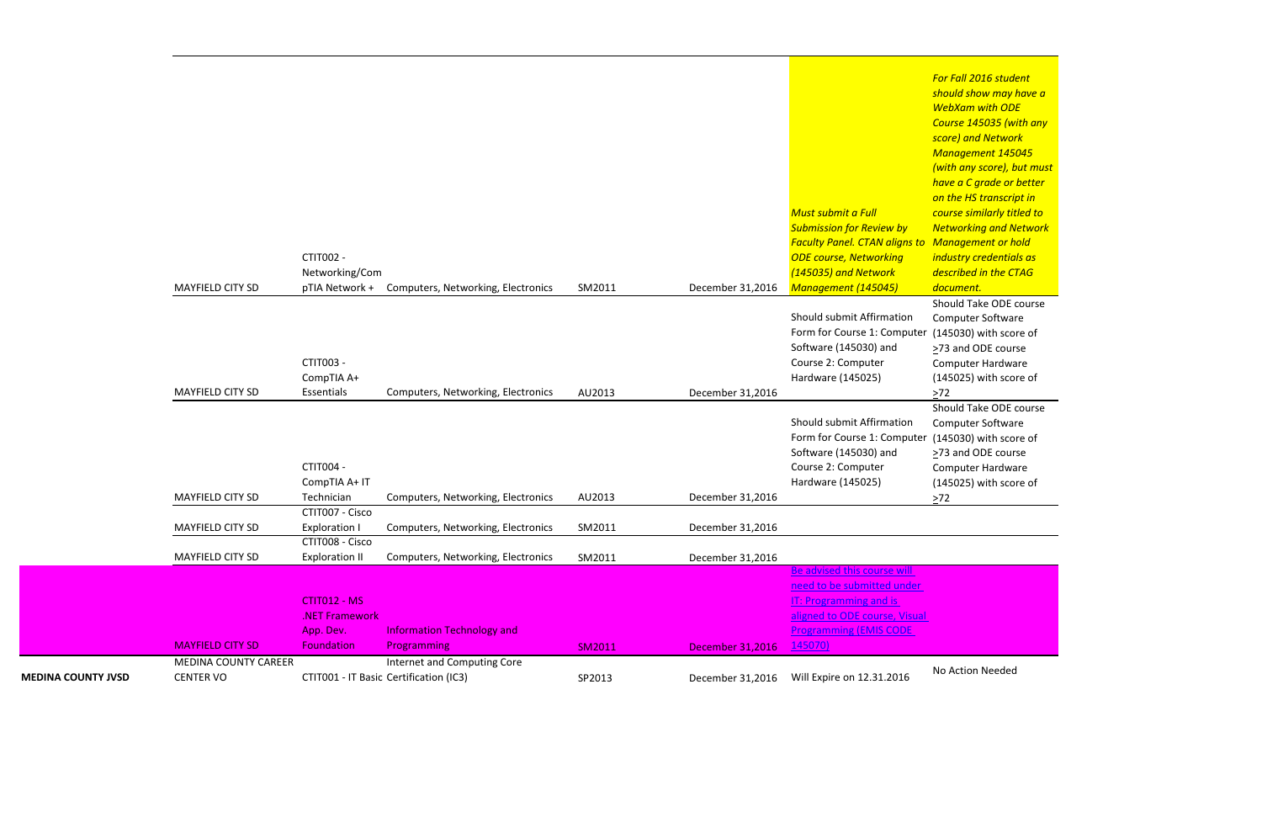*For Fall 2016 student should show may have a WebXam with ODE Course 145035 (with any score) and Network Management 145045 (with any score), but must have a C grade or better on the HS transcript in course similarly titled to Networking and Network Management or hold industry credentials as described in the CTAG document.* Should Take ODE course Computer Software

 $(145030)$  with score of >73 and ODE course Computer Hardware (145025) with score of



| <b>MEDINA COUNTY JVSD</b> | <b>MEDINA COUNTY CAREER</b><br><b>CENTER VO</b> |                                  | Internet and Computing Core<br>CTIT001 - IT Basic Certification (IC3) | SP2013        | December 31,2016 | Will Expire on 12.31.2016                            | No Action Needed                 |
|---------------------------|-------------------------------------------------|----------------------------------|-----------------------------------------------------------------------|---------------|------------------|------------------------------------------------------|----------------------------------|
|                           | <b>MAYFIELD CITY SD</b>                         | Foundation                       | Programming                                                           | <b>SM2011</b> | December 31,2016 | 145070)                                              |                                  |
|                           |                                                 | App. Dev.                        | <b>Information Technology and</b>                                     |               |                  | <b>Programming (EMIS CODE</b>                        |                                  |
|                           |                                                 | .NET Framework                   |                                                                       |               |                  | aligned to ODE course, Visual                        |                                  |
|                           |                                                 | CTIT012 - MS                     |                                                                       |               |                  | IT: Programming and is                               |                                  |
|                           |                                                 |                                  |                                                                       |               |                  | need to be submitted under                           |                                  |
|                           |                                                 |                                  |                                                                       |               |                  | Be advised this course will                          |                                  |
|                           | <b>MAYFIELD CITY SD</b>                         | <b>Exploration II</b>            | Computers, Networking, Electronics                                    | SM2011        | December 31,2016 |                                                      |                                  |
|                           |                                                 | CTIT008 - Cisco                  |                                                                       |               |                  |                                                      |                                  |
|                           | <b>MAYFIELD CITY SD</b>                         | <b>Exploration I</b>             | Computers, Networking, Electronics                                    | SM2011        | December 31,2016 |                                                      |                                  |
|                           |                                                 | CTIT007 - Cisco                  |                                                                       |               |                  |                                                      |                                  |
|                           | <b>MAYFIELD CITY SD</b>                         | Technician                       | Computers, Networking, Electronics                                    | AU2013        | December 31,2016 |                                                      | (145025) with sco<br>$>72$       |
|                           |                                                 | CompTIA A+ IT                    |                                                                       |               |                  | Course 2: Computer<br>Hardware (145025)              | Computer Hardwa                  |
|                           |                                                 | <b>CTIT004 -</b>                 |                                                                       |               |                  | Software (145030) and                                | >73 and ODE cour                 |
|                           |                                                 |                                  |                                                                       |               |                  | Form for Course 1: Computer                          | (145030) with sco                |
|                           |                                                 |                                  |                                                                       |               |                  | Should submit Affirmation                            | Computer Softwar                 |
|                           |                                                 |                                  |                                                                       |               |                  |                                                      | Should Take ODE                  |
|                           | MAYFIELD CITY SD                                | Essentials                       | Computers, Networking, Electronics                                    | AU2013        | December 31,2016 |                                                      | $>72$                            |
|                           |                                                 | CompTIA A+                       |                                                                       |               |                  | Hardware (145025)                                    | (145025) with sco                |
|                           |                                                 | CTIT003 -                        |                                                                       |               |                  | Course 2: Computer                                   | Computer Hardwa                  |
|                           |                                                 |                                  |                                                                       |               |                  | Software (145030) and                                | >73 and ODE cour                 |
|                           |                                                 |                                  |                                                                       |               |                  | Form for Course 1: Computer                          | (145030) with sco                |
|                           |                                                 |                                  |                                                                       |               |                  | Should submit Affirmation                            | Computer Softwar                 |
|                           |                                                 |                                  | Computers, Networking, Electronics                                    | SM2011        | December 31,2016 |                                                      | Should Take ODE                  |
|                           | <b>MAYFIELD CITY SD</b>                         | Networking/Com<br>pTIA Network + |                                                                       |               |                  | (145035) and Network<br>Management (145045)          | described in the C.<br>document. |
|                           |                                                 | <b>CTIT002 -</b>                 |                                                                       |               |                  | <b>ODE course, Networking</b>                        | industry credentia               |
|                           |                                                 |                                  |                                                                       |               |                  | <b>Faculty Panel. CTAN aligns to Management or h</b> |                                  |
|                           |                                                 |                                  |                                                                       |               |                  | <b>Submission for Review by</b>                      | <b>Networking and N</b>          |
|                           |                                                 |                                  |                                                                       |               |                  | Must submit a Full                                   | course similarly tit             |
|                           |                                                 |                                  |                                                                       |               |                  |                                                      | on the HS transcri               |
|                           |                                                 |                                  |                                                                       |               |                  |                                                      | have a C grade or                |
|                           |                                                 |                                  |                                                                       |               |                  |                                                      | (with any score), b              |

(145030) with score of ≥73 and ODE course Computer Hardware (145025) with score of  $\geq$ 72 Should Take ODE course Computer Software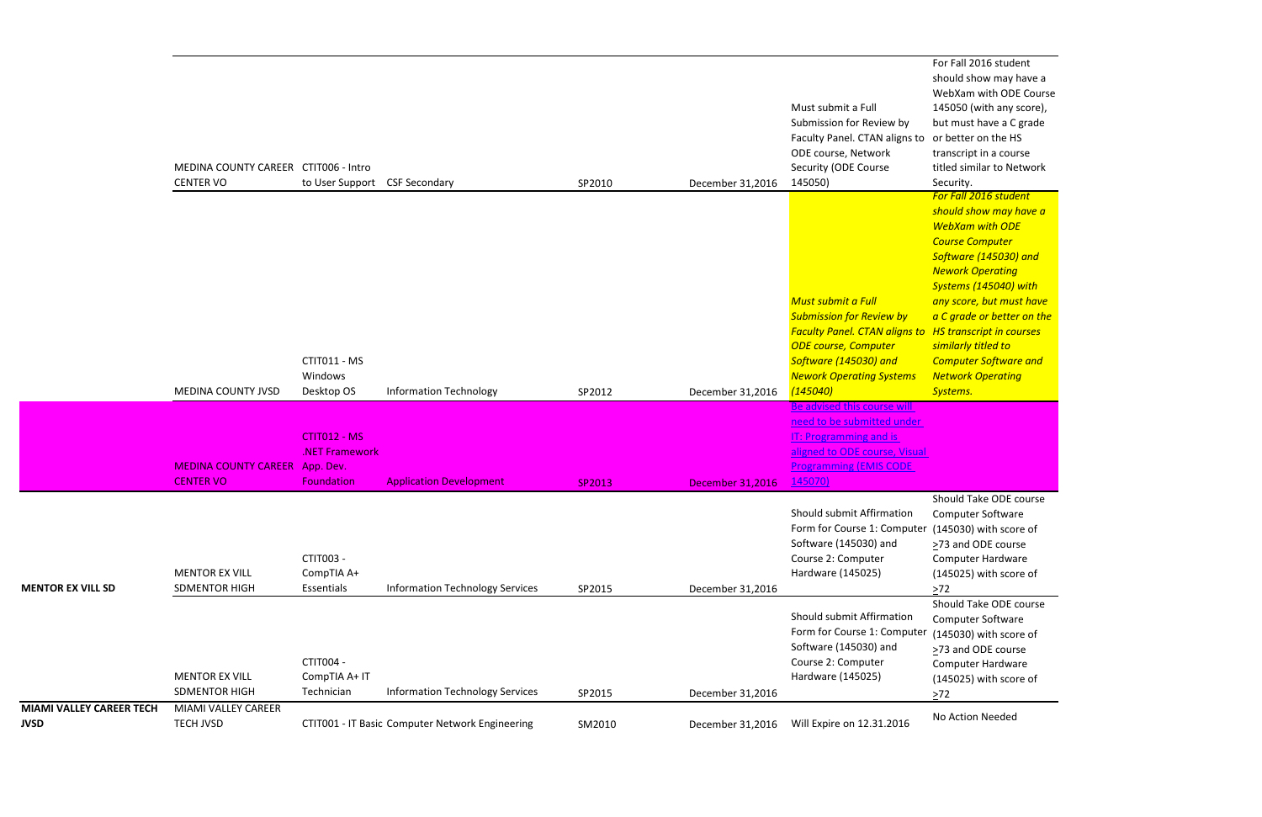For Fall 2016 student should show may have a WebXam with ODE Course 145050 (with any score), but must have a C grade or better on the HS transcript in a course titled similar to Network Security.

Should Take ODE course Computer Software er (145030) with score of ≥73 and ODE course Computer Hardware (145025) with score of  $\geq 72$ 

*For Fall 2016 student should show may have a WebXam with ODE Course Computer Software (145030) and Nework Operating Systems (145040) with any score, but must have a C grade or better on the HS transcript in courses similarly titled to Computer Software and Network Operating Systems.*

Should Take ODE course Computer Software (145030) with score of >73 and ODE course Computer Hardware (145025) with score of  $\geq 72$ 

|                                                | MEDINA COUNTY CAREER CTIT006 - Intro<br><b>CENTER VO</b>  | to User Support CSF Secondary                |                                                 | SP2010 | December 31,2016        | Must submit a Full<br>Submission for Review by<br>Faculty Panel. CTAN aligns to<br>ODE course, Network<br>Security (ODE Course<br>145050)                                                                                       | WebXam with OD<br>145050 (with any<br>but must have a C<br>or better on the H<br>transcript in a cou<br>titled similar to Ne<br>Security.<br>For Fall 2016 stude                                                                                                            |
|------------------------------------------------|-----------------------------------------------------------|----------------------------------------------|-------------------------------------------------|--------|-------------------------|---------------------------------------------------------------------------------------------------------------------------------------------------------------------------------------------------------------------------------|-----------------------------------------------------------------------------------------------------------------------------------------------------------------------------------------------------------------------------------------------------------------------------|
|                                                | MEDINA COUNTY JVSD                                        | CTIT011 - MS<br>Windows<br>Desktop OS        | <b>Information Technology</b>                   | SP2012 | December 31,2016        | <b>Must submit a Full</b><br><b>Submission for Review by</b><br><b>Faculty Panel. CTAN aligns to HS transcript in co</b><br><b>ODE course, Computer</b><br>Software (145030) and<br><b>Nework Operating Systems</b><br>(145040) | should show may<br><b>WebXam with OD</b><br>Course Computer<br>Software (145030)<br><b>Nework Operating</b><br><b>Systems (145040)</b><br>any score, but mus<br>a C grade or bette<br>similarly titled to<br><b>Computer Softwar</b><br><b>Network Operatin</b><br>Systems. |
|                                                |                                                           | CTIT012 - MS<br>.NET Framework               |                                                 |        |                         | Be advised this course will<br>need to be submitted under<br><b>IT: Programming and is</b><br>aligned to ODE course, Visual                                                                                                     |                                                                                                                                                                                                                                                                             |
|                                                | <b>MEDINA COUNTY CAREER App. Dev.</b><br><b>CENTER VO</b> | <b>Foundation</b>                            | <b>Application Development</b>                  | SP2013 | <b>December 31,2016</b> | <b>Programming (EMIS CODE</b><br>145070)                                                                                                                                                                                        |                                                                                                                                                                                                                                                                             |
| <b>MENTOR EX VILL SD</b>                       | <b>MENTOR EX VILL</b><br><b>SDMENTOR HIGH</b>             | <b>CTIT003 -</b><br>CompTIA A+<br>Essentials | <b>Information Technology Services</b>          | SP2015 | December 31,2016        | Should submit Affirmation<br>Form for Course 1: Computer<br>Software (145030) and<br>Course 2: Computer<br>Hardware (145025)                                                                                                    | Should Take ODE<br>Computer Softwar<br>(145030) with sco<br>>73 and ODE cour<br>Computer Hardwa<br>(145025) with sco<br>$\geq 72$                                                                                                                                           |
|                                                | <b>MENTOR EX VILL</b><br><b>SDMENTOR HIGH</b>             | CTIT004 -<br>CompTIA A+ IT<br>Technician     | <b>Information Technology Services</b>          | SP2015 | December 31,2016        | Should submit Affirmation<br>Form for Course 1: Computer<br>Software (145030) and<br>Course 2: Computer<br>Hardware (145025)                                                                                                    | Should Take ODE<br>Computer Softwar<br>(145030) with sco<br>>73 and ODE cour<br>Computer Hardwa<br>(145025) with sco<br>$\geq$ 72                                                                                                                                           |
| <b>MIAMI VALLEY CAREER TECH</b><br><b>JVSD</b> | MIAMI VALLEY CAREER<br><b>TECH JVSD</b>                   |                                              | CTIT001 - IT Basic Computer Network Engineering | SM2010 | December 31,2016        | Will Expire on 12.31.2016                                                                                                                                                                                                       | No Action Needed                                                                                                                                                                                                                                                            |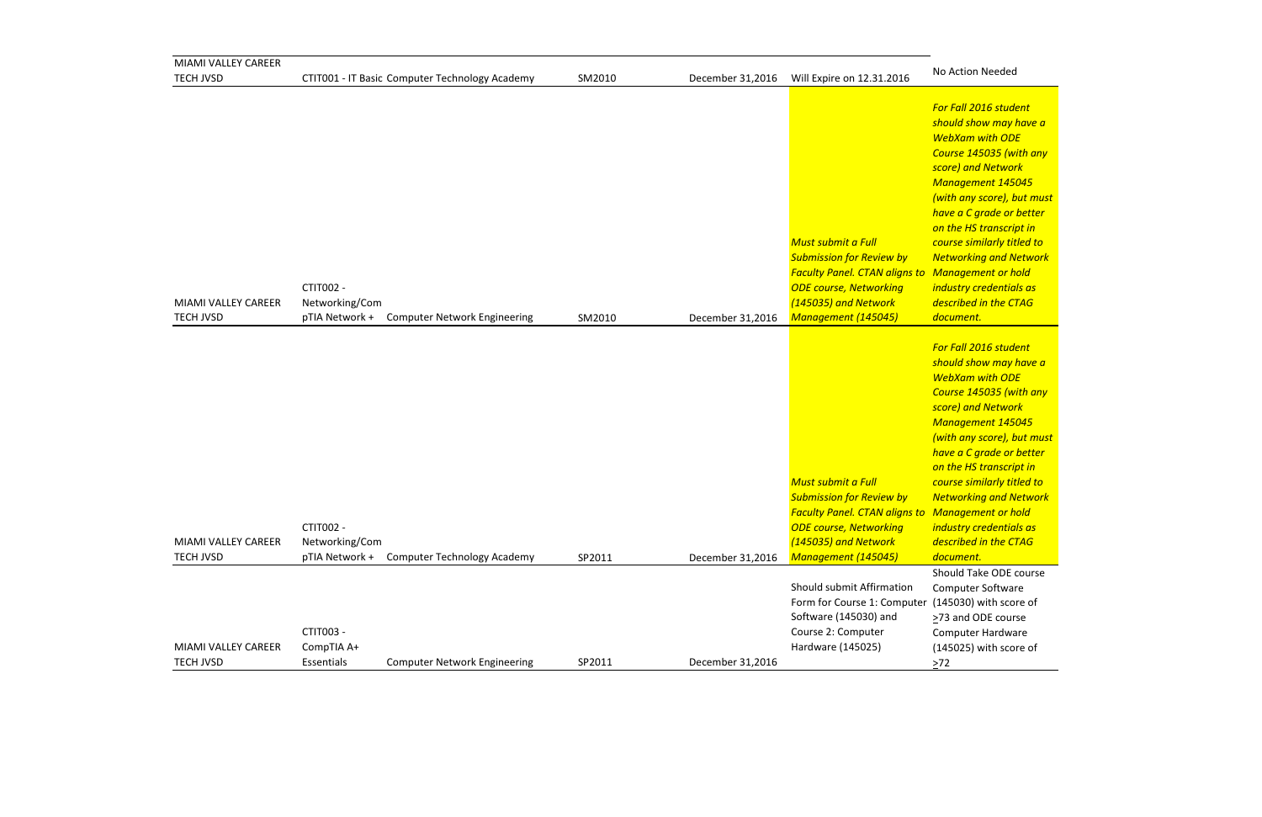*For Fall 2016 student should show may have a WebXam with ODE Course 145035 (with any score) and Network Management 145045 (with any score), but must have a C grade or better on the HS transcript in course similarly titled to Networking and Network Management or hold industry credentials as described in the CTAG document.*

| MIAMI VALLEY CAREER                     |                                               |                                                |        |                  |                                                                                                                                                                                               |                                                                                                                                                                                                                                                                                                              |
|-----------------------------------------|-----------------------------------------------|------------------------------------------------|--------|------------------|-----------------------------------------------------------------------------------------------------------------------------------------------------------------------------------------------|--------------------------------------------------------------------------------------------------------------------------------------------------------------------------------------------------------------------------------------------------------------------------------------------------------------|
| <b>TECH JVSD</b>                        |                                               | CTIT001 - IT Basic Computer Technology Academy | SM2010 | December 31,2016 | Will Expire on 12.31.2016                                                                                                                                                                     | No Action Needed                                                                                                                                                                                                                                                                                             |
| MIAMI VALLEY CAREER<br><b>TECH JVSD</b> | <b>CTIT002 -</b><br>Networking/Com            | pTIA Network + Computer Network Engineering    | SM2010 | December 31,2016 | Must submit a Full<br><b>Submission for Review by</b><br><b>Faculty Panel. CTAN aligns to Management or h</b><br><b>ODE course, Networking</b><br>(145035) and Network<br>Management (145045) | For Fall 2016 stude<br>should show may I<br><b>WebXam with OD</b><br>Course 145035 (w)<br>score) and Networ<br>Management 145<br>(with any score), b<br>have a C grade or<br>on the HS transcrip<br>course similarly tit<br><b>Networking and N</b><br>industry credentia<br>described in the C<br>document. |
| MIAMI VALLEY CAREER<br><b>TECH JVSD</b> | CTIT002 -<br>Networking/Com<br>pTIA Network + |                                                | SP2011 |                  | Must submit a Full<br><b>Submission for Review by</b><br><b>Faculty Panel. CTAN aligns to Management or h</b><br><b>ODE course, Networking</b><br>(145035) and Network<br>Management (145045) | For Fall 2016 stude<br>should show may I<br><b>WebXam with OD</b><br>Course 145035 (w)<br>score) and Networ<br>Management 145<br>(with any score), b<br>have a C grade or<br>on the HS transcrip<br>course similarly tit<br><b>Networking and N</b><br>industry credentia<br>described in the C<br>document. |
|                                         |                                               | <b>Computer Technology Academy</b>             |        | December 31,2016 |                                                                                                                                                                                               | Should Take ODE o                                                                                                                                                                                                                                                                                            |
| MIAMI VALLEY CAREER<br><b>TECH JVSD</b> | CTIT003 -<br>CompTIA A+<br>Essentials         | <b>Computer Network Engineering</b>            | SP2011 | December 31,2016 | Should submit Affirmation<br>Form for Course 1: Computer (145030) with sco<br>Software (145030) and<br>Course 2: Computer<br>Hardware (145025)                                                | Computer Softwar<br>>73 and ODE cour<br>Computer Hardwa<br>(145025) with sco<br>$\geq$ 72                                                                                                                                                                                                                    |

Should Take ODE course Computer Software er (145030) with score of >73 and ODE course Computer Hardware (145025) with score of  $\geq 72$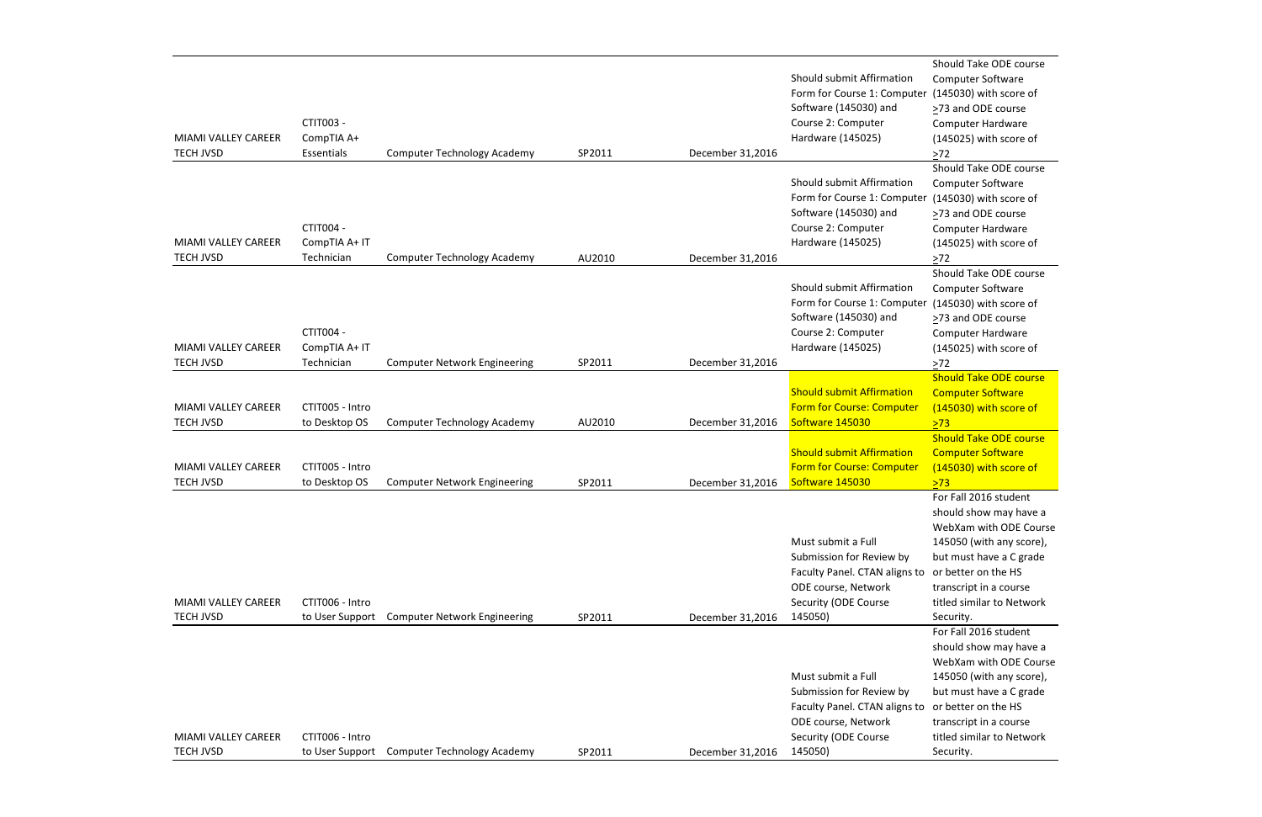| <b>MIAMI VALLEY CAREER</b><br><b>TECH JVSD</b> | CTIT003 -<br>CompTIA A+<br>Essentials    | <b>Computer Technology Academy</b>  | SP2011 | December 31,2016 | Should submit Affirmation<br>Form for Course 1: Computer<br>Software (145030) and<br>Course 2: Computer<br>Hardware (145025)              |
|------------------------------------------------|------------------------------------------|-------------------------------------|--------|------------------|-------------------------------------------------------------------------------------------------------------------------------------------|
| <b>MIAMI VALLEY CAREER</b><br><b>TECH JVSD</b> | CTIT004 -<br>CompTIA A+ IT<br>Technician | <b>Computer Technology Academy</b>  | AU2010 | December 31,2016 | Should submit Affirmation<br>Form for Course 1: Computer<br>Software (145030) and<br>Course 2: Computer<br>Hardware (145025)              |
| MIAMI VALLEY CAREER<br><b>TECH JVSD</b>        | CTIT004 -<br>CompTIA A+ IT<br>Technician | <b>Computer Network Engineering</b> | SP2011 | December 31,2016 | Should submit Affirmation<br>Form for Course 1: Computer<br>Software (145030) and<br>Course 2: Computer<br>Hardware (145025)              |
| MIAMI VALLEY CAREER<br><b>TECH JVSD</b>        | CTIT005 - Intro<br>to Desktop OS         | <b>Computer Technology Academy</b>  | AU2010 | December 31,2016 | <b>Should submit Affirmation</b><br><b>Form for Course: Computer</b><br>Software 145030                                                   |
| MIAMI VALLEY CAREER<br><b>TECH JVSD</b>        | CTIT005 - Intro<br>to Desktop OS         | <b>Computer Network Engineering</b> | SP2011 | December 31,2016 | <b>Should submit Affirmation</b><br><b>Form for Course: Computer</b><br>Software 145030                                                   |
| MIAMI VALLEY CAREER<br><b>TECH JVSD</b>        | CTIT006 - Intro<br>to User Support       | <b>Computer Network Engineering</b> | SP2011 | December 31,2016 | Must submit a Full<br>Submission for Review by<br>Faculty Panel. CTAN aligns to<br>ODE course, Network<br>Security (ODE Course<br>145050) |
|                                                |                                          |                                     |        |                  | Must submit a Full<br>Cubmission for Doviourby                                                                                            |

Should Take ODE course Computer Software (145030) with score of ≥73 and ODE course Computer Hardware (145025) with score of  $\geq 72$ Should Take ODE course Computer Software (145030) with score of ≥73 and ODE course Computer Hardware (145025) with score of  $\geq 72$ Should Take ODE course Computer Software (145030) with score of >73 and ODE course Computer Hardware (145025) with score of  $\geq$ 72 Should Take ODE course Computer Software (145030) with score of  $\sqrt{273}$ Should Take ODE course Computer Software (145030) with score of >73 For Fall 2016 student should show may have a WebXam with ODE Course 145050 (with any score), but must have a C grade or better on the HS transcript in a course titled similar to Network Security. For Fall 2016 student should show may have a WebXam with ODE Course 145050 (with any score), but must have a C grade transcript in a course titled similar to Network Security.

|                     |                                                |        |                  | SUDITIISSION TOT REVIEW DY                        | <b>but must have a C gr</b> |
|---------------------|------------------------------------------------|--------|------------------|---------------------------------------------------|-----------------------------|
|                     |                                                |        |                  | Faculty Panel. CTAN aligns to or better on the HS |                             |
|                     |                                                |        |                  | ODE course, Network                               | transcript in a course      |
| MIAMI VALLEY CAREER | CTIT006 - Intro                                |        |                  | Security (ODE Course                              | titled similar to Netw      |
| <b>TECH JVSD</b>    | Computer Technology Academy<br>to User Support | SP2011 | December 31,2016 | 145050)                                           | Security.                   |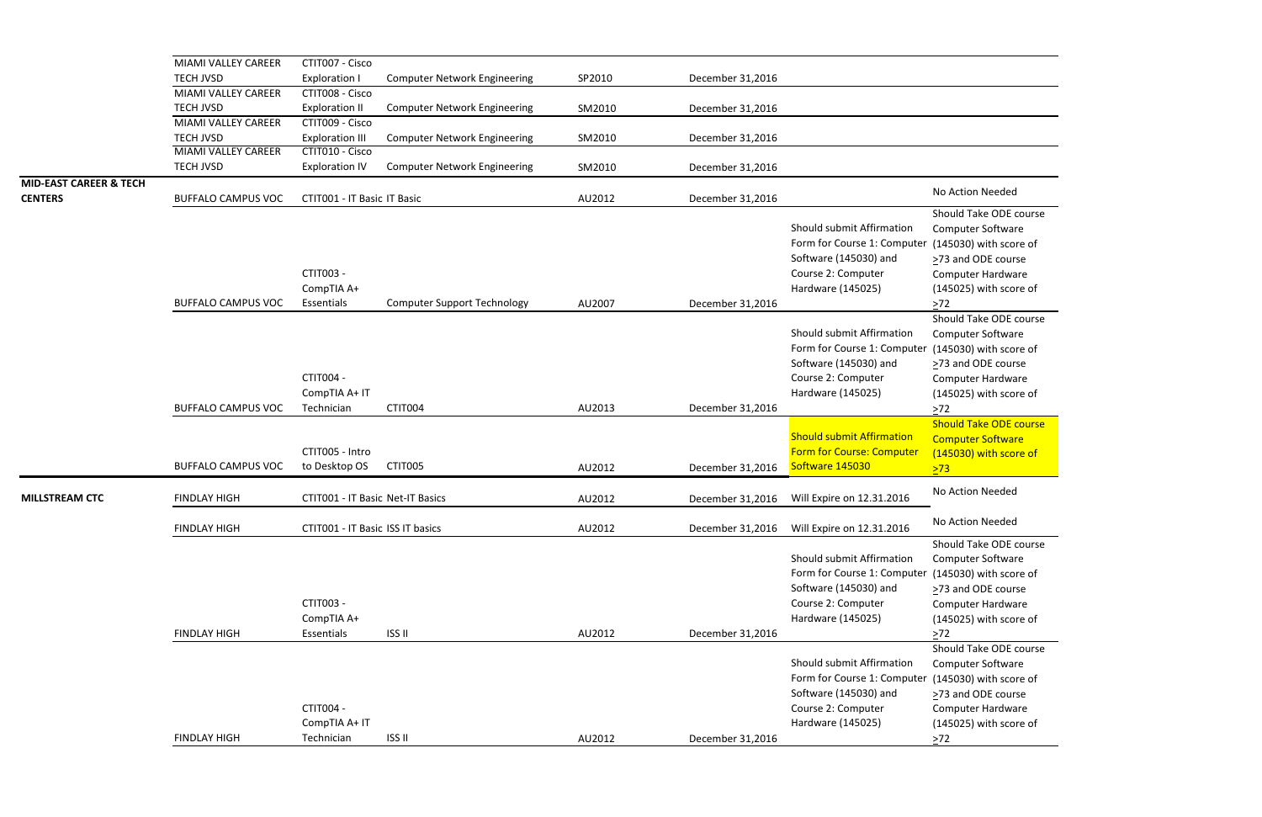|                                   | MIAMI VALLEY CAREER        | CTIT007 - Cisco                          |                                     |        |                  |                                                                                                                              |                                                                                                                                                                   |
|-----------------------------------|----------------------------|------------------------------------------|-------------------------------------|--------|------------------|------------------------------------------------------------------------------------------------------------------------------|-------------------------------------------------------------------------------------------------------------------------------------------------------------------|
|                                   | <b>TECH JVSD</b>           | <b>Exploration I</b>                     | <b>Computer Network Engineering</b> | SP2010 | December 31,2016 |                                                                                                                              |                                                                                                                                                                   |
|                                   | MIAMI VALLEY CAREER        | CTIT008 - Cisco                          |                                     |        |                  |                                                                                                                              |                                                                                                                                                                   |
|                                   | <b>TECH JVSD</b>           | <b>Exploration II</b>                    | <b>Computer Network Engineering</b> | SM2010 | December 31,2016 |                                                                                                                              |                                                                                                                                                                   |
|                                   | MIAMI VALLEY CAREER        | CTIT009 - Cisco                          |                                     |        |                  |                                                                                                                              |                                                                                                                                                                   |
|                                   | <b>TECH JVSD</b>           | <b>Exploration III</b>                   | <b>Computer Network Engineering</b> | SM2010 | December 31,2016 |                                                                                                                              |                                                                                                                                                                   |
|                                   | <b>MIAMI VALLEY CAREER</b> | CTIT010 - Cisco                          |                                     |        |                  |                                                                                                                              |                                                                                                                                                                   |
|                                   | <b>TECH JVSD</b>           | <b>Exploration IV</b>                    | <b>Computer Network Engineering</b> | SM2010 | December 31,2016 |                                                                                                                              |                                                                                                                                                                   |
| <b>MID-EAST CAREER &amp; TECH</b> |                            |                                          |                                     |        |                  |                                                                                                                              | No Action Needed                                                                                                                                                  |
| <b>CENTERS</b>                    | <b>BUFFALO CAMPUS VOC</b>  | CTIT001 - IT Basic IT Basic              |                                     | AU2012 | December 31,2016 |                                                                                                                              |                                                                                                                                                                   |
|                                   | <b>BUFFALO CAMPUS VOC</b>  | CTIT003 -<br>CompTIA A+<br>Essentials    | <b>Computer Support Technology</b>  | AU2007 | December 31,2016 | Should submit Affirmation<br>Form for Course 1: Computer<br>Software (145030) and<br>Course 2: Computer<br>Hardware (145025) | Should Take ODE co<br>Computer Software<br>(145030) with score<br>>73 and ODE course<br><b>Computer Hardware</b><br>(145025) with score<br>$>72$                  |
|                                   | <b>BUFFALO CAMPUS VOC</b>  | CTIT004 -<br>CompTIA A+ IT<br>Technician | CTIT004                             | AU2013 | December 31,2016 | Should submit Affirmation<br>Form for Course 1: Computer<br>Software (145030) and<br>Course 2: Computer<br>Hardware (145025) | Should Take ODE co<br><b>Computer Software</b><br>(145030) with score<br>>73 and ODE course<br><b>Computer Hardware</b><br>(145025) with score<br>$>72$           |
|                                   |                            |                                          |                                     |        |                  |                                                                                                                              | <b>Should Take ODE co</b>                                                                                                                                         |
|                                   | <b>BUFFALO CAMPUS VOC</b>  | CTIT005 - Intro<br>to Desktop OS         | CTIT005                             | AU2012 | December 31,2016 | <b>Should submit Affirmation</b><br><b>Form for Course: Computer</b><br>Software 145030                                      | <b>Computer Software</b><br>(145030) with score<br>>73                                                                                                            |
| <b>MILLSTREAM CTC</b>             | <b>FINDLAY HIGH</b>        | CTIT001 - IT Basic Net-IT Basics         |                                     | AU2012 | December 31,2016 | Will Expire on 12.31.2016                                                                                                    | No Action Needed                                                                                                                                                  |
|                                   | <b>FINDLAY HIGH</b>        | CTIT001 - IT Basic ISS IT basics         |                                     | AU2012 | December 31,2016 | Will Expire on 12.31.2016                                                                                                    | No Action Needed                                                                                                                                                  |
|                                   | <b>FINDLAY HIGH</b>        | CTIT003 -<br>CompTIA A+<br>Essentials    | <b>ISS II</b>                       | AU2012 | December 31,2016 | Should submit Affirmation<br>Form for Course 1: Compute<br>Software (145030) and<br>Course 2: Computer<br>Hardware (145025)  | Should Take ODE co<br><b>Computer Software</b><br>(145030) with score<br>$\geq$ 73 and ODE course<br><b>Computer Hardware</b><br>(145025) with score<br>$\geq 72$ |
|                                   | <b>FINDLAY HIGH</b>        | CTIT004 -<br>CompTIA A+ IT<br>Technician | <b>ISSII</b>                        | AU2012 | December 31,2016 | Should submit Affirmation<br>Form for Course 1: Computer<br>Software (145030) and<br>Course 2: Computer<br>Hardware (145025) | Should Take ODE co<br><b>Computer Software</b><br>(145030) with score<br>>73 and ODE course<br><b>Computer Hardware</b><br>(145025) with score<br>$\geq$ 72       |
|                                   |                            |                                          |                                     |        |                  |                                                                                                                              |                                                                                                                                                                   |

| No Action Needed                                                                                                                                                  |
|-------------------------------------------------------------------------------------------------------------------------------------------------------------------|
| Should Take ODE course<br><b>Computer Software</b><br>(145030) with score of<br>>73 and ODE course<br><b>Computer Hardware</b><br>(145025) with score of          |
| >72<br>Should Take ODE course<br><b>Computer Software</b><br>(145030) with score of<br>>73 and ODE course<br>Computer Hardware<br>$(145025)$ with score of<br>>72 |
| <b>Should Take ODE course</b><br><b>Computer Software</b><br>(145030) with score of                                                                               |
| >73                                                                                                                                                               |
| No Action Needed                                                                                                                                                  |
| No Action Needed                                                                                                                                                  |
| Should Take ODE course<br><b>Computer Software</b><br>(145030) with score of<br>>73 and ODE course<br><b>Computer Hardware</b><br>(145025) with score of<br>>72   |
| Should Take ODE course                                                                                                                                            |
| <b>Computer Software</b><br>(145030) with score of<br>>73 and ODE course<br><b>Computer Hardware</b><br>(145025) with score of<br>>72                             |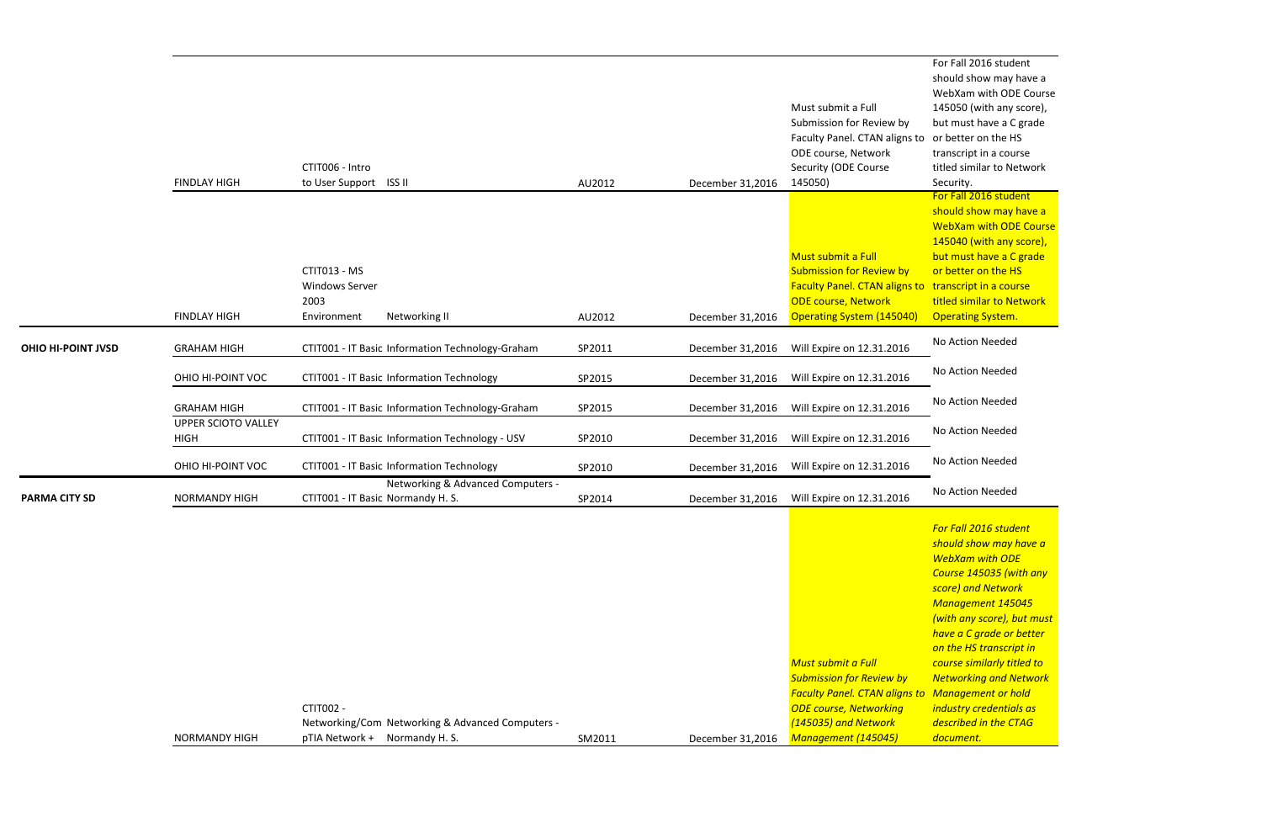should show may have a WebXam with ODE Course 145040 (with any score), but must have a C grade or better on the HS transcript in a course titled similar to Network Operating System.

For Fall 2016 student should show may have a WebXam with ODE Course 145050 (with any score), but must have a C grade transcript in a course titled similar to Network Security. For Fall 2016 student

|                           | <b>FINDLAY HIGH</b>                       | CTIT006 - Intro<br>to User Support ISS II                                     |        | December 31,2016 | Must submit a Full<br>Submission for Review by<br>Faculty Panel. CTAN aligns to<br>ODE course, Network<br>Security (ODE Course<br>145050)                                | WebXam with ODE C<br>145050 (with any sco<br>but must have a C gr<br>or better on the HS<br>transcript in a course<br>titled similar to Netw<br>Security.                                                                                                                                                                                                 |
|---------------------------|-------------------------------------------|-------------------------------------------------------------------------------|--------|------------------|--------------------------------------------------------------------------------------------------------------------------------------------------------------------------|-----------------------------------------------------------------------------------------------------------------------------------------------------------------------------------------------------------------------------------------------------------------------------------------------------------------------------------------------------------|
|                           | <b>FINDLAY HIGH</b>                       | CTIT013 - MS<br><b>Windows Server</b><br>2003<br>Environment<br>Networking II | AU2012 | December 31,2016 | Must submit a Full<br><b>Submission for Review by</b><br>Faculty Panel. CTAN aligns to transcript in a course<br><b>ODE course, Network</b><br>Operating System (145040) | For Fall 2016 student<br>should show may ha<br><b>WebXam with ODE C</b><br>145040 (with any sco<br>but must have a C gr<br>or better on the HS<br>titled similar to Netw<br><b>Operating System.</b>                                                                                                                                                      |
| <b>OHIO HI-POINT JVSD</b> | <b>GRAHAM HIGH</b>                        | CTIT001 - IT Basic Information Technology-Graham                              | SP2011 | December 31,2016 | Will Expire on 12.31.2016                                                                                                                                                | No Action Needed                                                                                                                                                                                                                                                                                                                                          |
|                           | OHIO HI-POINT VOC                         | CTIT001 - IT Basic Information Technology                                     | SP2015 | December 31,2016 | Will Expire on 12.31.2016                                                                                                                                                | No Action Needed                                                                                                                                                                                                                                                                                                                                          |
|                           | <b>GRAHAM HIGH</b>                        | CTIT001 - IT Basic Information Technology-Graham                              | SP2015 | December 31,2016 | Will Expire on 12.31.2016                                                                                                                                                | No Action Needed                                                                                                                                                                                                                                                                                                                                          |
|                           | <b>UPPER SCIOTO VALLEY</b><br><b>HIGH</b> | CTIT001 - IT Basic Information Technology - USV                               | SP2010 | December 31,2016 | Will Expire on 12.31.2016                                                                                                                                                | No Action Needed                                                                                                                                                                                                                                                                                                                                          |
|                           | OHIO HI-POINT VOC                         | CTIT001 - IT Basic Information Technology                                     | SP2010 | December 31,2016 | Will Expire on 12.31.2016                                                                                                                                                | No Action Needed                                                                                                                                                                                                                                                                                                                                          |
|                           |                                           | Networking & Advanced Computers -                                             |        |                  |                                                                                                                                                                          | No Action Needed                                                                                                                                                                                                                                                                                                                                          |
| <b>PARMA CITY SD</b>      | <b>NORMANDY HIGH</b>                      | CTIT001 - IT Basic Normandy H. S.                                             | SP2014 | December 31,2016 | Will Expire on 12.31.2016                                                                                                                                                |                                                                                                                                                                                                                                                                                                                                                           |
|                           |                                           | CTIT002 -<br>Networking/Com Networking & Advanced Computers -                 |        |                  | <b>Must submit a Full</b><br><b>Submission for Review by</b><br><b>Faculty Panel. CTAN aligns to</b><br><b>ODE course, Networking</b><br>(145035) and Network            | For Fall 2016 student<br>should show may hay<br><b>WebXam with ODE</b><br>Course 145035 (with<br>score) and Network<br>Management 14504.<br>(with any score), but<br>have a C grade or be<br>on the HS transcript<br>course similarly titled<br><b>Networking and Nety</b><br><b>Management or hold</b><br>industry credentials a<br>described in the CTA |
|                           | <b>NORMANDY HIGH</b>                      | pTIA Network + Normandy H.S.                                                  | SM2011 | December 31,2016 | Management (145045)                                                                                                                                                      | document.                                                                                                                                                                                                                                                                                                                                                 |
|                           |                                           |                                                                               |        |                  |                                                                                                                                                                          |                                                                                                                                                                                                                                                                                                                                                           |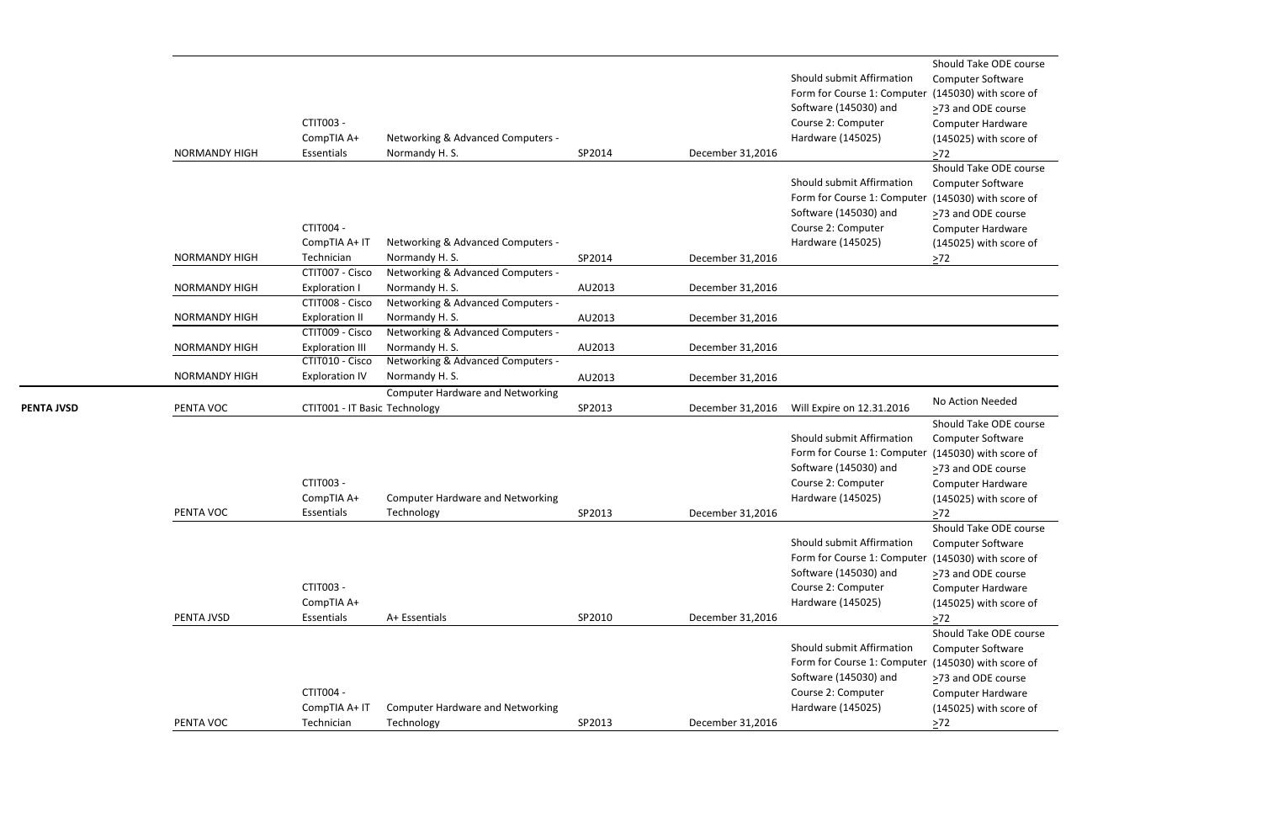```
Should Take ODE course
 Computer Software
er (145030) with score of
 >73 and ODE course
 Computer Hardware
 (145025) with score of
 \geq 72Should Take ODE course
 Computer Software
er (145030) with score of
 >73 and ODE course
 Computer Hardware
 (145025) with score of
 >72
```
Should Take ODE course Computer Software er (145030) with score of ≥73 and ODE course

Computer Hardware (145025) with score of  $\geq 72$ 

|                   | <b>NORMANDY HIGH</b>                         | CTIT003 -<br>CompTIA A+<br>Essentials                              | Networking & Advanced Computers -<br>Normandy H. S.                                     | SP2014           | December 31,2016                     | Should submit Affirmation<br>Form for Course 1: Computer<br>Software (145030) and<br>Course 2: Computer<br>Hardware (145025) | Should Take ODE<br>Computer Softwar<br>(145030) with sco<br>$\geq$ 73 and ODE cour<br>Computer Hardwa<br>(145025) with sco<br>$>72$     |
|-------------------|----------------------------------------------|--------------------------------------------------------------------|-----------------------------------------------------------------------------------------|------------------|--------------------------------------|------------------------------------------------------------------------------------------------------------------------------|-----------------------------------------------------------------------------------------------------------------------------------------|
|                   | <b>NORMANDY HIGH</b>                         | CTIT004 -<br>CompTIA A+ IT<br>Technician                           | Networking & Advanced Computers -<br>Normandy H.S.                                      | SP2014           | December 31,2016                     | Should submit Affirmation<br>Form for Course 1: Computer<br>Software (145030) and<br>Course 2: Computer<br>Hardware (145025) | Should Take ODE<br>Computer Softwar<br>(145030) with sco<br>$\geq$ 73 and ODE cour<br>Computer Hardwa<br>(145025) with sco<br>$\geq 72$ |
|                   | <b>NORMANDY HIGH</b>                         | CTIT007 - Cisco<br><b>Exploration I</b><br>CTIT008 - Cisco         | Networking & Advanced Computers -<br>Normandy H.S.<br>Networking & Advanced Computers - | AU2013           | December 31,2016                     |                                                                                                                              |                                                                                                                                         |
|                   | <b>NORMANDY HIGH</b><br><b>NORMANDY HIGH</b> | <b>Exploration II</b><br>CTIT009 - Cisco<br><b>Exploration III</b> | Normandy H. S.<br>Networking & Advanced Computers -<br>Normandy H. S.                   | AU2013<br>AU2013 | December 31,2016<br>December 31,2016 |                                                                                                                              |                                                                                                                                         |
|                   | <b>NORMANDY HIGH</b>                         | CTIT010 - Cisco<br><b>Exploration IV</b>                           | Networking & Advanced Computers -<br>Normandy H.S.                                      | AU2013           | December 31,2016                     |                                                                                                                              |                                                                                                                                         |
| <b>PENTA JVSD</b> | PENTA VOC                                    | CTIT001 - IT Basic Technology                                      | <b>Computer Hardware and Networking</b>                                                 | SP2013           | December 31,2016                     | Will Expire on 12.31.2016                                                                                                    | No Action Needed                                                                                                                        |
|                   | PENTA VOC                                    | CTIT003 -<br>CompTIA A+<br>Essentials                              | <b>Computer Hardware and Networking</b><br>Technology                                   | SP2013           | December 31,2016                     | Should submit Affirmation<br>Form for Course 1: Computer<br>Software (145030) and<br>Course 2: Computer<br>Hardware (145025) | Should Take ODE<br>Computer Softwar<br>(145030) with sco<br>$\geq$ 73 and ODE cour<br>Computer Hardwa<br>(145025) with sco<br>$\geq 72$ |
|                   | PENTA JVSD                                   | CTIT003 -<br>CompTIA A+<br>Essentials                              | A+ Essentials                                                                           | SP2010           | December 31,2016                     | Should submit Affirmation<br>Form for Course 1: Computer<br>Software (145030) and<br>Course 2: Computer<br>Hardware (145025) | Should Take ODE<br>Computer Softwar<br>(145030) with sco<br>>73 and ODE cour<br>Computer Hardwa<br>(145025) with sco<br>$>72$           |
|                   | PENTA VOC                                    | CTIT004 -<br>CompTIA A+ IT<br>Technician                           | <b>Computer Hardware and Networking</b><br>Technology                                   | SP2013           | December 31,2016                     | Should submit Affirmation<br>Form for Course 1: Computer<br>Software (145030) and<br>Course 2: Computer<br>Hardware (145025) | Should Take ODE o<br>Computer Softwar<br>(145030) with sco<br>>73 and ODE cour<br>Computer Hardwa<br>(145025) with sco<br>$\geq 72$     |
|                   |                                              |                                                                    |                                                                                         |                  |                                      |                                                                                                                              |                                                                                                                                         |

Computer Software er (145030) with score of >73 and ODE course Computer Hardware (145025) with score of  $\geq$ 72

Should Take ODE course Computer Software er (145030) with score of ≥73 and ODE course Computer Hardware (145025) with score of  $272$ Should Take ODE course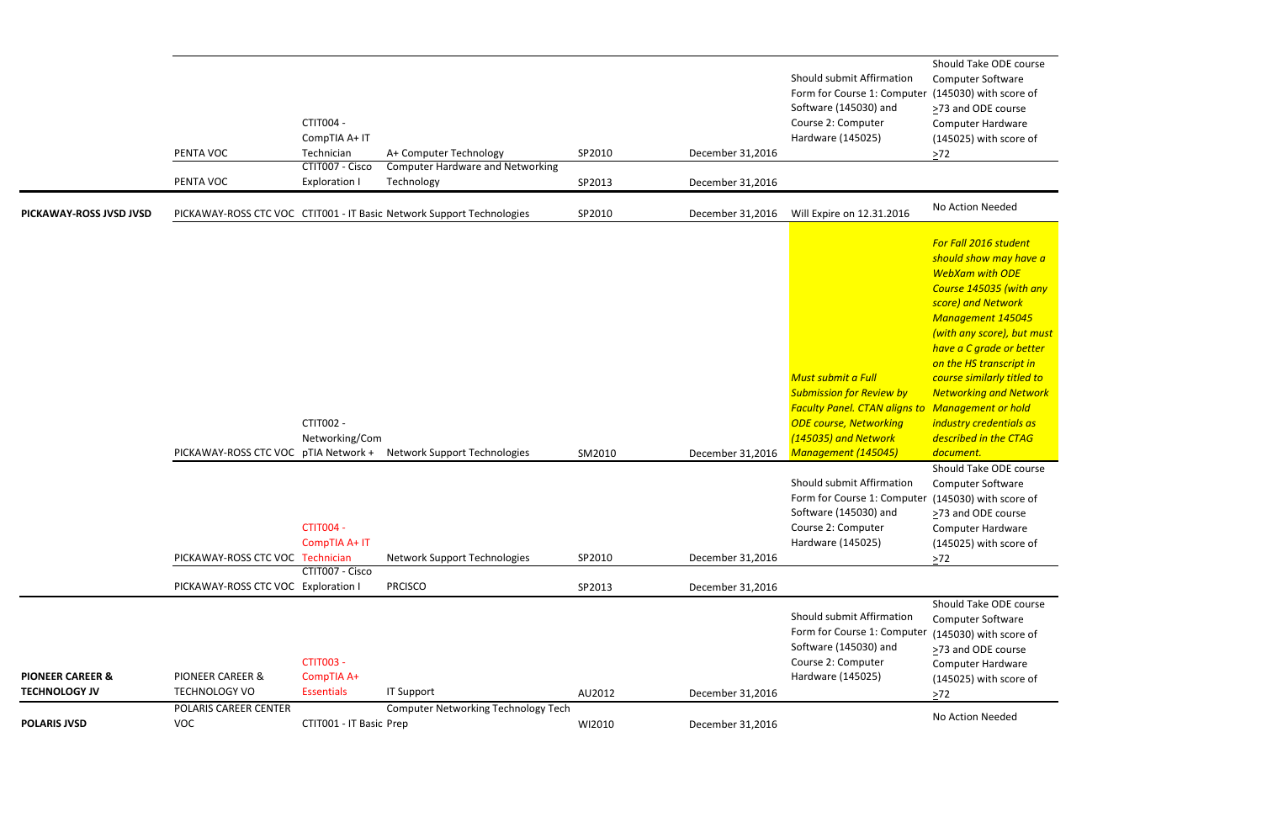Should Take ODE course Computer Software  $(145030)$  with score of ≥73 and ODE course Computer Hardware (145025) with score of  $\geq 72$ 

Should Take ODE course Computer Software (145030) with score of ≥73 and ODE course Computer Hardware (145025) with score of  $\geq$ 72

Should Take ODE course Computer Software (145030) with score of >73 and ODE course Computer Hardware (145025) with score of  $\geq$ 72

|                                                     | PENTA VOC<br>PENTA VOC                              | CTIT004 -<br>CompTIA A+ IT<br>Technician<br>CTIT007 - Cisco<br><b>Exploration I</b> | A+ Computer Technology<br><b>Computer Hardware and Networking</b><br>Technology | SP2010<br>SP2013 | December 31,2016<br>December 31,2016 | Should submit Affirmation<br>Form for Course 1: Computer<br>Software (145030) and<br>Course 2: Computer<br>Hardware (145025)                                                                         | Should Take ODE<br>Computer Softwar<br>(145030) with sco<br>>73 and ODE cour<br>Computer Hardwa<br>(145025) with sco<br>$\geq 72$                                                                                                                                                                                         |
|-----------------------------------------------------|-----------------------------------------------------|-------------------------------------------------------------------------------------|---------------------------------------------------------------------------------|------------------|--------------------------------------|------------------------------------------------------------------------------------------------------------------------------------------------------------------------------------------------------|---------------------------------------------------------------------------------------------------------------------------------------------------------------------------------------------------------------------------------------------------------------------------------------------------------------------------|
| PICKAWAY-ROSS JVSD JVSD                             |                                                     |                                                                                     | PICKAWAY-ROSS CTC VOC CTIT001 - IT Basic Network Support Technologies           | SP2010           | December 31,2016                     | Will Expire on 12.31.2016                                                                                                                                                                            | No Action Needed                                                                                                                                                                                                                                                                                                          |
|                                                     |                                                     | CTIT002 -<br>Networking/Com                                                         | PICKAWAY-ROSS CTC VOC pTIA Network + Network Support Technologies               | SM2010           | December 31,2016                     | <b>Must submit a Full</b><br><b>Submission for Review by</b><br><b>Faculty Panel. CTAN aligns to Management or h</b><br><b>ODE course, Networking</b><br>(145035) and Network<br>Management (145045) | For Fall 2016 stude<br>should show may<br><b>WebXam with OD</b><br><b>Course 145035 (w)</b><br>score) and Networ<br><b>Management 145</b><br>(with any score), b<br>have a C grade or<br>on the HS transcrip<br>course similarly tit<br><b>Networking and N</b><br>industry credentia<br>described in the C.<br>document. |
|                                                     | PICKAWAY-ROSS CTC VOC Technician                    | <b>CTIT004 -</b><br>CompTIA A+ IT                                                   | Network Support Technologies                                                    | SP2010           | December 31,2016                     | Should submit Affirmation<br>Form for Course 1: Computer<br>Software (145030) and<br>Course 2: Computer<br>Hardware (145025)                                                                         | Should Take ODE<br>Computer Softwar<br>(145030) with scor<br>$\geq$ 73 and ODE cour<br>Computer Hardwa<br>(145025) with sco<br>$\geq$ 72                                                                                                                                                                                  |
|                                                     | PICKAWAY-ROSS CTC VOC Exploration I                 | CTIT007 - Cisco                                                                     | <b>PRCISCO</b>                                                                  | SP2013           | December 31,2016                     |                                                                                                                                                                                                      |                                                                                                                                                                                                                                                                                                                           |
| <b>PIONEER CAREER &amp;</b><br><b>TECHNOLOGY JV</b> | <b>PIONEER CAREER &amp;</b><br><b>TECHNOLOGY VO</b> | <b>CTIT003 -</b><br>CompTIA A+<br><b>Essentials</b>                                 | <b>IT Support</b>                                                               | AU2012           | December 31,2016                     | Should submit Affirmation<br>Form for Course 1: Computer<br>Software (145030) and<br>Course 2: Computer<br>Hardware (145025)                                                                         | Should Take ODE<br>Computer Softwar<br>(145030) with sco<br>>73 and ODE cour<br>Computer Hardwa<br>(145025) with sco<br>$\geq$ 72                                                                                                                                                                                         |
| <b>POLARIS JVSD</b>                                 | POLARIS CAREER CENTER<br><b>VOC</b>                 | CTIT001 - IT Basic Prep                                                             | <b>Computer Networking Technology Tech</b>                                      | WI2010           | December 31,2016                     |                                                                                                                                                                                                      | No Action Needed                                                                                                                                                                                                                                                                                                          |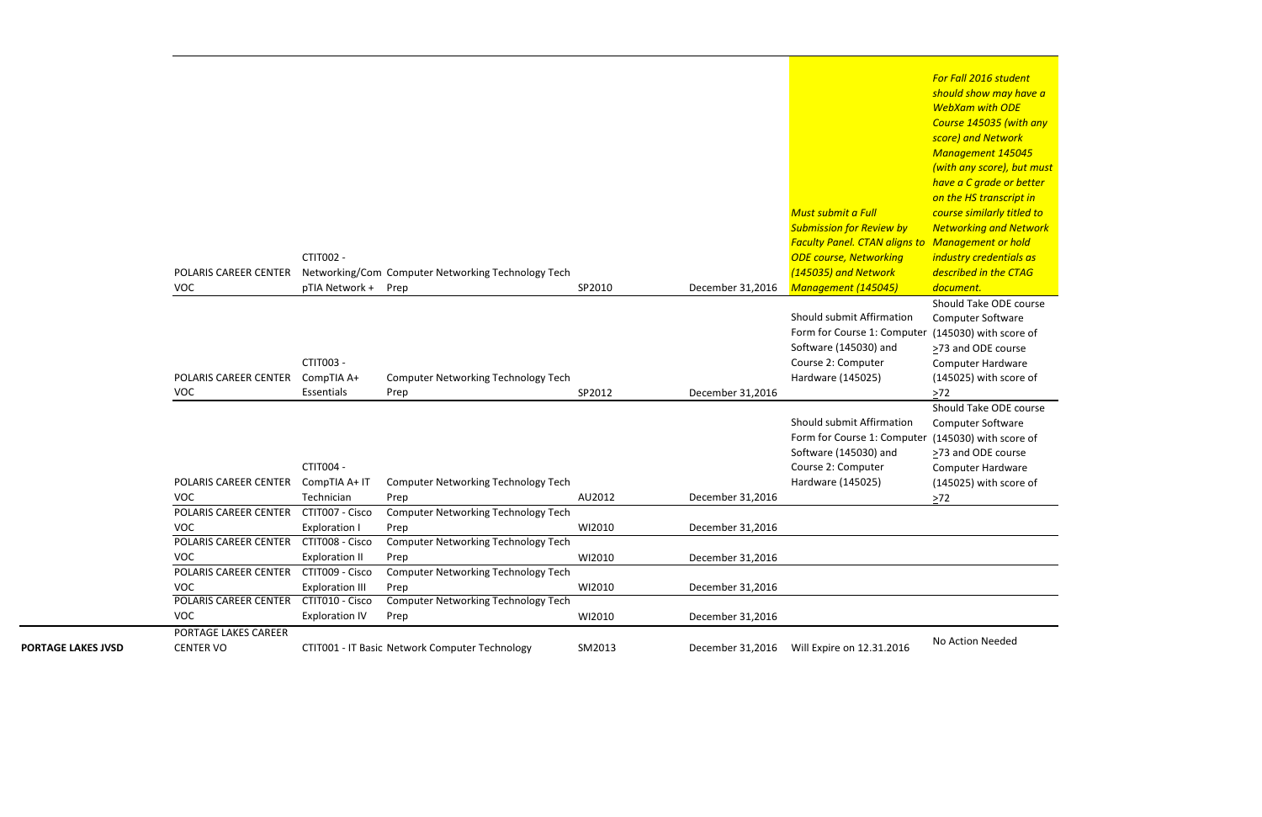Computer Software  $(145030)$  with score of >73 and ODE course Computer Hardware (145025) with score of  $\geq 72$ 

*For Fall 2016 student should show may have a WebXam with ODE Course 145035 (with any score) and Network Management 145045 (with any score), but must have a C grade or better on the HS transcript in course similarly titled to Networking and Network Management or hold industry credentials as described in the CTAG document.* Should Take ODE course Computer Software (145030) with score of ≥73 and ODE course Computer Hardware (145025) with score of  $\geq 72$ Should Take ODE course

|                           | POLARIS CAREER CENTER<br><b>VOC</b>      | CTIT002 -<br>pTIA Network + Prep          | Networking/Com Computer Networking Technology Tech | SP2010 | December 31,2016 | Must submit a Full<br><b>Submission for Review by</b><br><b>Faculty Panel. CTAN aligns to Management or h</b><br><b>ODE course, Networking</b><br>(145035) and Network<br>Management (145045) | <u>nave a c grade or</u><br>on the HS transcrip<br>course similarly tit<br><b>Networking and N</b><br>industry credentia<br>described in the C<br>document. |
|---------------------------|------------------------------------------|-------------------------------------------|----------------------------------------------------|--------|------------------|-----------------------------------------------------------------------------------------------------------------------------------------------------------------------------------------------|-------------------------------------------------------------------------------------------------------------------------------------------------------------|
|                           |                                          |                                           |                                                    |        |                  |                                                                                                                                                                                               | Should Take ODE                                                                                                                                             |
|                           |                                          | CTIT003 -                                 |                                                    |        |                  | Should submit Affirmation<br>Form for Course 1: Computer<br>Software (145030) and<br>Course 2: Computer                                                                                       | Computer Softwar<br>(145030) with sco<br>>73 and ODE cour<br>Computer Hardwa                                                                                |
|                           | POLARIS CAREER CENTER                    | CompTIA A+                                | <b>Computer Networking Technology Tech</b>         |        |                  | Hardware (145025)                                                                                                                                                                             | (145025) with sco                                                                                                                                           |
|                           | VOC                                      | Essentials                                | Prep                                               | SP2012 | December 31,2016 |                                                                                                                                                                                               | $>72$<br>Should Take ODE                                                                                                                                    |
|                           | POLARIS CAREER CENTER                    | CTIT004 -<br>CompTIA A+ IT                | <b>Computer Networking Technology Tech</b>         |        |                  | Should submit Affirmation<br>Form for Course 1: Computer<br>Software (145030) and<br>Course 2: Computer<br>Hardware (145025)                                                                  | Computer Softwar<br>(145030) with sco<br>>73 and ODE cour<br>Computer Hardwa<br>(145025) with sco                                                           |
|                           | <b>VOC</b><br>POLARIS CAREER CENTER      | Technician<br>CTIT007 - Cisco             | Prep                                               | AU2012 | December 31,2016 |                                                                                                                                                                                               | $>72$                                                                                                                                                       |
|                           | <b>VOC</b>                               | <b>Exploration I</b>                      | <b>Computer Networking Technology Tech</b><br>Prep | WI2010 | December 31,2016 |                                                                                                                                                                                               |                                                                                                                                                             |
|                           | POLARIS CAREER CENTER                    | CTIT008 - Cisco                           | <b>Computer Networking Technology Tech</b>         |        |                  |                                                                                                                                                                                               |                                                                                                                                                             |
|                           | <b>VOC</b>                               | <b>Exploration II</b>                     | Prep                                               | WI2010 | December 31,2016 |                                                                                                                                                                                               |                                                                                                                                                             |
|                           | POLARIS CAREER CENTER<br><b>VOC</b>      | CTIT009 - Cisco<br><b>Exploration III</b> | <b>Computer Networking Technology Tech</b><br>Prep | WI2010 | December 31,2016 |                                                                                                                                                                                               |                                                                                                                                                             |
|                           | POLARIS CAREER CENTER<br><b>VOC</b>      | CTIT010 - Cisco<br><b>Exploration IV</b>  | <b>Computer Networking Technology Tech</b><br>Prep | WI2010 | December 31,2016 |                                                                                                                                                                                               |                                                                                                                                                             |
| <b>PORTAGE LAKES JVSD</b> | PORTAGE LAKES CAREER<br><b>CENTER VO</b> |                                           | CTIT001 - IT Basic Network Computer Technology     | SM2013 | December 31,2016 | Will Expire on 12.31.2016                                                                                                                                                                     | No Action Needed                                                                                                                                            |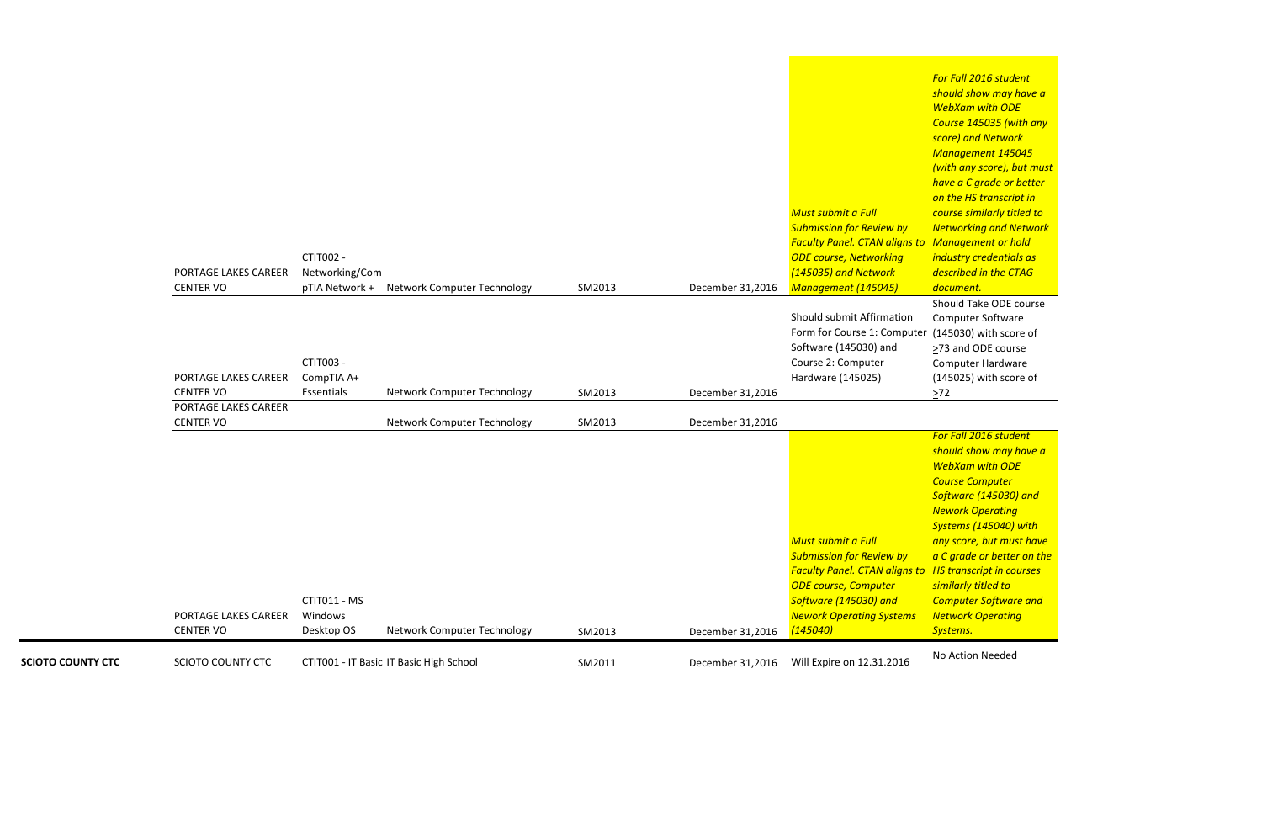Should Take ODE course Computer Software (145030) with score of >73 and ODE course Computer Hardware (145025) with score of  $\geq 72$ 

*For Fall 2016 student should show may have a WebXam with ODE Course 145035 (with any score) and Network Management 145045 (with any score), but must have a C grade or better on the HS transcript in course similarly titled to Networking and Network Management or hold industry credentials as described in the CTAG document.*

| <b>SCIOTO COUNTY CTC</b> | SCIOTO COUNTY CTC                        |                                       | CTIT001 - IT Basic IT Basic High School    | SM2011 | December 31,2016 | Will Expire on 12.31.2016                                                                                                                                                                            | No Action Needed                                                                                                                                                                                                                                                                                                                        |
|--------------------------|------------------------------------------|---------------------------------------|--------------------------------------------|--------|------------------|------------------------------------------------------------------------------------------------------------------------------------------------------------------------------------------------------|-----------------------------------------------------------------------------------------------------------------------------------------------------------------------------------------------------------------------------------------------------------------------------------------------------------------------------------------|
|                          | PORTAGE LAKES CAREER<br><b>CENTER VO</b> | CTIT011 - MS<br>Windows<br>Desktop OS | Network Computer Technology                | SM2013 | December 31,2016 | Must submit a Full<br><b>Submission for Review by</b><br><b>Faculty Panel. CTAN aligns to</b><br><b>ODE course, Computer</b><br>Software (145030) and<br><b>Nework Operating Systems</b><br>(145040) | For Fall 2016 stude<br>should show may<br><b>WebXam with OD</b><br><b>Course Computer</b><br>Software (145030)<br><b>Nework Operating</b><br><b>Systems (145040)</b><br>any score, but mus<br>a C grade or bette<br><b>HS</b> transcript in co<br>similarly titled to<br><b>Computer Softwar</b><br><b>Network Operatin</b><br>Systems. |
|                          | PORTAGE LAKES CAREER<br><b>CENTER VO</b> |                                       | Network Computer Technology                | SM2013 | December 31,2016 |                                                                                                                                                                                                      |                                                                                                                                                                                                                                                                                                                                         |
|                          | <b>CENTER VO</b>                         | Essentials                            | Network Computer Technology                | SM2013 | December 31,2016 |                                                                                                                                                                                                      | $>72$                                                                                                                                                                                                                                                                                                                                   |
|                          | PORTAGE LAKES CAREER                     | CTIT003 -<br>CompTIA A+               |                                            |        |                  | Software (145030) and<br>Course 2: Computer<br>Hardware (145025)                                                                                                                                     | >73 and ODE cour<br>Computer Hardwa<br>(145025) with sco                                                                                                                                                                                                                                                                                |
|                          |                                          |                                       |                                            |        |                  | Should submit Affirmation<br>Form for Course 1: Computer                                                                                                                                             | Should Take ODE o<br><b>Computer Softwar</b><br>(145030) with sco                                                                                                                                                                                                                                                                       |
|                          | PORTAGE LAKES CAREER<br><b>CENTER VO</b> | CTIT002 -<br>Networking/Com           | pTIA Network + Network Computer Technology | SM2013 | December 31,2016 | Must submit a Full<br><b>Submission for Review by</b><br><b>Faculty Panel. CTAN aligns to Management or h</b><br><b>ODE course, Networking</b><br>(145035) and Network<br>Management (145045)        | have a C grade or<br>on the HS transcri<br>course similarly tit<br><b>Networking and N</b><br>industry credentia<br>described in the C<br>document.                                                                                                                                                                                     |

# *For Fall 2016 student should show may have a WebXam with ODE Course Computer Software (145030) and Nework Operating Systems (145040) with any score, but must have a C grade or better on the HS transcript in courses similarly titled to Computer Software and Network Operating Systems.*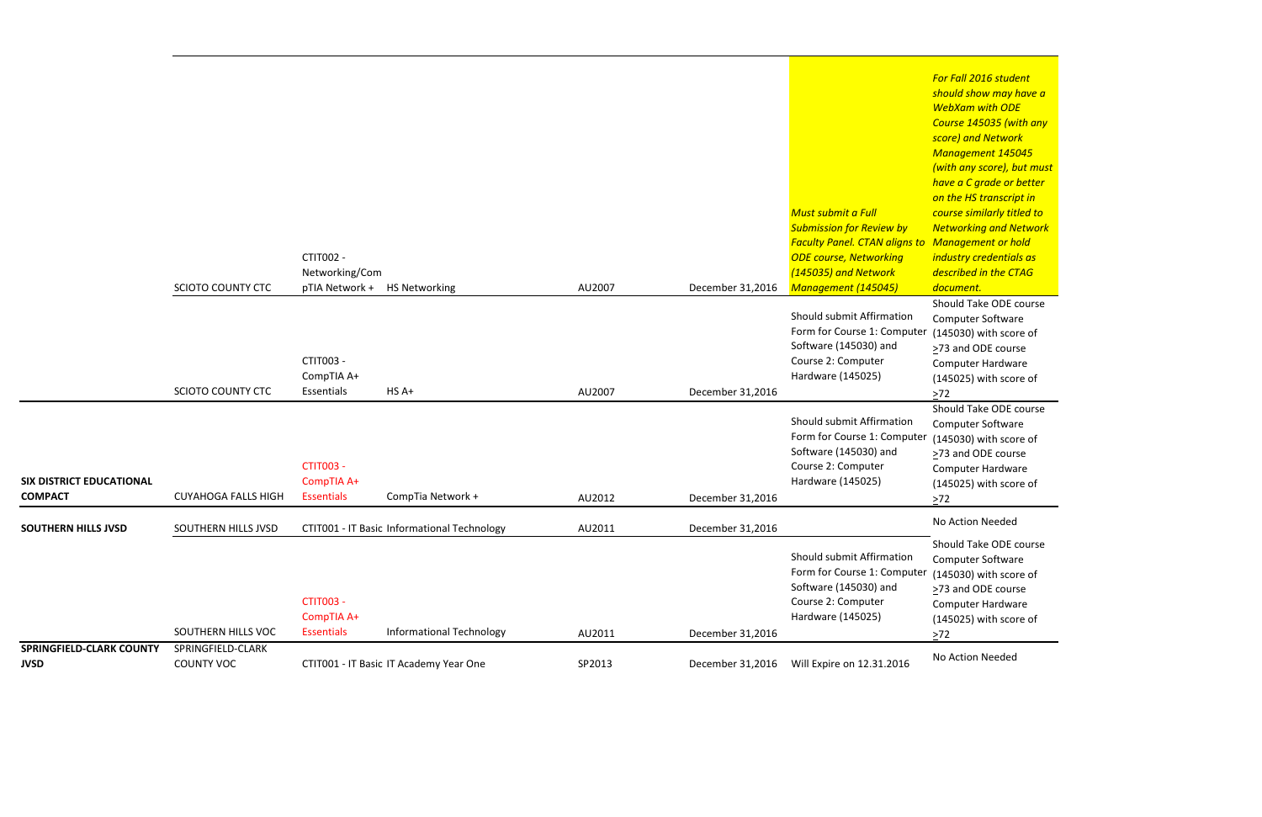*For Fall 2016 student should show may have a WebXam with ODE Course 145035 (with any score) and Network Management 145045 (with any score), but must have a C grade or better on the HS transcript in course similarly titled to Networking and Network Management or hold industry credentials as described in the CTAG document.*

Computer Software (145030) with score of ≥73 and ODE course Computer Hardware (145025) with score of  $\geq 72$ 

Should Take ODE course Computer Software (145030) with score of ≥73 and ODE course Computer Hardware (145025) with score of  $\geq$ 72

|                                                   |                                        | CTIT002 -<br>Networking/Com                         |                                             |                  |                                      | Must submit a Full<br><b>Submission for Review by</b><br><b>Faculty Panel. CTAN aligns to</b><br><b>ODE course, Networking</b><br>(145035) and Network | $3000107$ and $1100000$<br>Management 145<br>(with any score), b<br>have a C grade or<br>on the HS transcri<br>course similarly tit<br><b>Networking and N</b><br>Management or h<br>industry credentia<br>described in the C. |
|---------------------------------------------------|----------------------------------------|-----------------------------------------------------|---------------------------------------------|------------------|--------------------------------------|--------------------------------------------------------------------------------------------------------------------------------------------------------|--------------------------------------------------------------------------------------------------------------------------------------------------------------------------------------------------------------------------------|
|                                                   | <b>SCIOTO COUNTY CTC</b>               | pTIA Network +                                      | <b>HS Networking</b>                        | AU2007           | December 31,2016                     | Management (145045)                                                                                                                                    | document.                                                                                                                                                                                                                      |
|                                                   | <b>SCIOTO COUNTY CTC</b>               | CTIT003 -<br>CompTIA A+<br>Essentials               | HS A+                                       | AU2007           | December 31,2016                     | Should submit Affirmation<br>Form for Course 1: Computer<br>Software (145030) and<br>Course 2: Computer<br>Hardware (145025)                           | Should Take ODE<br>Computer Softwar<br>(145030) with sco<br>$\geq$ 73 and ODE cour<br>Computer Hardwa<br>(145025) with sco<br>$>72$                                                                                            |
| <b>SIX DISTRICT EDUCATIONAL</b><br><b>COMPACT</b> | <b>CUYAHOGA FALLS HIGH</b>             | <b>CTIT003 -</b><br>CompTIA A+<br><b>Essentials</b> | CompTia Network +                           | AU2012           | December 31,2016                     | Should submit Affirmation<br>Form for Course 1: Computer<br>Software (145030) and<br>Course 2: Computer<br>Hardware (145025)                           | Should Take ODE o<br>Computer Softwar<br>(145030) with sco<br>$\geq$ 73 and ODE cour<br>Computer Hardwa<br>(145025) with sco<br>$>72$                                                                                          |
| <b>SOUTHERN HILLS JVSD</b>                        | SOUTHERN HILLS JVSD                    |                                                     | CTIT001 - IT Basic Informational Technology |                  |                                      |                                                                                                                                                        | No Action Needed                                                                                                                                                                                                               |
|                                                   | SOUTHERN HILLS VOC                     | <b>CTIT003 -</b><br>CompTIA A+<br><b>Essentials</b> | <b>Informational Technology</b>             | AU2011<br>AU2011 | December 31,2016<br>December 31,2016 | Should submit Affirmation<br>Form for Course 1: Computer<br>Software (145030) and<br>Course 2: Computer<br>Hardware (145025)                           | Should Take ODE<br>Computer Softwar<br>(145030) with sco<br>>73 and ODE cour<br>Computer Hardwa<br>(145025) with sco<br>$>72$                                                                                                  |
| <b>SPRINGFIELD-CLARK COUNTY</b><br><b>JVSD</b>    | SPRINGFIELD-CLARK<br><b>COUNTY VOC</b> |                                                     | CTIT001 - IT Basic IT Academy Year One      | SP2013           | December 31,2016                     | Will Expire on 12.31.2016                                                                                                                              | No Action Needed                                                                                                                                                                                                               |

Should Take ODE course Computer Software (145030) with score of ≥73 and ODE course Computer Hardware (145025) with score of  $\geq 72$ Should Take ODE course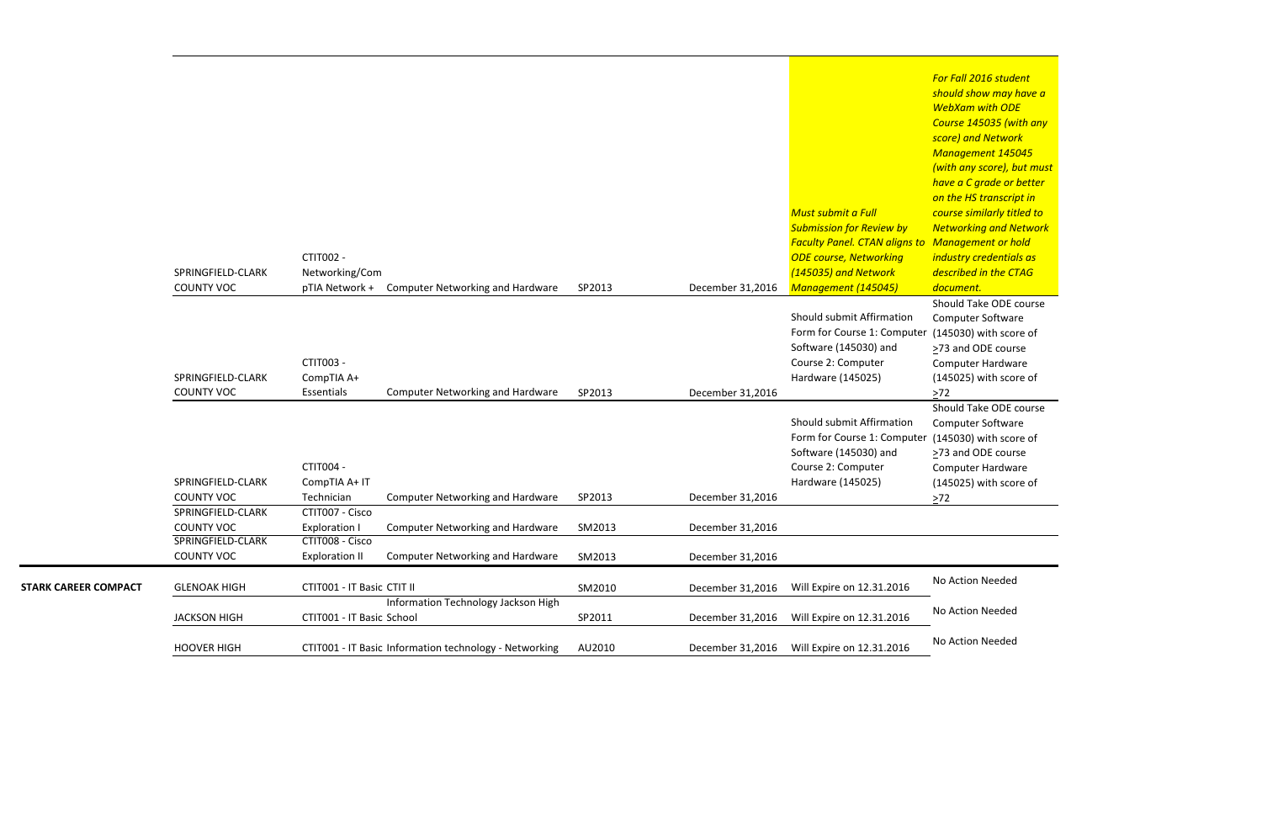*For Fall 2016 student should show may have a WebXam with ODE Course 145035 (with any score) and Network Management 145045 (with any score), but must have a C grade or better on the HS transcript in course similarly titled to Networking and Network Management or hold industry credentials as described in the CTAG document.* Should Take ODE course Computer Software (145030) with score of >73 and ODE course Computer Hardware (145025) with score of

 $\geq 72$ Should Take ODE course Computer Software  $(145030)$  with score of >73 and ODE course Computer Hardware (145025) with score of

|                             | SPRINGFIELD-CLARK<br><b>COUNTY VOC</b>                                           | CTIT002 -<br>Networking/Com<br>pTIA Network +                                       | <b>Computer Networking and Hardware</b>                                                       | SP2013           | December 31,2016                     | Must submit a Full<br><b>Submission for Review by</b><br><b>Faculty Panel. CTAN aligns to</b><br><b>ODE course, Networking</b><br>(145035) and Network<br>Management (145045) | <u>nave a C grade or</u><br>on the HS transcri<br>course similarly tit<br><b>Networking and N</b><br>Management or h<br>industry credentia<br>described in the C<br>document. |
|-----------------------------|----------------------------------------------------------------------------------|-------------------------------------------------------------------------------------|-----------------------------------------------------------------------------------------------|------------------|--------------------------------------|-------------------------------------------------------------------------------------------------------------------------------------------------------------------------------|-------------------------------------------------------------------------------------------------------------------------------------------------------------------------------|
|                             | SPRINGFIELD-CLARK                                                                | CTIT003 -<br>CompTIA A+                                                             |                                                                                               |                  |                                      | Should submit Affirmation<br>Form for Course 1: Computer<br>Software (145030) and<br>Course 2: Computer<br>Hardware (145025)                                                  | Should Take ODE<br>Computer Softwar<br>(145030) with sco<br>>73 and ODE cour<br>Computer Hardwa<br>(145025) with sco                                                          |
|                             | <b>COUNTY VOC</b><br>SPRINGFIELD-CLARK<br><b>COUNTY VOC</b>                      | Essentials<br>CTIT004 -<br>CompTIA A+ IT<br>Technician                              | <b>Computer Networking and Hardware</b><br><b>Computer Networking and Hardware</b>            | SP2013<br>SP2013 | December 31,2016<br>December 31,2016 | Should submit Affirmation<br>Form for Course 1: Computer<br>Software (145030) and<br>Course 2: Computer<br>Hardware (145025)                                                  | $>72$<br>Should Take ODE<br>Computer Softwar<br>(145030) with sco<br>>73 and ODE cour<br>Computer Hardwa<br>(145025) with sco<br>$>72$                                        |
|                             | SPRINGFIELD-CLARK<br><b>COUNTY VOC</b><br>SPRINGFIELD-CLARK<br><b>COUNTY VOC</b> | CTIT007 - Cisco<br><b>Exploration I</b><br>CTIT008 - Cisco<br><b>Exploration II</b> | <b>Computer Networking and Hardware</b><br><b>Computer Networking and Hardware</b>            | SM2013           | December 31,2016                     |                                                                                                                                                                               |                                                                                                                                                                               |
| <b>STARK CAREER COMPACT</b> | <b>GLENOAK HIGH</b>                                                              | CTIT001 - IT Basic CTIT II                                                          |                                                                                               | SM2013<br>SM2010 | December 31,2016<br>December 31,2016 | Will Expire on 12.31.2016                                                                                                                                                     | No Action Needed                                                                                                                                                              |
|                             | <b>JACKSON HIGH</b><br><b>HOOVER HIGH</b>                                        | CTIT001 - IT Basic School                                                           | Information Technology Jackson High<br>CTIT001 - IT Basic Information technology - Networking | SP2011<br>AU2010 | December 31,2016<br>December 31,2016 | Will Expire on 12.31.2016<br>Will Expire on 12.31.2016                                                                                                                        | No Action Needed<br>No Action Needed                                                                                                                                          |
|                             |                                                                                  |                                                                                     |                                                                                               |                  |                                      |                                                                                                                                                                               |                                                                                                                                                                               |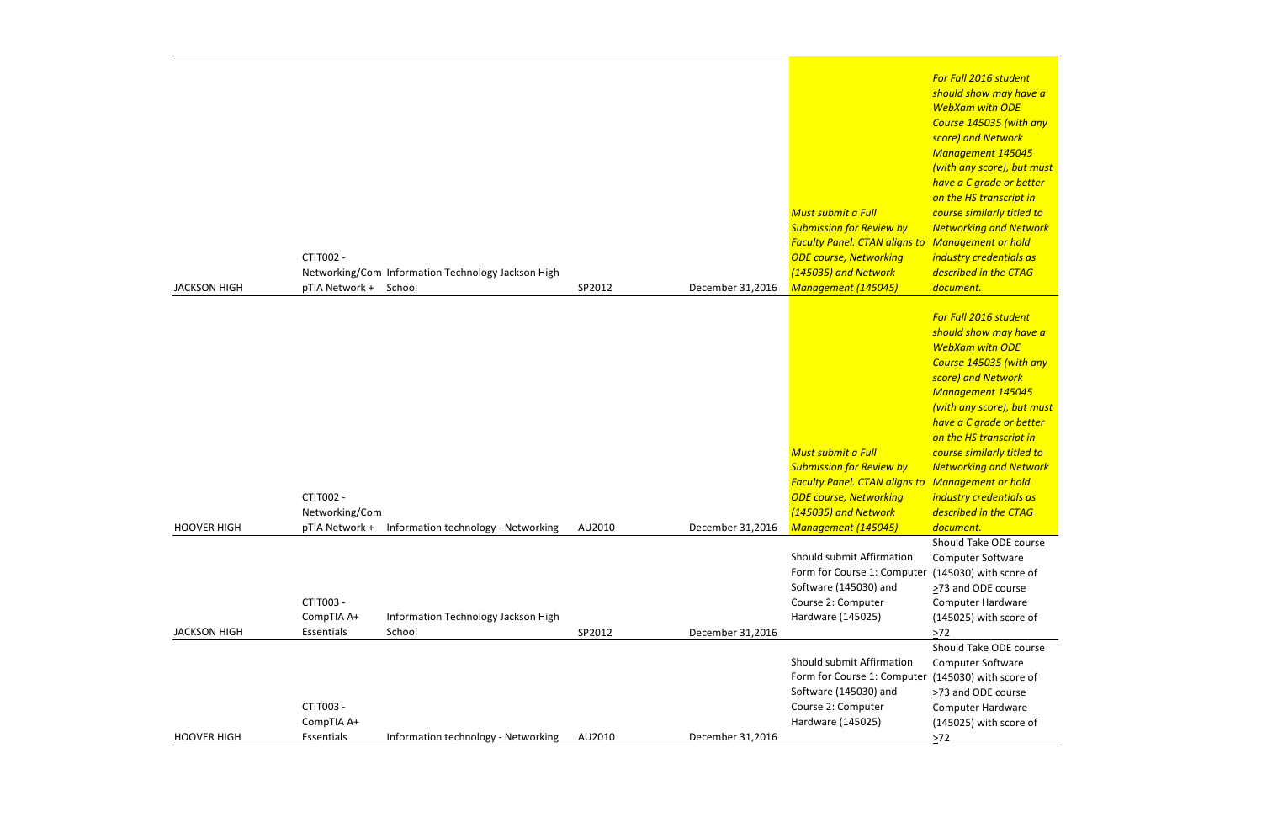*For Fall 2016 student should show may have a WebXam with ODE Course 145035 (with any score) and Network Management 145045 (with any score), but must have a C grade or better on the HS transcript in course similarly titled to Networking and Network Management or hold industry credentials as described in the CTAG document.*

|                     |                |                                                    |        |                  |                                                                           | F<br>S                   |
|---------------------|----------------|----------------------------------------------------|--------|------------------|---------------------------------------------------------------------------|--------------------------|
|                     |                |                                                    |        |                  |                                                                           |                          |
|                     |                |                                                    |        |                  |                                                                           | S                        |
|                     |                |                                                    |        |                  |                                                                           |                          |
|                     |                |                                                    |        |                  |                                                                           |                          |
|                     |                |                                                    |        |                  |                                                                           |                          |
|                     |                |                                                    |        |                  | <b>Must submit a Full</b>                                                 | $\epsilon$               |
|                     |                |                                                    |        |                  | <b>Submission for Review by</b><br><b>Faculty Panel. CTAN aligns to N</b> | $\sqrt{ }$               |
|                     | CTIT002 -      |                                                    |        |                  | <b>ODE course, Networking</b>                                             | j <sub>1</sub>           |
|                     |                | Networking/Com Information Technology Jackson High |        |                  | (145035) and Network                                                      | $\overline{a}$           |
| <b>JACKSON HIGH</b> | pTIA Network + | School                                             | SP2012 | December 31,2016 | Management (145045)                                                       | $\overline{a}$           |
|                     |                |                                                    |        |                  |                                                                           |                          |
|                     |                |                                                    |        |                  |                                                                           | $\sqrt{2}$               |
|                     |                |                                                    |        |                  |                                                                           | $\mathsf{s}$<br>V        |
|                     |                |                                                    |        |                  |                                                                           |                          |
|                     |                |                                                    |        |                  |                                                                           | S                        |
|                     |                |                                                    |        |                  |                                                                           |                          |
|                     |                |                                                    |        |                  |                                                                           |                          |
|                     |                |                                                    |        |                  |                                                                           | $\mathsf{n}$             |
|                     |                |                                                    |        |                  | Must submit a Full                                                        |                          |
|                     |                |                                                    |        |                  | <b>Submission for Review by</b>                                           | $\epsilon$<br>$\sqrt{ }$ |
|                     |                |                                                    |        |                  | <b>Faculty Panel. CTAN aligns to N</b>                                    |                          |
|                     | CTIT002 -      |                                                    |        |                  | <b>ODE course, Networking</b>                                             | -ii                      |
|                     | Networking/Com |                                                    |        |                  | (145035) and Network                                                      | $\overline{a}$           |
| <b>HOOVER HIGH</b>  | pTIA Network + | Information technology - Networking                | AU2010 | December 31,2016 | Management (145045)                                                       | $\overline{a}$           |
|                     |                |                                                    |        |                  |                                                                           | S                        |
|                     |                |                                                    |        |                  | Should submit Affirmation<br>Form for Course 1: Computer                  | C                        |
|                     |                |                                                    |        |                  | Software (145030) and                                                     |                          |
|                     | CTIT003 -      |                                                    |        |                  | Course 2: Computer                                                        | ≥                        |
|                     | CompTIA A+     | Information Technology Jackson High                |        |                  | Hardware (145025)                                                         |                          |
| <b>JACKSON HIGH</b> | Essentials     | School                                             | SP2012 | December 31,2016 |                                                                           | ⋗                        |
|                     |                |                                                    |        |                  |                                                                           | S                        |
|                     |                |                                                    |        |                  | Should submit Affirmation<br>Form for Course 1: Computer                  |                          |
|                     |                |                                                    |        |                  | Software (145030) and                                                     |                          |
|                     | CTIT003 -      |                                                    |        |                  | Course 2: Computer                                                        | ⋗                        |
|                     | CompTIA A+     |                                                    |        |                  | Hardware (145025)                                                         |                          |
| <b>HOOVER HIGH</b>  | Essentials     | Information technology - Networking                | AU2010 | December 31,2016 |                                                                           | ⋗                        |
|                     |                |                                                    |        |                  |                                                                           |                          |

Computer Software er (145030) with score of ≥73 and ODE course Computer Hardware (145025) with score of  $\geq 72$ 

*For Fall 2016 student should show may have a WebXam with ODE Course 145035 (with any score) and Network Management 145045 (with any score), but must have a C grade or better on the HS transcript in course similarly titled to Networking and Network Management or hold industry credentials as described in the CTAG document.*

Should Take ODE course Computer Software er (145030) with score of ≥73 and ODE course Computer Hardware (145025) with score of  $\geq 72$ Should Take ODE course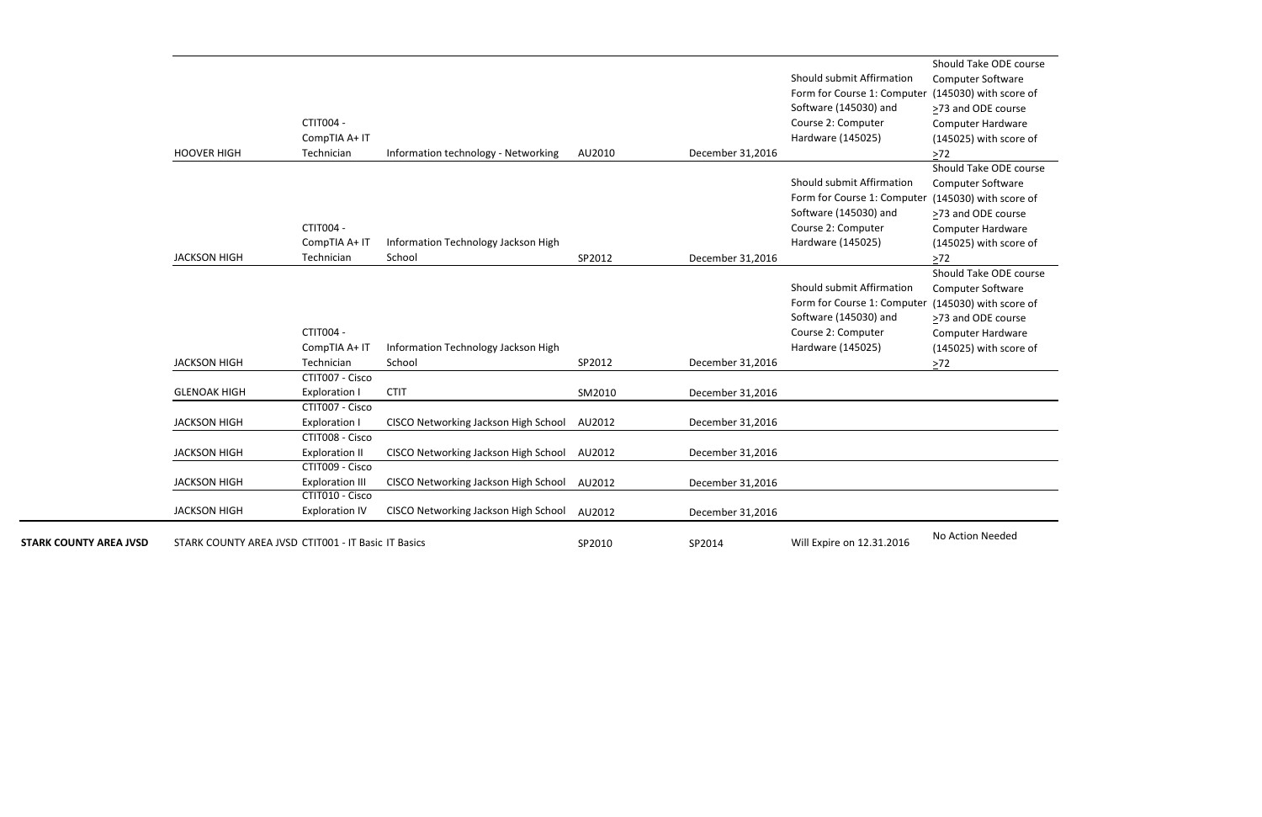```
Should Take ODE course
Computer Software
(145030) with score of
≥73 and ODE course
Computer Hardware
(145025) with score of
\geq72
Should Take ODE course
Computer Software
(145030) with score of
≥73 and ODE course
Computer Hardware
(145025) with score of
\geq72
Should Take ODE course
Computer Software
(145030) with score of
≥73 and ODE course
Computer Hardware
(145025) with score of
\geq72
```

|                               |                                                     |                               |                                             |        |                  |                                                | onodia Tanc Obel   |
|-------------------------------|-----------------------------------------------------|-------------------------------|---------------------------------------------|--------|------------------|------------------------------------------------|--------------------|
|                               |                                                     |                               |                                             |        |                  | Should submit Affirmation                      | Computer Softwar   |
|                               |                                                     |                               |                                             |        |                  | Form for Course 1: Computer (145030) with scor |                    |
|                               |                                                     |                               |                                             |        |                  | Software (145030) and                          | >73 and ODE cours  |
|                               |                                                     | <b>CTIT004 -</b>              |                                             |        |                  | Course 2: Computer                             | Computer Hardwa    |
|                               |                                                     | CompTIA A+ IT                 |                                             |        |                  | Hardware (145025)                              | (145025) with scor |
|                               | <b>HOOVER HIGH</b>                                  | Technician                    | Information technology - Networking         | AU2010 | December 31,2016 |                                                | $>72$              |
|                               |                                                     |                               |                                             |        |                  |                                                | Should Take ODE c  |
|                               |                                                     |                               |                                             |        |                  | Should submit Affirmation                      | Computer Softwar   |
|                               |                                                     |                               |                                             |        |                  | Form for Course 1: Computer (145030) with scor |                    |
|                               |                                                     |                               |                                             |        |                  | Software (145030) and                          | >73 and ODE cours  |
|                               |                                                     | <b>CTIT004 -</b>              |                                             |        |                  | Course 2: Computer                             | Computer Hardwa    |
|                               |                                                     | CompTIA A+ IT                 | Information Technology Jackson High         |        |                  | Hardware (145025)                              | (145025) with scor |
|                               | <b>JACKSON HIGH</b>                                 | Technician                    | School                                      | SP2012 | December 31,2016 |                                                | $>72$              |
|                               |                                                     |                               |                                             |        |                  |                                                | Should Take ODE c  |
|                               |                                                     |                               |                                             |        |                  | Should submit Affirmation                      | Computer Softwar   |
|                               |                                                     |                               |                                             |        |                  | Form for Course 1: Computer (145030) with scor |                    |
|                               |                                                     |                               |                                             |        |                  | Software (145030) and                          | >73 and ODE cours  |
|                               |                                                     | <b>CTIT004 -</b>              |                                             |        |                  | Course 2: Computer                             | Computer Hardwa    |
|                               |                                                     | CompTIA A+ IT                 | Information Technology Jackson High         |        |                  | Hardware (145025)                              | (145025) with scor |
|                               | <b>JACKSON HIGH</b>                                 | Technician<br>CTIT007 - Cisco | School                                      | SP2012 | December 31,2016 |                                                | $\geq 72$          |
|                               | <b>GLENOAK HIGH</b>                                 | <b>Exploration I</b>          | <b>CTIT</b>                                 | SM2010 |                  |                                                |                    |
|                               |                                                     | CTIT007 - Cisco               |                                             |        | December 31,2016 |                                                |                    |
|                               | <b>JACKSON HIGH</b>                                 | <b>Exploration I</b>          | CISCO Networking Jackson High School AU2012 |        | December 31,2016 |                                                |                    |
|                               |                                                     | CTIT008 - Cisco               |                                             |        |                  |                                                |                    |
|                               | <b>JACKSON HIGH</b>                                 | <b>Exploration II</b>         | CISCO Networking Jackson High School AU2012 |        | December 31,2016 |                                                |                    |
|                               |                                                     | CTIT009 - Cisco               |                                             |        |                  |                                                |                    |
|                               | <b>JACKSON HIGH</b>                                 | <b>Exploration III</b>        | CISCO Networking Jackson High School        | AU2012 | December 31,2016 |                                                |                    |
|                               |                                                     | CTIT010 - Cisco               |                                             |        |                  |                                                |                    |
|                               | <b>JACKSON HIGH</b>                                 | <b>Exploration IV</b>         | CISCO Networking Jackson High School AU2012 |        | December 31,2016 |                                                |                    |
|                               |                                                     |                               |                                             |        |                  |                                                | No Action Needed   |
| <b>STARK COUNTY AREA JVSD</b> | STARK COUNTY AREA JVSD CTIT001 - IT Basic IT Basics |                               |                                             | SP2010 | SP2014           | Will Expire on 12.31.2016                      |                    |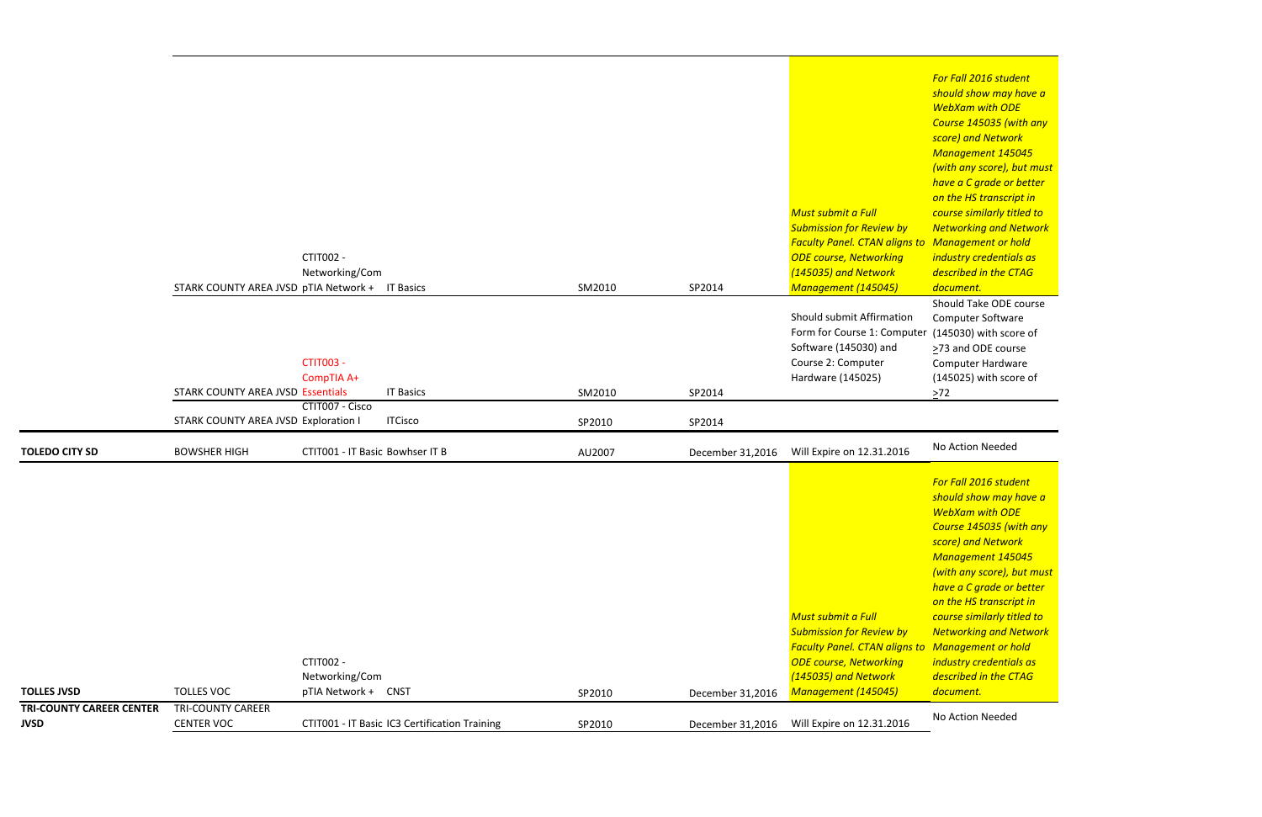Should Take ODE course Computer Software (145030) with score of >73 and ODE course Computer Hardware (145025) with score of  $\geq 72$ 

*For Fall 2016 student should show may have a WebXam with ODE Course 145035 (with any score) and Network Management 145045 (with any score), but must have a C grade or better on the HS transcript in course similarly titled to Networking and Network Management or hold industry credentials as described in the CTAG document.*

| <b>JVSD</b>                                           | <b>CENTER VOC</b>                                           |                                                           | CTIT001 - IT Basic IC3 Certification Training | SP2010           | December 31,2016           | Will Expire on 12.31.2016                                                                                                                                                                            | No Action Needed                                                                                                                                                                                                                                                                                                          |
|-------------------------------------------------------|-------------------------------------------------------------|-----------------------------------------------------------|-----------------------------------------------|------------------|----------------------------|------------------------------------------------------------------------------------------------------------------------------------------------------------------------------------------------------|---------------------------------------------------------------------------------------------------------------------------------------------------------------------------------------------------------------------------------------------------------------------------------------------------------------------------|
| <b>TOLLES JVSD</b><br><b>TRI-COUNTY CAREER CENTER</b> | <b>TOLLES VOC</b><br><b>TRI-COUNTY CAREER</b>               | <b>CTIT002 -</b><br>Networking/Com<br>pTIA Network + CNST |                                               | SP2010           | December 31,2016           | <b>Must submit a Full</b><br><b>Submission for Review by</b><br><b>Faculty Panel. CTAN aligns to Management or h</b><br><b>ODE course, Networking</b><br>(145035) and Network<br>Management (145045) | For Fall 2016 stude<br>should show may I<br><b>WebXam with OD</b><br><b>Course 145035 (w)</b><br>score) and Networ<br><b>Management 145</b><br>(with any score), b<br>have a C grade or<br>on the HS transcri<br>course similarly tit<br><b>Networking and N</b><br>industry credentia<br>described in the C<br>document. |
| <b>TOLEDO CITY SD</b>                                 | STARK COUNTY AREA JVSD Exploration I<br><b>BOWSHER HIGH</b> | CTIT001 - IT Basic Bowhser IT B                           | <b>ITCisco</b>                                | SP2010<br>AU2007 | SP2014<br>December 31,2016 | Will Expire on 12.31.2016                                                                                                                                                                            | No Action Needed                                                                                                                                                                                                                                                                                                          |
|                                                       | <b>STARK COUNTY AREA JVSD Essentials</b>                    | <b>CTIT003 -</b><br>CompTIA A+<br>CTIT007 - Cisco         | <b>IT Basics</b>                              | SM2010           | SP2014                     | Should submit Affirmation<br>Form for Course 1: Computer<br>Software (145030) and<br>Course 2: Computer<br>Hardware (145025)                                                                         | Should Take ODE<br>Computer Softwar<br>(145030) with scor<br>>73 and ODE cour<br>Computer Hardwa<br>(145025) with sco<br>$>72$                                                                                                                                                                                            |
|                                                       | STARK COUNTY AREA JVSD pTIA Network + IT Basics             | CTIT002 -<br>Networking/Com                               |                                               | SM2010           | SP2014                     | Must submit a Full<br><b>Submission for Review by</b><br><b>Faculty Panel. CTAN aligns to Management or h</b><br><b>ODE course, Networking</b><br>(145035) and Network<br>Management (145045)        | <b>WebXam with OD</b><br>Course 145035 (w<br>score) and Networ<br>Management 145<br>(with any score), b<br>have a C grade or<br>on the HS transcri<br>course similarly tit<br><b>Networking and N</b><br>industry credentia<br>described in the C<br>document.                                                            |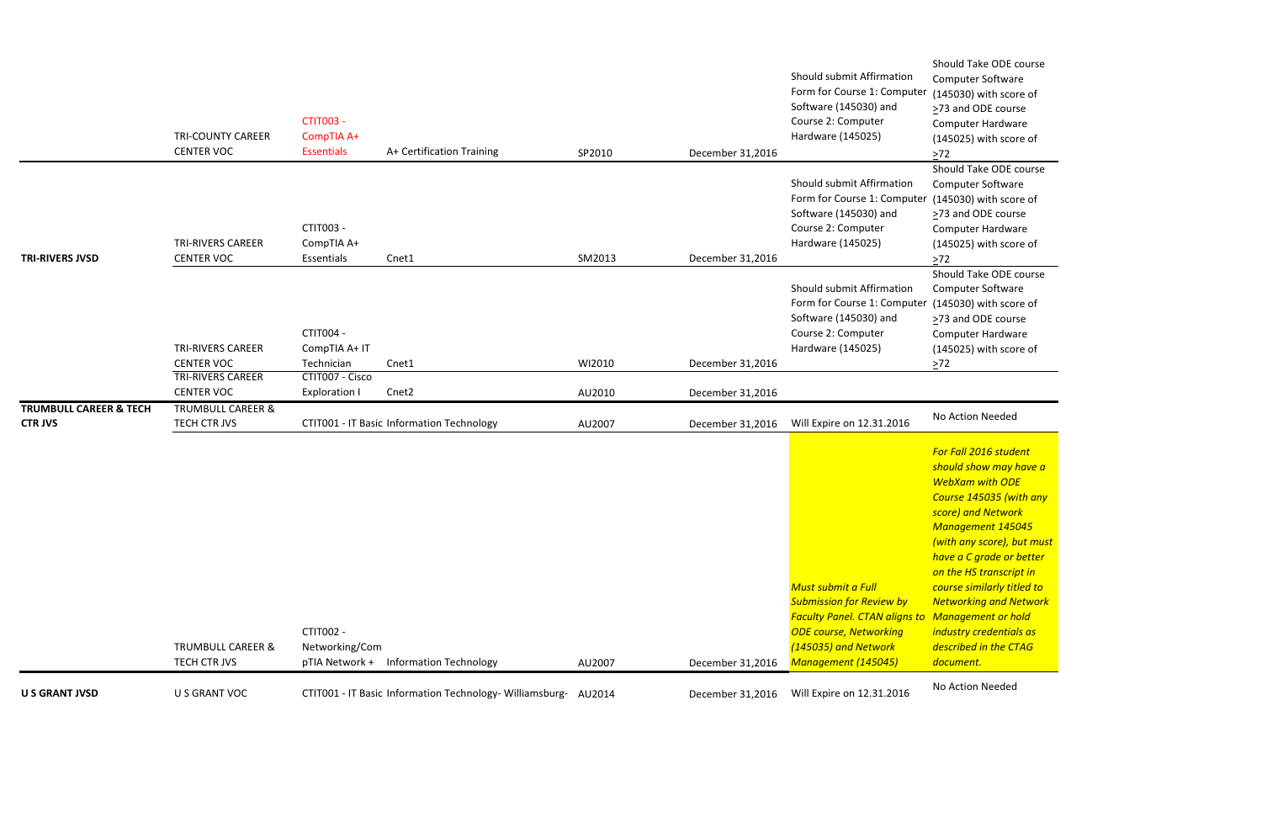Should Take ODE course Computer Software (145030) with score of >73 and ODE course Computer Hardware (145025) with score of  $\geq 72$ Should Take ODE course Computer Software  $(145030)$  with score of ≥73 and ODE course Computer Hardware (145025) with score of  $\geq 72$ Should Take ODE course Computer Software (145030) with score of >73 and ODE course Computer Hardware (145025) with score of  $\geq 72$ 

| <b>U S GRANT JVSD</b>                               | U S GRANT VOC                                 |                                                     | CTIT001 - IT Basic Information Technology- Williamsburg- AU2014 |        | December 31,2016 | Will Expire on 12.31.2016                                                                                                                                                                     | No Action Needed                                                                                                                                                                                                                                                                                                      |
|-----------------------------------------------------|-----------------------------------------------|-----------------------------------------------------|-----------------------------------------------------------------|--------|------------------|-----------------------------------------------------------------------------------------------------------------------------------------------------------------------------------------------|-----------------------------------------------------------------------------------------------------------------------------------------------------------------------------------------------------------------------------------------------------------------------------------------------------------------------|
|                                                     | <b>TRUMBULL CAREER &amp;</b><br>TECH CTR JVS  | <b>CTIT002 -</b><br>Networking/Com                  | pTIA Network + Information Technology                           | AU2007 | December 31,2016 | Must submit a Full<br><b>Submission for Review by</b><br><b>Faculty Panel. CTAN aligns to Management or h</b><br><b>ODE course, Networking</b><br>(145035) and Network<br>Management (145045) | For Fall 2016 stude<br>should show may<br><b>WebXam with OD</b><br>Course 145035 (w<br>score) and Networ<br>Management 145<br>(with any score), b<br>have a C grade or<br><b>on the HS transcription</b><br>course similarly tit<br><b>Networking and N</b><br>industry credentia<br>described in the C.<br>document. |
| <b>TRUMBULL CAREER &amp; TECH</b><br><b>CTR JVS</b> | <b>TRUMBULL CAREER &amp;</b><br>TECH CTR JVS  |                                                     | CTIT001 - IT Basic Information Technology                       | AU2007 | December 31,2016 | Will Expire on 12.31.2016                                                                                                                                                                     | No Action Needed                                                                                                                                                                                                                                                                                                      |
|                                                     | <b>TRI-RIVERS CAREER</b><br><b>CENTER VOC</b> | CTIT007 - Cisco<br><b>Exploration I</b>             | Cnet <sub>2</sub>                                               | AU2010 | December 31,2016 |                                                                                                                                                                                               |                                                                                                                                                                                                                                                                                                                       |
|                                                     | <b>TRI-RIVERS CAREER</b><br><b>CENTER VOC</b> | <b>CTIT004 -</b><br>CompTIA A+ IT<br>Technician     | Cnet1                                                           | WI2010 | December 31,2016 | Should submit Affirmation<br>Form for Course 1: Computer<br>Software (145030) and<br>Course 2: Computer<br>Hardware (145025)                                                                  | Should Take ODE<br>Computer Softwar<br>(145030) with scor<br>>73 and ODE cour<br>Computer Hardwa<br>(145025) with sco<br>$>72$                                                                                                                                                                                        |
| <b>TRI-RIVERS JVSD</b>                              | <b>TRI-RIVERS CAREER</b><br><b>CENTER VOC</b> | CTIT003 -<br>CompTIA A+<br>Essentials               | Cnet1                                                           | SM2013 | December 31,2016 | Should submit Affirmation<br>Form for Course 1: Computer<br>Software (145030) and<br>Course 2: Computer<br>Hardware (145025)                                                                  | Should Take ODE<br>Computer Softwar<br>(145030) with sco<br>>73 and ODE cour<br>Computer Hardwa<br>(145025) with sco<br>$>72$                                                                                                                                                                                         |
|                                                     | <b>TRI-COUNTY CAREER</b><br><b>CENTER VOC</b> | <b>CTIT003 -</b><br>CompTIA A+<br><b>Essentials</b> | A+ Certification Training                                       | SP2010 | December 31,2016 | Should submit Affirmation<br>Form for Course 1: Computer<br>Software (145030) and<br>Course 2: Computer<br>Hardware (145025)                                                                  | Should Take ODE<br>Computer Softwar<br>(145030) with sco<br>>73 and ODE cour<br>Computer Hardwa<br>(145025) with sco<br>$>72$                                                                                                                                                                                         |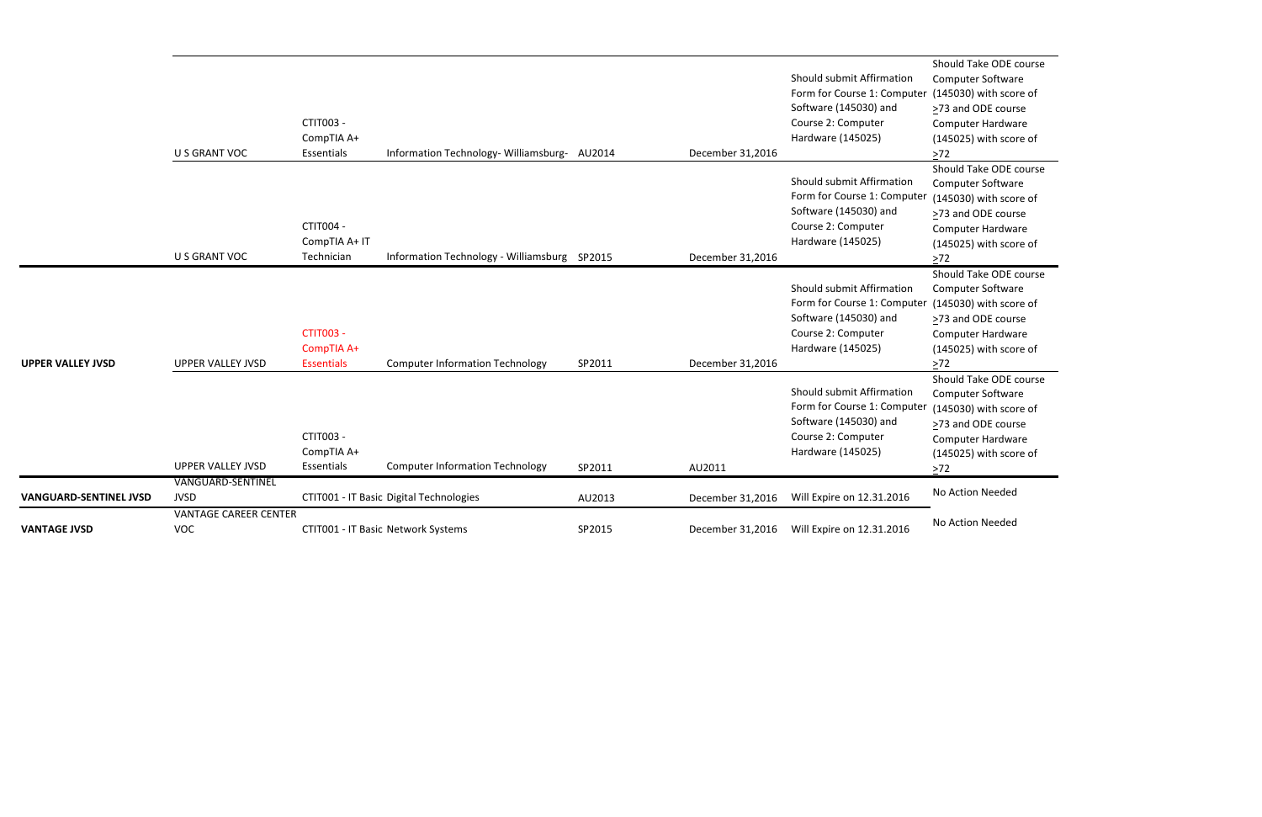```
Should Take ODE course
 Computer Software
er (145030) with score of
 ≥73 and ODE course
 Computer Hardware
 (145025) with score of
 \geq 72Should Take ODE course
 Computer Software
<sup>er</sup> (145030) with score of
 ≥73 and ODE course
 Computer Hardware
 (145025) with score of
 \geq 72Should Take ODE course
 Computer Software
(145030) with score of
 ≥73 and ODE course
 Computer Hardware
 (145025) with score of
 \geq72
 Should Take ODE course
 Computer Software
<sup>er</sup> (145030) with score of
 ≥73 and ODE course
 Computer Hardware
 (145025) with score of
\geq 72
```

|                               |                              |                   |                                              |        |                  |                             | Should Take ODE            |
|-------------------------------|------------------------------|-------------------|----------------------------------------------|--------|------------------|-----------------------------|----------------------------|
|                               |                              |                   |                                              |        |                  | Should submit Affirmation   | Computer Softwar           |
|                               |                              |                   |                                              |        |                  | Form for Course 1: Computer | (145030) with sco          |
|                               |                              |                   |                                              |        |                  | Software (145030) and       | >73 and ODE cour           |
|                               |                              | CTIT003 -         |                                              |        |                  | Course 2: Computer          | Computer Hardwa            |
|                               |                              | CompTIA A+        |                                              |        |                  | Hardware (145025)           | (145025) with sco          |
|                               | U S GRANT VOC                | Essentials        | Information Technology-Williamsburg- AU2014  |        | December 31,2016 |                             | $>72$                      |
|                               |                              |                   |                                              |        |                  |                             | Should Take ODE            |
|                               |                              |                   |                                              |        |                  | Should submit Affirmation   | Computer Softwar           |
|                               |                              |                   |                                              |        |                  | Form for Course 1: Computer | (145030) with sco          |
|                               |                              |                   |                                              |        |                  | Software (145030) and       | >73 and ODE cour           |
|                               |                              | CTIT004 -         |                                              |        |                  | Course 2: Computer          | Computer Hardwa            |
|                               |                              | CompTIA A+ IT     |                                              |        |                  | Hardware (145025)           | (145025) with sco          |
|                               | <b>U S GRANT VOC</b>         | Technician        | Information Technology - Williamsburg SP2015 |        | December 31,2016 |                             | $>72$                      |
|                               |                              |                   |                                              |        |                  |                             | Should Take ODE            |
|                               |                              |                   |                                              |        |                  | Should submit Affirmation   | Computer Softwar           |
|                               |                              |                   |                                              |        |                  | Form for Course 1: Computer | (145030) with sco          |
|                               |                              |                   |                                              |        |                  | Software (145030) and       | >73 and ODE cour           |
|                               |                              | <b>CTIT003 -</b>  |                                              |        |                  | Course 2: Computer          | Computer Hardwa            |
|                               |                              | CompTIA A+        |                                              |        |                  | Hardware (145025)           | (145025) with sco          |
| <b>UPPER VALLEY JVSD</b>      | <b>UPPER VALLEY JVSD</b>     | <b>Essentials</b> | <b>Computer Information Technology</b>       | SP2011 | December 31,2016 |                             | $>72$                      |
|                               |                              |                   |                                              |        |                  | Should submit Affirmation   | Should Take ODE            |
|                               |                              |                   |                                              |        |                  | Form for Course 1: Computer | Computer Softwar           |
|                               |                              |                   |                                              |        |                  | Software (145030) and       | (145030) with sco          |
|                               |                              | CTIT003 -         |                                              |        |                  | Course 2: Computer          | $\geq$ 73 and ODE cour     |
|                               |                              | CompTIA A+        |                                              |        |                  | Hardware (145025)           | Computer Hardwa            |
|                               | <b>UPPER VALLEY JVSD</b>     | Essentials        | <b>Computer Information Technology</b>       | SP2011 | AU2011           |                             | (145025) with sco<br>$>72$ |
|                               | <b>VANGUARD-SENTINEL</b>     |                   |                                              |        |                  |                             |                            |
| <b>VANGUARD-SENTINEL JVSD</b> | <b>JVSD</b>                  |                   | CTIT001 - IT Basic Digital Technologies      | AU2013 | December 31,2016 | Will Expire on 12.31.2016   | No Action Needed           |
|                               | <b>VANTAGE CAREER CENTER</b> |                   |                                              |        |                  |                             | No Action Needed           |
| <b>VANTAGE JVSD</b>           | <b>VOC</b>                   |                   | CTIT001 - IT Basic Network Systems           | SP2015 | December 31,2016 | Will Expire on 12.31.2016   |                            |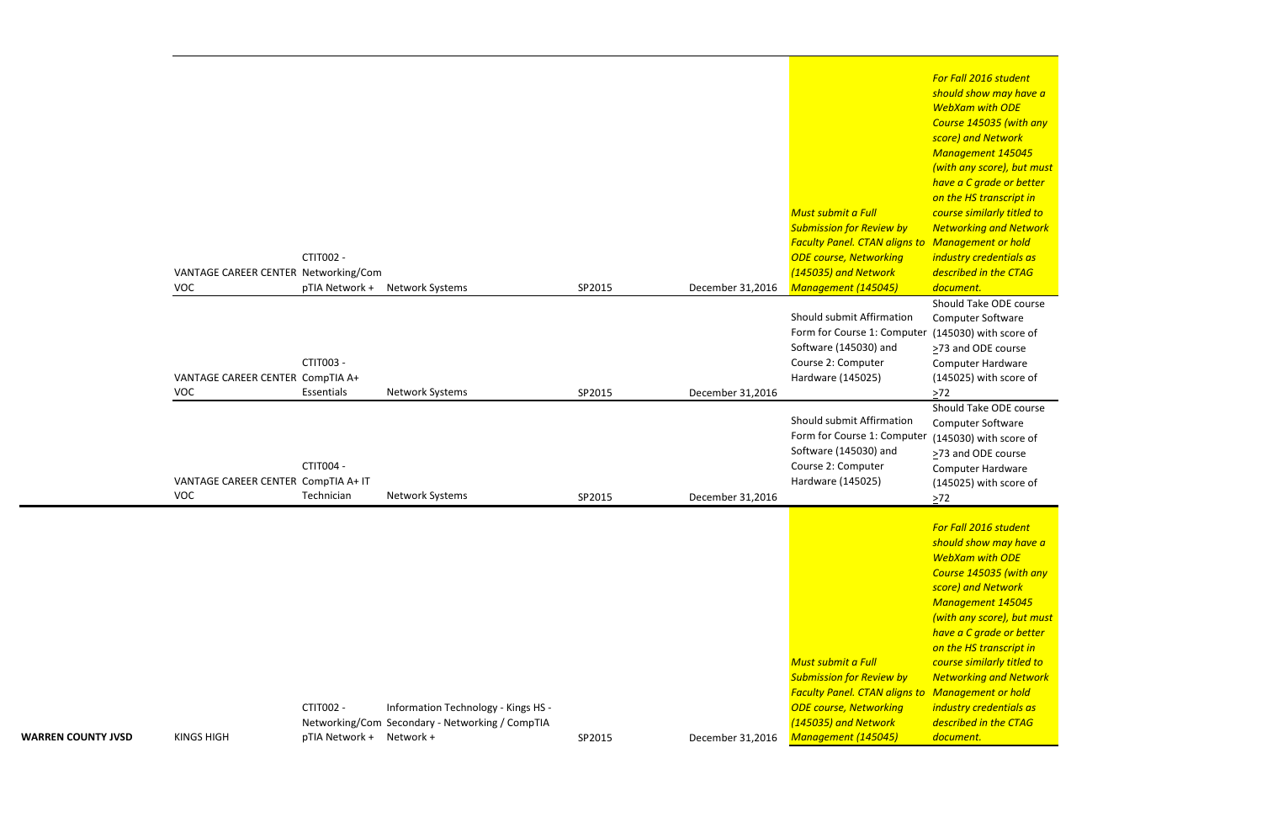*For Fall 2016 student should show may have a WebXam with ODE Course 145035 (with any score) and Network Management 145045 (with any score), but must have a C grade or better on the HS transcript in course similarly titled to Networking and Network Management or hold industry credentials as described in the CTAG document.*

(145030) with score of ≥73 and ODE course Computer Hardware (145025) with score of  $\geq 72$ 

|                           | VANTAGE CAREER CENTER Networking/Com<br>VOC | CTIT002 -<br>pTIA Network +                  | <b>Network Systems</b>                                                                 | SP2015 | December 31,2016 | Must submit a Full<br><b>Submission for Review by</b><br>$\sqrt{ }$<br><b>Faculty Panel. CTAN aligns to N</b><br><b>ODE course, Networking</b><br>İI<br>(145035) and Network<br>$\overline{a}$<br>Management (145045)                    |
|---------------------------|---------------------------------------------|----------------------------------------------|----------------------------------------------------------------------------------------|--------|------------------|------------------------------------------------------------------------------------------------------------------------------------------------------------------------------------------------------------------------------------------|
|                           | VANTAGE CAREER CENTER CompTIA A+<br>VOC     | CTIT003 -<br>Essentials                      | Network Systems                                                                        | SP2015 | December 31,2016 | Should submit Affirmation<br>Form for Course 1: Computer<br>Software (145030) and<br>Course 2: Computer<br>Hardware (145025)<br>>                                                                                                        |
|                           | VANTAGE CAREER CENTER CompTIA A+ IT<br>VOC  | CTIT004 -<br>Technician                      | Network Systems                                                                        | SP2015 | December 31,2016 | Should submit Affirmation<br>Form for Course 1: Computer<br>Software (145030) and<br>Course 2: Computer<br>Hardware (145025)<br>>                                                                                                        |
|                           |                                             |                                              |                                                                                        |        |                  |                                                                                                                                                                                                                                          |
| <b>WARREN COUNTY JVSD</b> | <b>KINGS HIGH</b>                           | <b>CTIT002 -</b><br>pTIA Network + Network + | Information Technology - Kings HS -<br>Networking/Com Secondary - Networking / CompTIA | SP2015 | December 31,2016 | Must submit a Full<br><b>Submission for Review by</b><br>$\sqrt{ }$<br><b>Faculty Panel. CTAN aligns to N</b><br><b>ODE course, Networking</b><br>-ii<br>(145035) and Network<br>$\overline{a}$<br>Management (145045)<br>$\overline{a}$ |

Should Take ODE course Computer Software (145030) with score of >73 and ODE course Computer Hardware (145025) with score of  $\geq 72$ Should Take ODE course Computer Software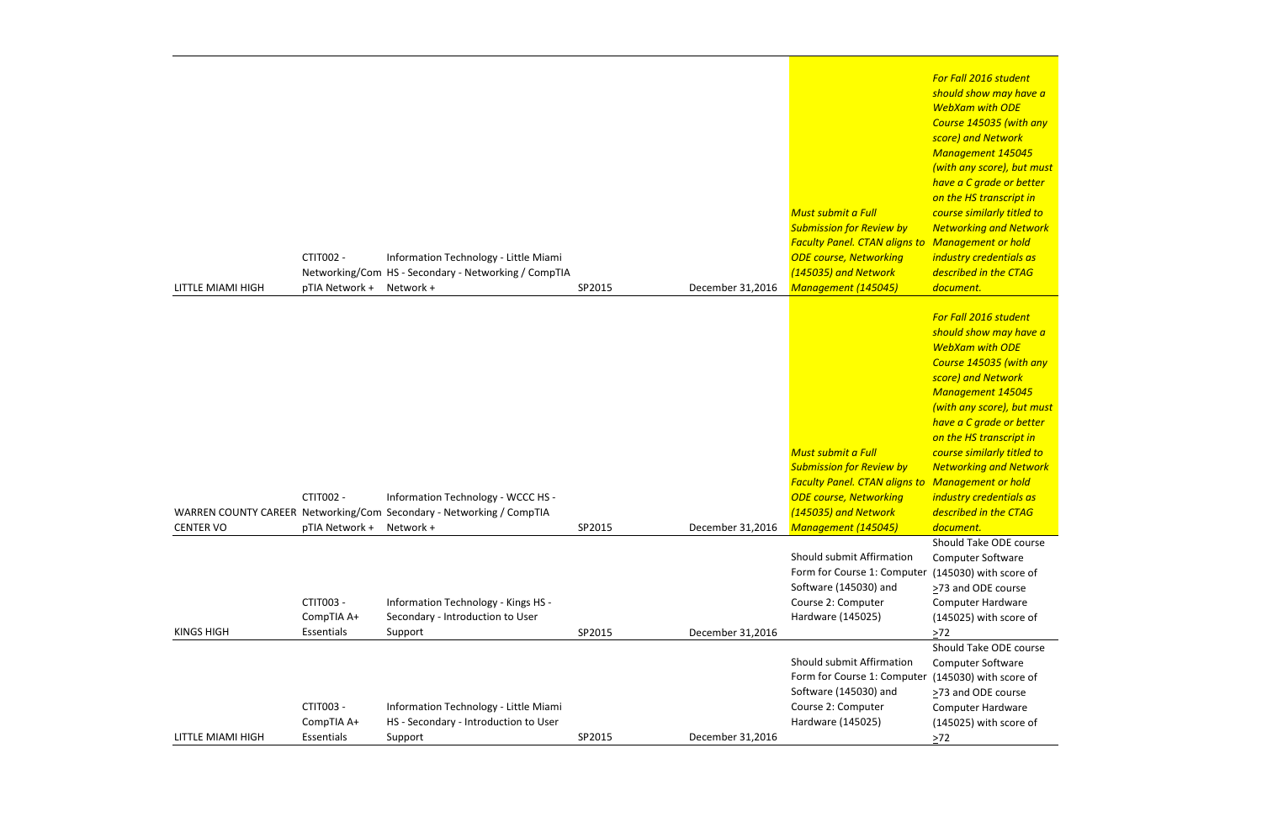*For Fall 2016 student should show may have a WebXam with ODE Course 145035 (with any score) and Network Management 145045 (with any score), but must have a C grade or better on the HS transcript in course similarly titled to Networking and Network Management or hold industry credentials as described in the CTAG document.*

|                   |                |                                                                      |        |                  | O                                             |
|-------------------|----------------|----------------------------------------------------------------------|--------|------------------|-----------------------------------------------|
|                   |                |                                                                      |        |                  | <b>Must submit a Full</b><br>$\epsilon$       |
|                   |                |                                                                      |        |                  | <b>Submission for Review by</b><br>$\sqrt{ }$ |
|                   |                |                                                                      |        |                  | <b>Faculty Panel. CTAN aligns to N</b>        |
|                   | CTIT002 -      | Information Technology - Little Miami                                |        |                  | <b>ODE course, Networking</b><br>ĴІ           |
|                   |                | Networking/Com HS - Secondary - Networking / CompTIA                 |        |                  | (145035) and Network                          |
|                   |                |                                                                      |        |                  | $\overline{a}$                                |
| LITTLE MIAMI HIGH | pTIA Network + | Network +                                                            | SP2015 | December 31,2016 | <b>Management (145045)</b><br>$\overline{a}$  |
|                   |                |                                                                      |        |                  |                                               |
|                   |                |                                                                      |        |                  | F                                             |
|                   |                |                                                                      |        |                  | S                                             |
|                   |                |                                                                      |        |                  |                                               |
|                   |                |                                                                      |        |                  |                                               |
|                   |                |                                                                      |        |                  | S                                             |
|                   |                |                                                                      |        |                  |                                               |
|                   |                |                                                                      |        |                  |                                               |
|                   |                |                                                                      |        |                  | $\mathsf{h}$                                  |
|                   |                |                                                                      |        |                  |                                               |
|                   |                |                                                                      |        |                  | <b>Must submit a Full</b><br>$\epsilon$       |
|                   |                |                                                                      |        |                  | <b>Submission for Review by</b><br>$\sqrt{ }$ |
|                   |                |                                                                      |        |                  | <b>Faculty Panel. CTAN aligns to N</b>        |
|                   | CTIT002 -      | Information Technology - WCCC HS -                                   |        |                  | <b>ODE course, Networking</b><br><u>i</u> ı   |
|                   |                | WARREN COUNTY CAREER Networking/Com Secondary - Networking / CompTIA |        |                  | (145035) and Network<br>$\overline{a}$        |
| <b>CENTER VO</b>  | pTIA Network + | Network +                                                            | SP2015 | December 31,2016 | <b>Management (145045)</b><br>$\overline{a}$  |
|                   |                |                                                                      |        |                  | S                                             |
|                   |                |                                                                      |        |                  | Should submit Affirmation                     |
|                   |                |                                                                      |        |                  | Form for Course 1: Computer (                 |
|                   |                |                                                                      |        |                  | Software (145030) and                         |
|                   | CTIT003 -      | Information Technology - Kings HS -                                  |        |                  | Course 2: Computer                            |
|                   | CompTIA A+     | Secondary - Introduction to User                                     |        |                  | Hardware (145025)                             |
| <b>KINGS HIGH</b> | Essentials     | Support                                                              | SP2015 | December 31,2016 |                                               |
|                   |                |                                                                      |        |                  | ≧<br>S                                        |
|                   |                |                                                                      |        |                  | Should submit Affirmation                     |
|                   |                |                                                                      |        |                  |                                               |
|                   |                |                                                                      |        |                  | Form for Course 1: Computer (                 |
|                   |                |                                                                      |        |                  | Software (145030) and<br>≧                    |
|                   | CTIT003 -      | Information Technology - Little Miami                                |        |                  | Course 2: Computer                            |
|                   | CompTIA A+     | HS - Secondary - Introduction to User                                |        |                  | Hardware (145025)                             |
| LITTLE MIAMI HIGH | Essentials     | Support                                                              | SP2015 | December 31,2016 | ⋗                                             |
|                   |                |                                                                      |        |                  |                                               |

Computer Software (145030) with score of ≥73 and ODE course Computer Hardware (145025) with score of  $\geq 72$ 

*For Fall 2016 student should show may have a WebXam with ODE Course 145035 (with any score) and Network Management 145045 (with any score), but must have a C grade or better on the HS transcript in course similarly titled to Networking and Network Management or hold industry credentials as described in the CTAG document.*

Should Take ODE course Computer Software (145030) with score of ≥73 and ODE course Computer Hardware (145025) with score of  $\geq 72$ Should Take ODE course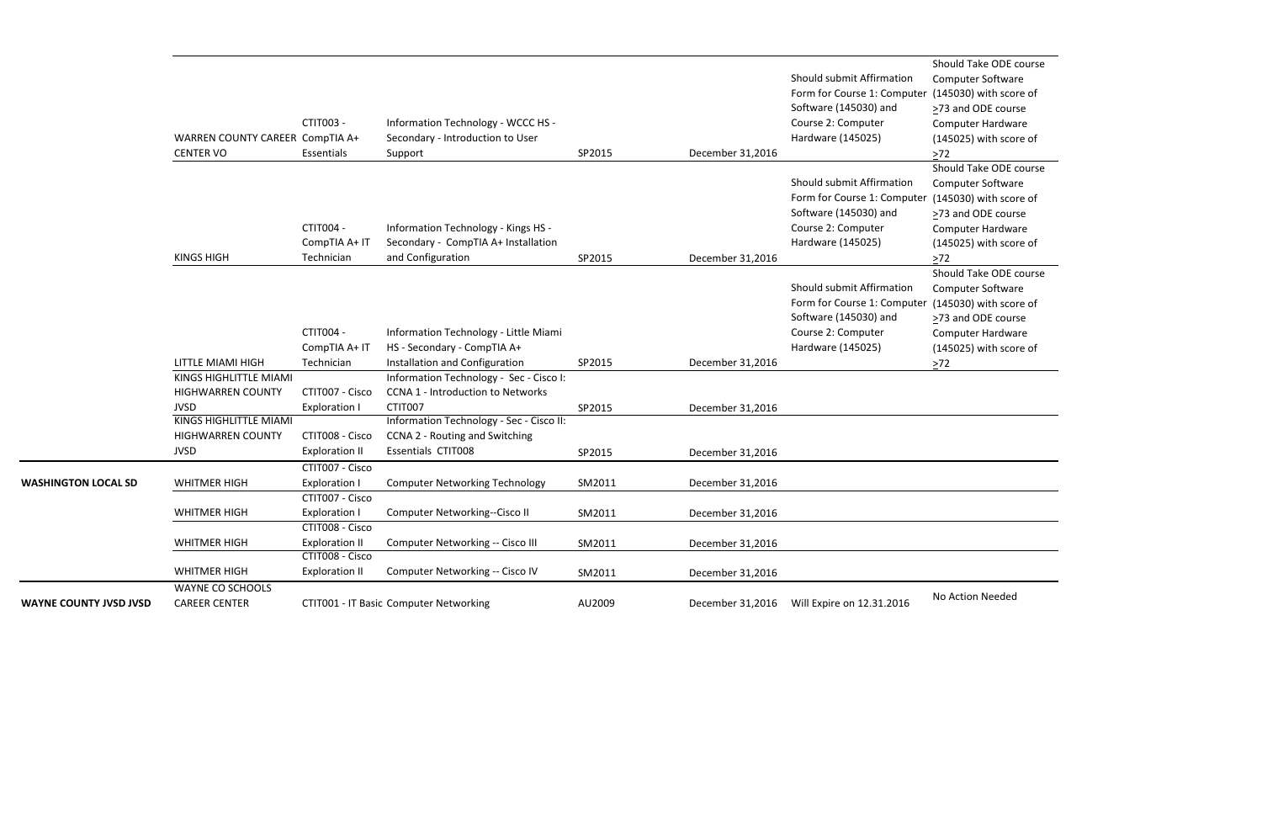```
Should Take ODE course
Computer Software
(145030) with score of
≥73 and ODE course
Computer Hardware
(145025) with score of
\geq 72Should Take ODE course
Computer Software
(145030) with score of
≥73 and ODE course
Computer Hardware
(145025) with score of
 >72Should Take ODE course
Computer Software
(145030) with score of
≥73 and ODE course
Computer Hardware
(145025) with score of
\geq72
```

|                               | WARREN COUNTY CAREER CompTIA A+<br><b>CENTER VO</b>               | CTIT003 -<br>Essentials                                          | Information Technology - WCCC HS -<br>Secondary - Introduction to User<br>Support                       | SP2015           | December 31,2016                     | Should submit Affirmation<br>Form for Course 1: Computer<br>Software (145030) and<br>Course 2: Computer<br>Hardware (145025)<br>Should submit Affirmation | Should Take ODE<br>Computer Softwar<br>(145030) with sco<br>$\geq$ 73 and ODE cour<br>Computer Hardwa<br>(145025) with scor<br>$>72$<br>Should Take ODE<br>Computer Softwar |
|-------------------------------|-------------------------------------------------------------------|------------------------------------------------------------------|---------------------------------------------------------------------------------------------------------|------------------|--------------------------------------|-----------------------------------------------------------------------------------------------------------------------------------------------------------|-----------------------------------------------------------------------------------------------------------------------------------------------------------------------------|
|                               | <b>KINGS HIGH</b>                                                 | <b>CTIT004 -</b><br>CompTIA A+ IT<br>Technician                  | Information Technology - Kings HS -<br>Secondary - CompTIA A+ Installation<br>and Configuration         | SP2015           | December 31,2016                     | Form for Course 1: Computer<br>Software (145030) and<br>Course 2: Computer<br>Hardware (145025)                                                           | (145030) with sco<br>>73 and ODE cour<br>Computer Hardwa<br>(145025) with sco<br>$>72$                                                                                      |
|                               |                                                                   | CTIT004 -                                                        | Information Technology - Little Miami                                                                   |                  |                                      | Should submit Affirmation<br>Form for Course 1: Computer<br>Software (145030) and<br>Course 2: Computer                                                   | Should Take ODE o<br>Computer Softwar<br>(145030) with sco<br>>73 and ODE cour<br>Computer Hardwa                                                                           |
|                               | <b>LITTLE MIAMI HIGH</b>                                          | CompTIA A+ IT<br>Technician                                      | HS - Secondary - CompTIA A+<br>Installation and Configuration                                           | SP2015           | December 31,2016                     | Hardware (145025)                                                                                                                                         | (145025) with sco<br>$>72$                                                                                                                                                  |
|                               | KINGS HIGHLITTLE MIAMI<br><b>HIGHWARREN COUNTY</b><br><b>JVSD</b> | CTIT007 - Cisco<br><b>Exploration I</b>                          | Information Technology - Sec - Cisco I:<br><b>CCNA 1 - Introduction to Networks</b><br>CTIT007          | SP2015           | December 31,2016                     |                                                                                                                                                           |                                                                                                                                                                             |
|                               | KINGS HIGHLITTLE MIAMI<br><b>HIGHWARREN COUNTY</b><br><b>JVSD</b> | CTIT008 - Cisco<br><b>Exploration II</b>                         | Information Technology - Sec - Cisco II:<br>CCNA 2 - Routing and Switching<br><b>Essentials CTIT008</b> | SP2015           | December 31,2016                     |                                                                                                                                                           |                                                                                                                                                                             |
| <b>WASHINGTON LOCAL SD</b>    | <b>WHITMER HIGH</b>                                               | CTIT007 - Cisco<br><b>Exploration I</b><br>CTIT007 - Cisco       | <b>Computer Networking Technology</b>                                                                   | SM2011           | December 31,2016                     |                                                                                                                                                           |                                                                                                                                                                             |
|                               | <b>WHITMER HIGH</b><br><b>WHITMER HIGH</b>                        | <b>Exploration I</b><br>CTIT008 - Cisco<br><b>Exploration II</b> | Computer Networking--Cisco II<br>Computer Networking -- Cisco III                                       | SM2011<br>SM2011 | December 31,2016<br>December 31,2016 |                                                                                                                                                           |                                                                                                                                                                             |
|                               | <b>WHITMER HIGH</b>                                               | CTIT008 - Cisco<br><b>Exploration II</b>                         | Computer Networking -- Cisco IV                                                                         | SM2011           | December 31,2016                     |                                                                                                                                                           |                                                                                                                                                                             |
| <b>WAYNE COUNTY JVSD JVSD</b> | WAYNE CO SCHOOLS<br><b>CAREER CENTER</b>                          |                                                                  | CTIT001 - IT Basic Computer Networking                                                                  | AU2009           | December 31,2016                     | Will Expire on 12.31.2016                                                                                                                                 | No Action Needed                                                                                                                                                            |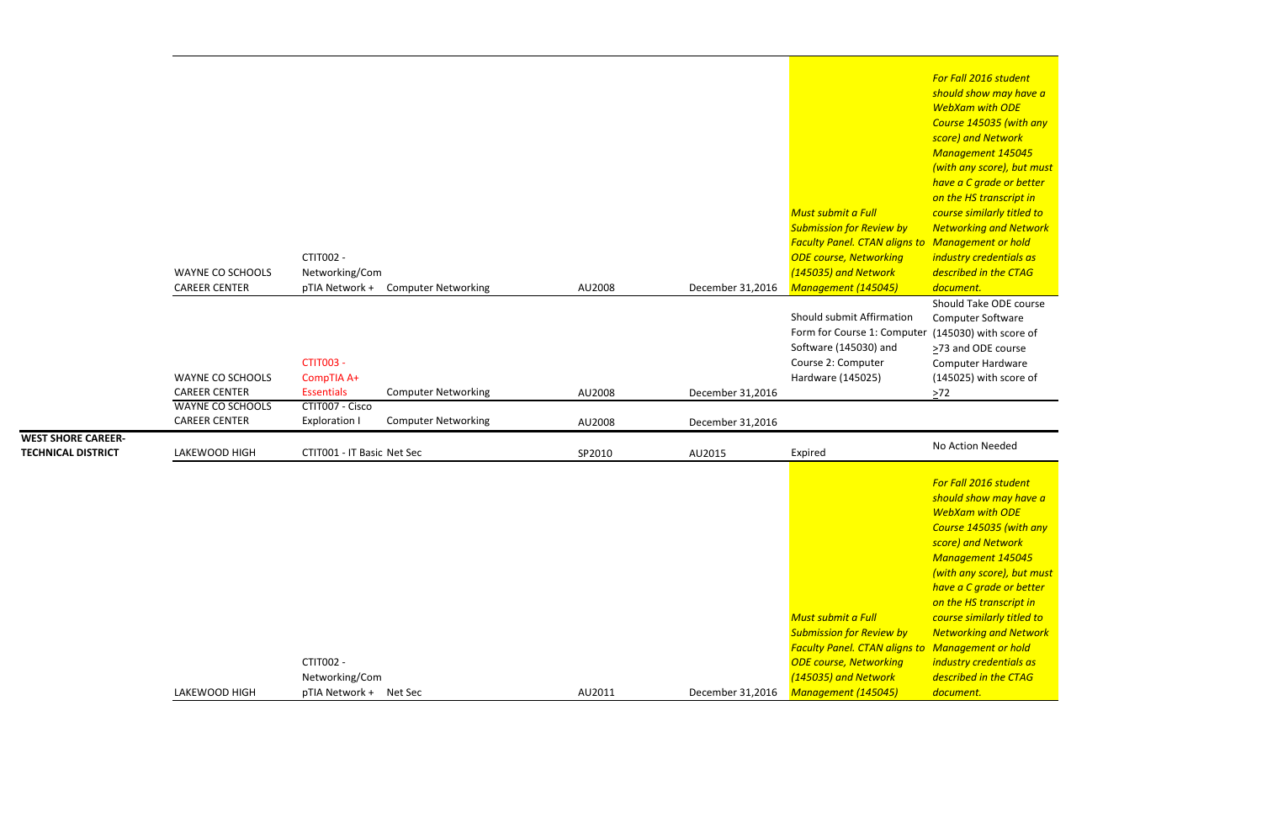Should Take ODE course Computer Software (145030) with score of >73 and ODE course Computer Hardware (145025) with score of  $\geq 72$ 

*For Fall 2016 student should show may have a WebXam with ODE Course 145035 (with any score) and Network Management 145045 (with any score), but must have a C grade or better on the HS transcript in course similarly titled to Networking and Network Management or hold industry credentials as described in the CTAG document.*

|                           |                         |                            |                                    |        |                  |                                                      | <u>iviuliuutilit 140</u> |
|---------------------------|-------------------------|----------------------------|------------------------------------|--------|------------------|------------------------------------------------------|--------------------------|
|                           |                         |                            |                                    |        |                  |                                                      | (with any score), b      |
|                           |                         |                            |                                    |        |                  |                                                      | have a C grade or        |
|                           |                         |                            |                                    |        |                  |                                                      | on the HS transcri       |
|                           |                         |                            |                                    |        |                  | <b>Must submit a Full</b>                            | course similarly tit     |
|                           |                         |                            |                                    |        |                  | <b>Submission for Review by</b>                      | <b>Networking and N</b>  |
|                           |                         |                            |                                    |        |                  | <b>Faculty Panel. CTAN aligns to Management or h</b> |                          |
|                           |                         | CTIT002 -                  |                                    |        |                  | <b>ODE course, Networking</b>                        | industry credentia       |
|                           | <b>WAYNE CO SCHOOLS</b> | Networking/Com             |                                    |        |                  | (145035) and Network                                 | described in the C.      |
|                           | <b>CAREER CENTER</b>    |                            | pTIA Network + Computer Networking | AU2008 | December 31,2016 | Management (145045)                                  | document.                |
|                           |                         |                            |                                    |        |                  |                                                      | Should Take ODE          |
|                           |                         |                            |                                    |        |                  | Should submit Affirmation                            | Computer Softwar         |
|                           |                         |                            |                                    |        |                  | Form for Course 1: Computer                          | (145030) with sco        |
|                           |                         |                            |                                    |        |                  | Software (145030) and                                | >73 and ODE cour         |
|                           |                         | <b>CTIT003 -</b>           |                                    |        |                  | Course 2: Computer                                   | Computer Hardwa          |
|                           | <b>WAYNE CO SCHOOLS</b> | CompTIA A+                 |                                    |        |                  | Hardware (145025)                                    | (145025) with sco        |
|                           | <b>CAREER CENTER</b>    | <b>Essentials</b>          | <b>Computer Networking</b>         | AU2008 | December 31,2016 |                                                      | $>72$                    |
|                           | <b>WAYNE CO SCHOOLS</b> | CTIT007 - Cisco            |                                    |        |                  |                                                      |                          |
|                           | <b>CAREER CENTER</b>    | <b>Exploration I</b>       | <b>Computer Networking</b>         | AU2008 | December 31,2016 |                                                      |                          |
| <b>WEST SHORE CAREER-</b> |                         |                            |                                    |        |                  |                                                      | No Action Needed         |
| <b>TECHNICAL DISTRICT</b> | LAKEWOOD HIGH           | CTIT001 - IT Basic Net Sec |                                    | SP2010 | AU2015           | Expired                                              |                          |
|                           |                         |                            |                                    |        |                  |                                                      |                          |
|                           |                         |                            |                                    |        |                  |                                                      | For Fall 2016 stude      |
|                           |                         |                            |                                    |        |                  |                                                      | should show may          |
|                           |                         |                            |                                    |        |                  |                                                      | <b>WebXam with OD</b>    |
|                           |                         |                            |                                    |        |                  |                                                      | <b>Course 145035 (w)</b> |
|                           |                         |                            |                                    |        |                  |                                                      | score) and Networ        |

*Must submit a Full Submission for Review by*

|               |                           |        |                  | <b>Submission for Review by</b>        |      |
|---------------|---------------------------|--------|------------------|----------------------------------------|------|
|               |                           |        |                  | <b>Faculty Panel. CTAN aligns to N</b> |      |
|               | CTIT002 -                 |        |                  | <b>ODE course, Networking</b>          | — il |
|               | Networking/Com            |        |                  | (145035) and Network                   |      |
| LAKEWOOD HIGH | pTIA Network +<br>Net Sec | AU2011 | December 31,2016 | <b>Management (145045)</b>             |      |